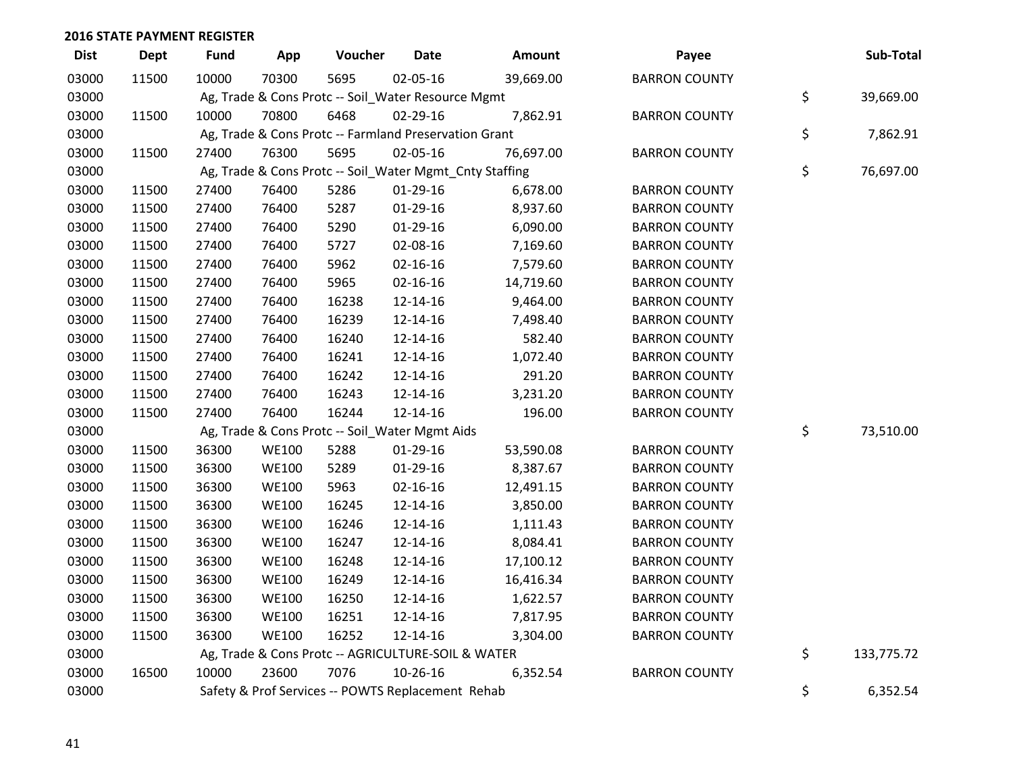| <b>Dist</b> | <b>Dept</b> | <b>Fund</b> | App          | Voucher                                               | <b>Date</b>    | Amount                                                  | Payee                | Sub-Total        |
|-------------|-------------|-------------|--------------|-------------------------------------------------------|----------------|---------------------------------------------------------|----------------------|------------------|
| 03000       | 11500       | 10000       | 70300        | 5695                                                  | 02-05-16       | 39,669.00                                               | <b>BARRON COUNTY</b> |                  |
| 03000       |             |             |              | Ag, Trade & Cons Protc -- Soil_Water Resource Mgmt    |                |                                                         |                      | \$<br>39,669.00  |
| 03000       | 11500       | 10000       | 70800        | 6468                                                  | 02-29-16       | 7,862.91                                                | <b>BARRON COUNTY</b> |                  |
| 03000       |             |             |              | Ag, Trade & Cons Protc -- Farmland Preservation Grant |                |                                                         |                      | \$<br>7,862.91   |
| 03000       | 11500       | 27400       | 76300        | 5695                                                  | 02-05-16       | 76,697.00                                               | <b>BARRON COUNTY</b> |                  |
| 03000       |             |             |              |                                                       |                | Ag, Trade & Cons Protc -- Soil_Water Mgmt_Cnty Staffing |                      | \$<br>76,697.00  |
| 03000       | 11500       | 27400       | 76400        | 5286                                                  | $01-29-16$     | 6,678.00                                                | <b>BARRON COUNTY</b> |                  |
| 03000       | 11500       | 27400       | 76400        | 5287                                                  | $01-29-16$     | 8,937.60                                                | <b>BARRON COUNTY</b> |                  |
| 03000       | 11500       | 27400       | 76400        | 5290                                                  | 01-29-16       | 6,090.00                                                | <b>BARRON COUNTY</b> |                  |
| 03000       | 11500       | 27400       | 76400        | 5727                                                  | 02-08-16       | 7,169.60                                                | <b>BARRON COUNTY</b> |                  |
| 03000       | 11500       | 27400       | 76400        | 5962                                                  | 02-16-16       | 7,579.60                                                | <b>BARRON COUNTY</b> |                  |
| 03000       | 11500       | 27400       | 76400        | 5965                                                  | 02-16-16       | 14,719.60                                               | <b>BARRON COUNTY</b> |                  |
| 03000       | 11500       | 27400       | 76400        | 16238                                                 | 12-14-16       | 9,464.00                                                | <b>BARRON COUNTY</b> |                  |
| 03000       | 11500       | 27400       | 76400        | 16239                                                 | 12-14-16       | 7,498.40                                                | <b>BARRON COUNTY</b> |                  |
| 03000       | 11500       | 27400       | 76400        | 16240                                                 | 12-14-16       | 582.40                                                  | <b>BARRON COUNTY</b> |                  |
| 03000       | 11500       | 27400       | 76400        | 16241                                                 | 12-14-16       | 1,072.40                                                | <b>BARRON COUNTY</b> |                  |
| 03000       | 11500       | 27400       | 76400        | 16242                                                 | 12-14-16       | 291.20                                                  | <b>BARRON COUNTY</b> |                  |
| 03000       | 11500       | 27400       | 76400        | 16243                                                 | 12-14-16       | 3,231.20                                                | <b>BARRON COUNTY</b> |                  |
| 03000       | 11500       | 27400       | 76400        | 16244                                                 | 12-14-16       | 196.00                                                  | <b>BARRON COUNTY</b> |                  |
| 03000       |             |             |              | Ag, Trade & Cons Protc -- Soil_Water Mgmt Aids        |                |                                                         |                      | \$<br>73,510.00  |
| 03000       | 11500       | 36300       | <b>WE100</b> | 5288                                                  | 01-29-16       | 53,590.08                                               | <b>BARRON COUNTY</b> |                  |
| 03000       | 11500       | 36300       | <b>WE100</b> | 5289                                                  | 01-29-16       | 8,387.67                                                | <b>BARRON COUNTY</b> |                  |
| 03000       | 11500       | 36300       | <b>WE100</b> | 5963                                                  | $02 - 16 - 16$ | 12,491.15                                               | <b>BARRON COUNTY</b> |                  |
| 03000       | 11500       | 36300       | <b>WE100</b> | 16245                                                 | 12-14-16       | 3,850.00                                                | <b>BARRON COUNTY</b> |                  |
| 03000       | 11500       | 36300       | <b>WE100</b> | 16246                                                 | 12-14-16       | 1,111.43                                                | <b>BARRON COUNTY</b> |                  |
| 03000       | 11500       | 36300       | <b>WE100</b> | 16247                                                 | 12-14-16       | 8,084.41                                                | <b>BARRON COUNTY</b> |                  |
| 03000       | 11500       | 36300       | <b>WE100</b> | 16248                                                 | 12-14-16       | 17,100.12                                               | <b>BARRON COUNTY</b> |                  |
| 03000       | 11500       | 36300       | <b>WE100</b> | 16249                                                 | 12-14-16       | 16,416.34                                               | <b>BARRON COUNTY</b> |                  |
| 03000       | 11500       | 36300       | <b>WE100</b> | 16250                                                 | 12-14-16       | 1,622.57                                                | <b>BARRON COUNTY</b> |                  |
| 03000       | 11500       | 36300       | <b>WE100</b> | 16251                                                 | 12-14-16       | 7,817.95                                                | <b>BARRON COUNTY</b> |                  |
| 03000       | 11500       | 36300       | <b>WE100</b> | 16252                                                 | 12-14-16       | 3,304.00                                                | <b>BARRON COUNTY</b> |                  |
| 03000       |             |             |              | Ag, Trade & Cons Protc -- AGRICULTURE-SOIL & WATER    |                |                                                         |                      | \$<br>133,775.72 |
| 03000       | 16500       | 10000       | 23600        | 7076                                                  | 10-26-16       | 6,352.54                                                | <b>BARRON COUNTY</b> |                  |
| 03000       |             |             |              | Safety & Prof Services -- POWTS Replacement Rehab     |                |                                                         |                      | \$<br>6,352.54   |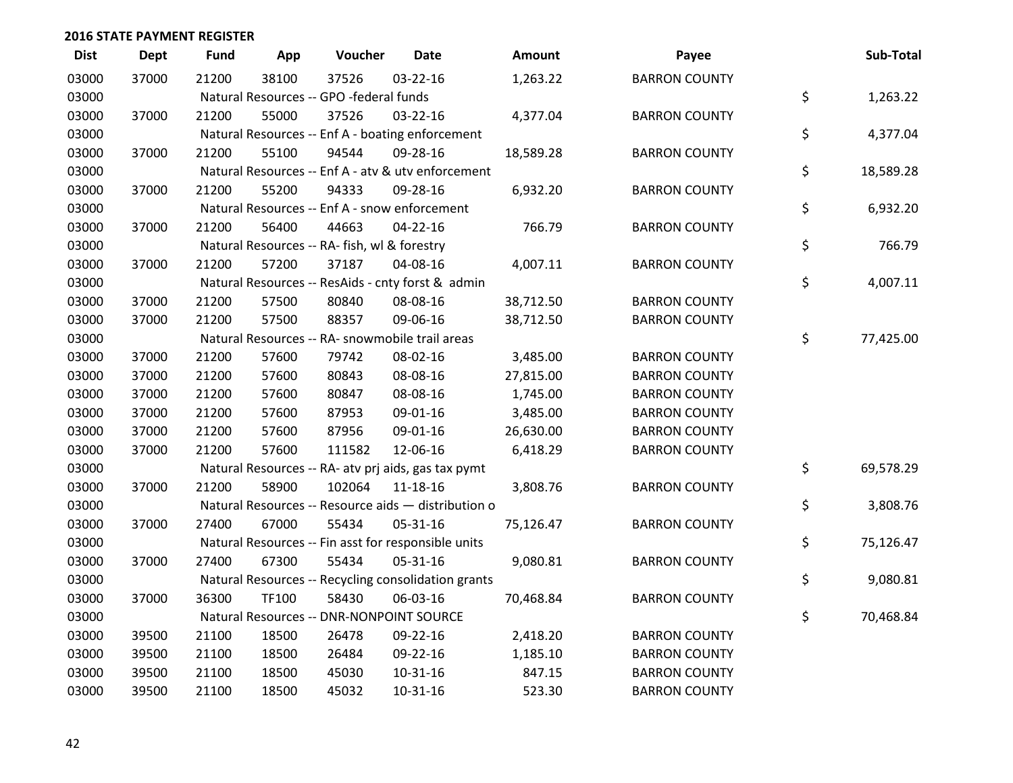| <b>Dist</b> | <b>Dept</b> | <b>Fund</b> | App   | Voucher                                             | <b>Date</b>    | Amount    | Payee                | Sub-Total       |
|-------------|-------------|-------------|-------|-----------------------------------------------------|----------------|-----------|----------------------|-----------------|
| 03000       | 37000       | 21200       | 38100 | 37526                                               | 03-22-16       | 1,263.22  | <b>BARRON COUNTY</b> |                 |
| 03000       |             |             |       | Natural Resources -- GPO -federal funds             |                |           |                      | \$<br>1,263.22  |
| 03000       | 37000       | 21200       | 55000 | 37526                                               | 03-22-16       | 4,377.04  | <b>BARRON COUNTY</b> |                 |
| 03000       |             |             |       | Natural Resources -- Enf A - boating enforcement    |                |           |                      | \$<br>4,377.04  |
| 03000       | 37000       | 21200       | 55100 | 94544                                               | 09-28-16       | 18,589.28 | <b>BARRON COUNTY</b> |                 |
| 03000       |             |             |       | Natural Resources -- Enf A - atv & utv enforcement  |                |           |                      | \$<br>18,589.28 |
| 03000       | 37000       | 21200       | 55200 | 94333                                               | 09-28-16       | 6,932.20  | <b>BARRON COUNTY</b> |                 |
| 03000       |             |             |       | Natural Resources -- Enf A - snow enforcement       |                |           |                      | \$<br>6,932.20  |
| 03000       | 37000       | 21200       | 56400 | 44663                                               | $04 - 22 - 16$ | 766.79    | <b>BARRON COUNTY</b> |                 |
| 03000       |             |             |       | Natural Resources -- RA- fish, wl & forestry        |                |           |                      | \$<br>766.79    |
| 03000       | 37000       | 21200       | 57200 | 37187                                               | 04-08-16       | 4,007.11  | <b>BARRON COUNTY</b> |                 |
| 03000       |             |             |       | Natural Resources -- ResAids - cnty forst & admin   |                |           |                      | \$<br>4,007.11  |
| 03000       | 37000       | 21200       | 57500 | 80840                                               | 08-08-16       | 38,712.50 | <b>BARRON COUNTY</b> |                 |
| 03000       | 37000       | 21200       | 57500 | 88357                                               | 09-06-16       | 38,712.50 | <b>BARRON COUNTY</b> |                 |
| 03000       |             |             |       | Natural Resources -- RA- snowmobile trail areas     |                |           |                      | \$<br>77,425.00 |
| 03000       | 37000       | 21200       | 57600 | 79742                                               | 08-02-16       | 3,485.00  | <b>BARRON COUNTY</b> |                 |
| 03000       | 37000       | 21200       | 57600 | 80843                                               | 08-08-16       | 27,815.00 | <b>BARRON COUNTY</b> |                 |
| 03000       | 37000       | 21200       | 57600 | 80847                                               | 08-08-16       | 1,745.00  | <b>BARRON COUNTY</b> |                 |
| 03000       | 37000       | 21200       | 57600 | 87953                                               | 09-01-16       | 3,485.00  | <b>BARRON COUNTY</b> |                 |
| 03000       | 37000       | 21200       | 57600 | 87956                                               | 09-01-16       | 26,630.00 | <b>BARRON COUNTY</b> |                 |
| 03000       | 37000       | 21200       | 57600 | 111582                                              | 12-06-16       | 6,418.29  | <b>BARRON COUNTY</b> |                 |
| 03000       |             |             |       | Natural Resources -- RA- atv prj aids, gas tax pymt |                |           |                      | \$<br>69,578.29 |
| 03000       | 37000       | 21200       | 58900 | 102064                                              | 11-18-16       | 3,808.76  | <b>BARRON COUNTY</b> |                 |
| 03000       |             |             |       | Natural Resources -- Resource aids - distribution o |                |           |                      | \$<br>3,808.76  |
| 03000       | 37000       | 27400       | 67000 | 55434                                               | 05-31-16       | 75,126.47 | <b>BARRON COUNTY</b> |                 |
| 03000       |             |             |       | Natural Resources -- Fin asst for responsible units |                |           |                      | \$<br>75,126.47 |
| 03000       | 37000       | 27400       | 67300 | 55434                                               | 05-31-16       | 9,080.81  | <b>BARRON COUNTY</b> |                 |
| 03000       |             |             |       | Natural Resources -- Recycling consolidation grants |                |           |                      | \$<br>9,080.81  |
| 03000       | 37000       | 36300       | TF100 | 58430                                               | 06-03-16       | 70,468.84 | <b>BARRON COUNTY</b> |                 |
| 03000       |             |             |       | Natural Resources -- DNR-NONPOINT SOURCE            |                |           |                      | \$<br>70,468.84 |
| 03000       | 39500       | 21100       | 18500 | 26478                                               | 09-22-16       | 2,418.20  | <b>BARRON COUNTY</b> |                 |
| 03000       | 39500       | 21100       | 18500 | 26484                                               | 09-22-16       | 1,185.10  | <b>BARRON COUNTY</b> |                 |
| 03000       | 39500       | 21100       | 18500 | 45030                                               | 10-31-16       | 847.15    | <b>BARRON COUNTY</b> |                 |
| 03000       | 39500       | 21100       | 18500 | 45032                                               | 10-31-16       | 523.30    | <b>BARRON COUNTY</b> |                 |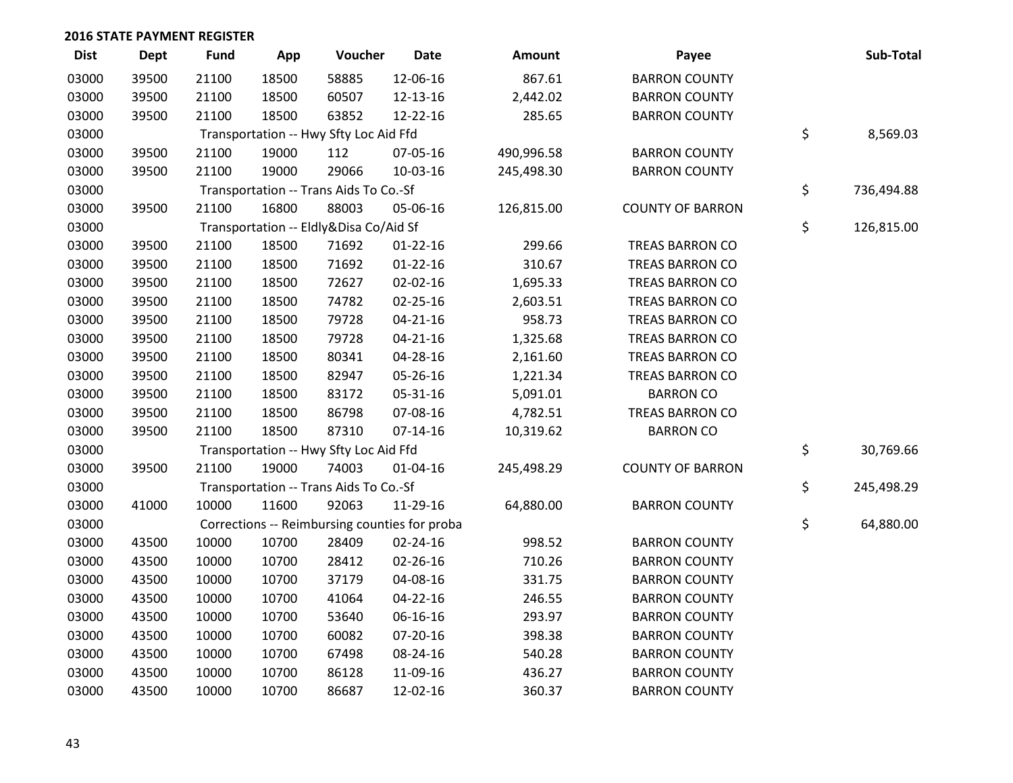| <b>Dist</b> | <b>Dept</b> | <b>Fund</b> | App   | Voucher                                | <b>Date</b>                                   | <b>Amount</b> | Payee                   | Sub-Total        |
|-------------|-------------|-------------|-------|----------------------------------------|-----------------------------------------------|---------------|-------------------------|------------------|
| 03000       | 39500       | 21100       | 18500 | 58885                                  | 12-06-16                                      | 867.61        | <b>BARRON COUNTY</b>    |                  |
| 03000       | 39500       | 21100       | 18500 | 60507                                  | 12-13-16                                      | 2,442.02      | <b>BARRON COUNTY</b>    |                  |
| 03000       | 39500       | 21100       | 18500 | 63852                                  | 12-22-16                                      | 285.65        | <b>BARRON COUNTY</b>    |                  |
| 03000       |             |             |       | Transportation -- Hwy Sfty Loc Aid Ffd |                                               |               |                         | \$<br>8,569.03   |
| 03000       | 39500       | 21100       | 19000 | 112                                    | 07-05-16                                      | 490,996.58    | <b>BARRON COUNTY</b>    |                  |
| 03000       | 39500       | 21100       | 19000 | 29066                                  | 10-03-16                                      | 245,498.30    | <b>BARRON COUNTY</b>    |                  |
| 03000       |             |             |       | Transportation -- Trans Aids To Co.-Sf |                                               |               |                         | \$<br>736,494.88 |
| 03000       | 39500       | 21100       | 16800 | 88003                                  | 05-06-16                                      | 126,815.00    | <b>COUNTY OF BARRON</b> |                  |
| 03000       |             |             |       | Transportation -- Eldly&Disa Co/Aid Sf |                                               |               |                         | \$<br>126,815.00 |
| 03000       | 39500       | 21100       | 18500 | 71692                                  | $01 - 22 - 16$                                | 299.66        | <b>TREAS BARRON CO</b>  |                  |
| 03000       | 39500       | 21100       | 18500 | 71692                                  | $01 - 22 - 16$                                | 310.67        | <b>TREAS BARRON CO</b>  |                  |
| 03000       | 39500       | 21100       | 18500 | 72627                                  | $02 - 02 - 16$                                | 1,695.33      | <b>TREAS BARRON CO</b>  |                  |
| 03000       | 39500       | 21100       | 18500 | 74782                                  | $02 - 25 - 16$                                | 2,603.51      | <b>TREAS BARRON CO</b>  |                  |
| 03000       | 39500       | 21100       | 18500 | 79728                                  | $04 - 21 - 16$                                | 958.73        | <b>TREAS BARRON CO</b>  |                  |
| 03000       | 39500       | 21100       | 18500 | 79728                                  | $04 - 21 - 16$                                | 1,325.68      | <b>TREAS BARRON CO</b>  |                  |
| 03000       | 39500       | 21100       | 18500 | 80341                                  | 04-28-16                                      | 2,161.60      | <b>TREAS BARRON CO</b>  |                  |
| 03000       | 39500       | 21100       | 18500 | 82947                                  | 05-26-16                                      | 1,221.34      | <b>TREAS BARRON CO</b>  |                  |
| 03000       | 39500       | 21100       | 18500 | 83172                                  | 05-31-16                                      | 5,091.01      | <b>BARRON CO</b>        |                  |
| 03000       | 39500       | 21100       | 18500 | 86798                                  | 07-08-16                                      | 4,782.51      | <b>TREAS BARRON CO</b>  |                  |
| 03000       | 39500       | 21100       | 18500 | 87310                                  | $07-14-16$                                    | 10,319.62     | <b>BARRON CO</b>        |                  |
| 03000       |             |             |       | Transportation -- Hwy Sfty Loc Aid Ffd |                                               |               |                         | \$<br>30,769.66  |
| 03000       | 39500       | 21100       | 19000 | 74003                                  | $01 - 04 - 16$                                | 245,498.29    | <b>COUNTY OF BARRON</b> |                  |
| 03000       |             |             |       | Transportation -- Trans Aids To Co.-Sf |                                               |               |                         | \$<br>245,498.29 |
| 03000       | 41000       | 10000       | 11600 | 92063                                  | 11-29-16                                      | 64,880.00     | <b>BARRON COUNTY</b>    |                  |
| 03000       |             |             |       |                                        | Corrections -- Reimbursing counties for proba |               |                         | \$<br>64,880.00  |
| 03000       | 43500       | 10000       | 10700 | 28409                                  | 02-24-16                                      | 998.52        | <b>BARRON COUNTY</b>    |                  |
| 03000       | 43500       | 10000       | 10700 | 28412                                  | 02-26-16                                      | 710.26        | <b>BARRON COUNTY</b>    |                  |
| 03000       | 43500       | 10000       | 10700 | 37179                                  | 04-08-16                                      | 331.75        | <b>BARRON COUNTY</b>    |                  |
| 03000       | 43500       | 10000       | 10700 | 41064                                  | 04-22-16                                      | 246.55        | <b>BARRON COUNTY</b>    |                  |
| 03000       | 43500       | 10000       | 10700 | 53640                                  | 06-16-16                                      | 293.97        | <b>BARRON COUNTY</b>    |                  |
| 03000       | 43500       | 10000       | 10700 | 60082                                  | 07-20-16                                      | 398.38        | <b>BARRON COUNTY</b>    |                  |
| 03000       | 43500       | 10000       | 10700 | 67498                                  | 08-24-16                                      | 540.28        | <b>BARRON COUNTY</b>    |                  |
| 03000       | 43500       | 10000       | 10700 | 86128                                  | 11-09-16                                      | 436.27        | <b>BARRON COUNTY</b>    |                  |
| 03000       | 43500       | 10000       | 10700 | 86687                                  | 12-02-16                                      | 360.37        | <b>BARRON COUNTY</b>    |                  |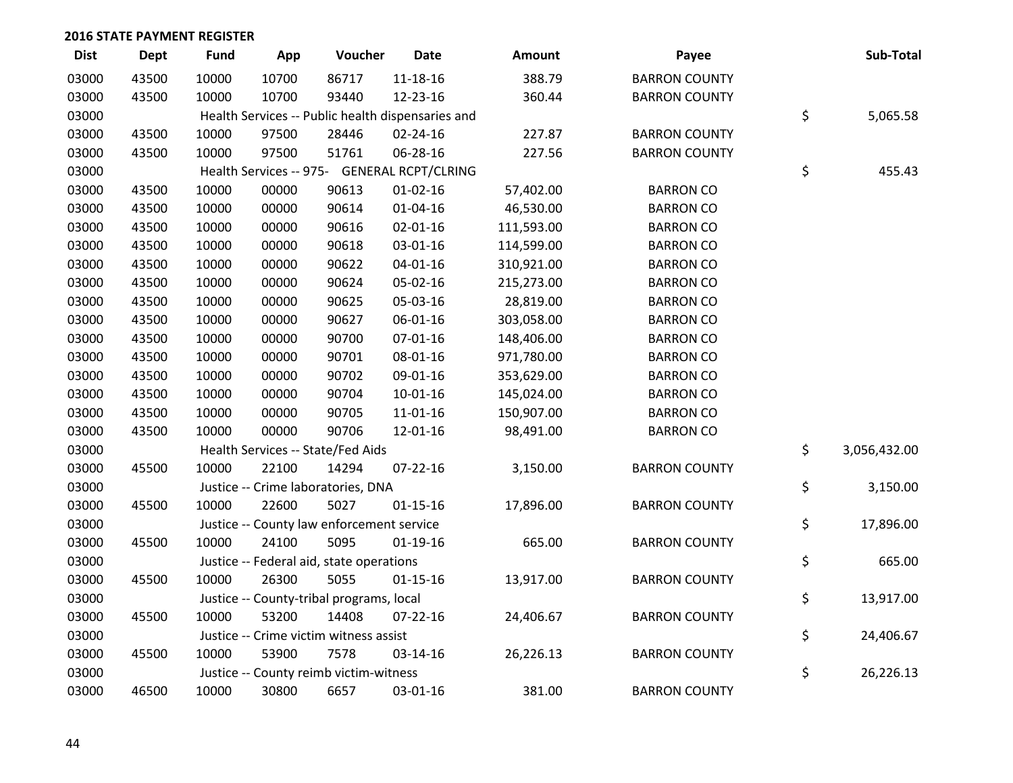| <b>Dist</b> | <b>Dept</b> | <b>Fund</b> | App   | Voucher                                           | <b>Date</b>    | <b>Amount</b> | Payee                | Sub-Total          |
|-------------|-------------|-------------|-------|---------------------------------------------------|----------------|---------------|----------------------|--------------------|
| 03000       | 43500       | 10000       | 10700 | 86717                                             | $11 - 18 - 16$ | 388.79        | <b>BARRON COUNTY</b> |                    |
| 03000       | 43500       | 10000       | 10700 | 93440                                             | 12-23-16       | 360.44        | <b>BARRON COUNTY</b> |                    |
| 03000       |             |             |       | Health Services -- Public health dispensaries and |                |               |                      | \$<br>5,065.58     |
| 03000       | 43500       | 10000       | 97500 | 28446                                             | $02 - 24 - 16$ | 227.87        | <b>BARRON COUNTY</b> |                    |
| 03000       | 43500       | 10000       | 97500 | 51761                                             | 06-28-16       | 227.56        | <b>BARRON COUNTY</b> |                    |
| 03000       |             |             |       | Health Services -- 975- GENERAL RCPT/CLRING       |                |               |                      | \$<br>455.43       |
| 03000       | 43500       | 10000       | 00000 | 90613                                             | $01 - 02 - 16$ | 57,402.00     | <b>BARRON CO</b>     |                    |
| 03000       | 43500       | 10000       | 00000 | 90614                                             | $01 - 04 - 16$ | 46,530.00     | <b>BARRON CO</b>     |                    |
| 03000       | 43500       | 10000       | 00000 | 90616                                             | 02-01-16       | 111,593.00    | <b>BARRON CO</b>     |                    |
| 03000       | 43500       | 10000       | 00000 | 90618                                             | 03-01-16       | 114,599.00    | <b>BARRON CO</b>     |                    |
| 03000       | 43500       | 10000       | 00000 | 90622                                             | $04 - 01 - 16$ | 310,921.00    | <b>BARRON CO</b>     |                    |
| 03000       | 43500       | 10000       | 00000 | 90624                                             | 05-02-16       | 215,273.00    | <b>BARRON CO</b>     |                    |
| 03000       | 43500       | 10000       | 00000 | 90625                                             | 05-03-16       | 28,819.00     | <b>BARRON CO</b>     |                    |
| 03000       | 43500       | 10000       | 00000 | 90627                                             | 06-01-16       | 303,058.00    | <b>BARRON CO</b>     |                    |
| 03000       | 43500       | 10000       | 00000 | 90700                                             | $07 - 01 - 16$ | 148,406.00    | <b>BARRON CO</b>     |                    |
| 03000       | 43500       | 10000       | 00000 | 90701                                             | 08-01-16       | 971,780.00    | <b>BARRON CO</b>     |                    |
| 03000       | 43500       | 10000       | 00000 | 90702                                             | 09-01-16       | 353,629.00    | <b>BARRON CO</b>     |                    |
| 03000       | 43500       | 10000       | 00000 | 90704                                             | $10 - 01 - 16$ | 145,024.00    | <b>BARRON CO</b>     |                    |
| 03000       | 43500       | 10000       | 00000 | 90705                                             | $11 - 01 - 16$ | 150,907.00    | <b>BARRON CO</b>     |                    |
| 03000       | 43500       | 10000       | 00000 | 90706                                             | 12-01-16       | 98,491.00     | <b>BARRON CO</b>     |                    |
| 03000       |             |             |       | Health Services -- State/Fed Aids                 |                |               |                      | \$<br>3,056,432.00 |
| 03000       | 45500       | 10000       | 22100 | 14294                                             | $07 - 22 - 16$ | 3,150.00      | <b>BARRON COUNTY</b> |                    |
| 03000       |             |             |       | Justice -- Crime laboratories, DNA                |                |               |                      | \$<br>3,150.00     |
| 03000       | 45500       | 10000       | 22600 | 5027                                              | $01 - 15 - 16$ | 17,896.00     | <b>BARRON COUNTY</b> |                    |
| 03000       |             |             |       | Justice -- County law enforcement service         |                |               |                      | \$<br>17,896.00    |
| 03000       | 45500       | 10000       | 24100 | 5095                                              | $01-19-16$     | 665.00        | <b>BARRON COUNTY</b> |                    |
| 03000       |             |             |       | Justice -- Federal aid, state operations          |                |               |                      | \$<br>665.00       |
| 03000       | 45500       | 10000       | 26300 | 5055                                              | $01 - 15 - 16$ | 13,917.00     | <b>BARRON COUNTY</b> |                    |
| 03000       |             |             |       | Justice -- County-tribal programs, local          |                |               |                      | \$<br>13,917.00    |
| 03000       | 45500       | 10000       | 53200 | 14408                                             | $07 - 22 - 16$ | 24,406.67     | <b>BARRON COUNTY</b> |                    |
| 03000       |             |             |       | Justice -- Crime victim witness assist            |                |               |                      | \$<br>24,406.67    |
| 03000       | 45500       | 10000       | 53900 | 7578                                              | 03-14-16       | 26,226.13     | <b>BARRON COUNTY</b> |                    |
| 03000       |             |             |       | Justice -- County reimb victim-witness            |                |               |                      | \$<br>26,226.13    |
| 03000       | 46500       | 10000       | 30800 | 6657                                              | 03-01-16       | 381.00        | <b>BARRON COUNTY</b> |                    |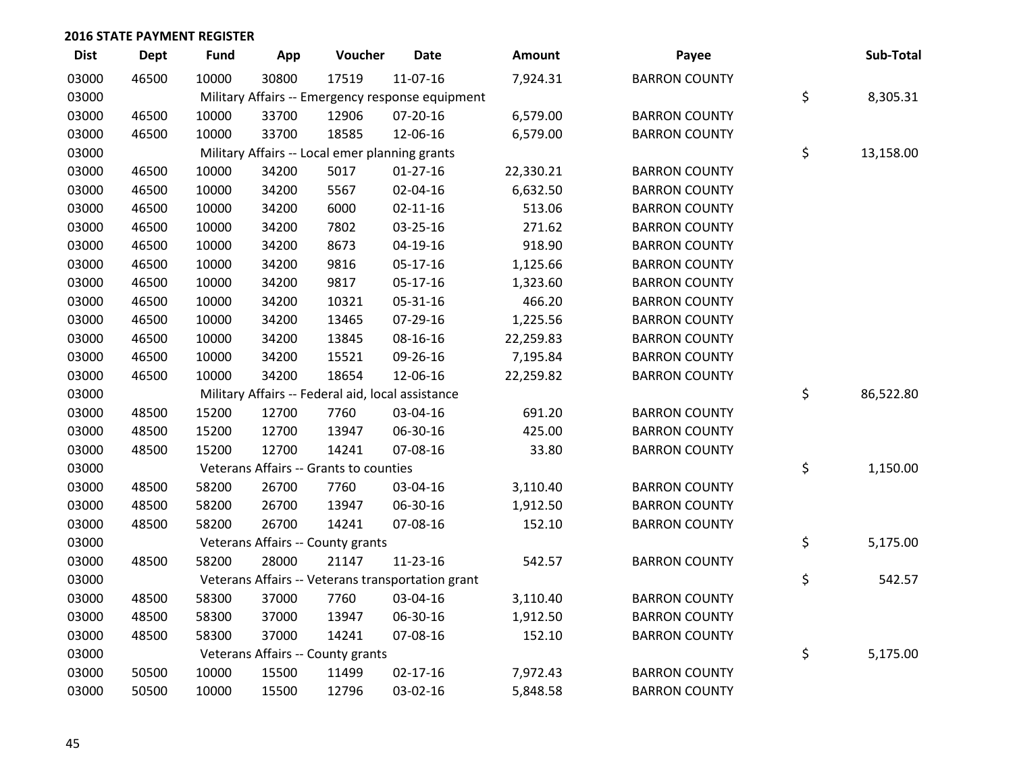| <b>Dist</b> | Dept  | <b>Fund</b> | App   | Voucher                                           | <b>Date</b>                                       | Amount    | Payee                | Sub-Total       |
|-------------|-------|-------------|-------|---------------------------------------------------|---------------------------------------------------|-----------|----------------------|-----------------|
| 03000       | 46500 | 10000       | 30800 | 17519                                             | 11-07-16                                          | 7,924.31  | <b>BARRON COUNTY</b> |                 |
| 03000       |       |             |       |                                                   | Military Affairs -- Emergency response equipment  |           |                      | \$<br>8,305.31  |
| 03000       | 46500 | 10000       | 33700 | 12906                                             | 07-20-16                                          | 6,579.00  | <b>BARRON COUNTY</b> |                 |
| 03000       | 46500 | 10000       | 33700 | 18585                                             | 12-06-16                                          | 6,579.00  | <b>BARRON COUNTY</b> |                 |
| 03000       |       |             |       | Military Affairs -- Local emer planning grants    |                                                   |           |                      | \$<br>13,158.00 |
| 03000       | 46500 | 10000       | 34200 | 5017                                              | $01-27-16$                                        | 22,330.21 | <b>BARRON COUNTY</b> |                 |
| 03000       | 46500 | 10000       | 34200 | 5567                                              | 02-04-16                                          | 6,632.50  | <b>BARRON COUNTY</b> |                 |
| 03000       | 46500 | 10000       | 34200 | 6000                                              | $02 - 11 - 16$                                    | 513.06    | <b>BARRON COUNTY</b> |                 |
| 03000       | 46500 | 10000       | 34200 | 7802                                              | 03-25-16                                          | 271.62    | <b>BARRON COUNTY</b> |                 |
| 03000       | 46500 | 10000       | 34200 | 8673                                              | 04-19-16                                          | 918.90    | <b>BARRON COUNTY</b> |                 |
| 03000       | 46500 | 10000       | 34200 | 9816                                              | 05-17-16                                          | 1,125.66  | <b>BARRON COUNTY</b> |                 |
| 03000       | 46500 | 10000       | 34200 | 9817                                              | 05-17-16                                          | 1,323.60  | <b>BARRON COUNTY</b> |                 |
| 03000       | 46500 | 10000       | 34200 | 10321                                             | 05-31-16                                          | 466.20    | <b>BARRON COUNTY</b> |                 |
| 03000       | 46500 | 10000       | 34200 | 13465                                             | 07-29-16                                          | 1,225.56  | <b>BARRON COUNTY</b> |                 |
| 03000       | 46500 | 10000       | 34200 | 13845                                             | 08-16-16                                          | 22,259.83 | <b>BARRON COUNTY</b> |                 |
| 03000       | 46500 | 10000       | 34200 | 15521                                             | 09-26-16                                          | 7,195.84  | <b>BARRON COUNTY</b> |                 |
| 03000       | 46500 | 10000       | 34200 | 18654                                             | 12-06-16                                          | 22,259.82 | <b>BARRON COUNTY</b> |                 |
| 03000       |       |             |       | Military Affairs -- Federal aid, local assistance |                                                   |           |                      | \$<br>86,522.80 |
| 03000       | 48500 | 15200       | 12700 | 7760                                              | 03-04-16                                          | 691.20    | <b>BARRON COUNTY</b> |                 |
| 03000       | 48500 | 15200       | 12700 | 13947                                             | 06-30-16                                          | 425.00    | <b>BARRON COUNTY</b> |                 |
| 03000       | 48500 | 15200       | 12700 | 14241                                             | 07-08-16                                          | 33.80     | <b>BARRON COUNTY</b> |                 |
| 03000       |       |             |       | Veterans Affairs -- Grants to counties            |                                                   |           |                      | \$<br>1,150.00  |
| 03000       | 48500 | 58200       | 26700 | 7760                                              | 03-04-16                                          | 3,110.40  | <b>BARRON COUNTY</b> |                 |
| 03000       | 48500 | 58200       | 26700 | 13947                                             | 06-30-16                                          | 1,912.50  | <b>BARRON COUNTY</b> |                 |
| 03000       | 48500 | 58200       | 26700 | 14241                                             | 07-08-16                                          | 152.10    | <b>BARRON COUNTY</b> |                 |
| 03000       |       |             |       | Veterans Affairs -- County grants                 |                                                   |           |                      | \$<br>5,175.00  |
| 03000       | 48500 | 58200       | 28000 | 21147                                             | 11-23-16                                          | 542.57    | <b>BARRON COUNTY</b> |                 |
| 03000       |       |             |       |                                                   | Veterans Affairs -- Veterans transportation grant |           |                      | \$<br>542.57    |
| 03000       | 48500 | 58300       | 37000 | 7760                                              | 03-04-16                                          | 3,110.40  | <b>BARRON COUNTY</b> |                 |
| 03000       | 48500 | 58300       | 37000 | 13947                                             | 06-30-16                                          | 1,912.50  | <b>BARRON COUNTY</b> |                 |
| 03000       | 48500 | 58300       | 37000 | 14241                                             | 07-08-16                                          | 152.10    | <b>BARRON COUNTY</b> |                 |
| 03000       |       |             |       | Veterans Affairs -- County grants                 |                                                   |           |                      | \$<br>5,175.00  |
| 03000       | 50500 | 10000       | 15500 | 11499                                             | $02 - 17 - 16$                                    | 7,972.43  | <b>BARRON COUNTY</b> |                 |
| 03000       | 50500 | 10000       | 15500 | 12796                                             | 03-02-16                                          | 5,848.58  | <b>BARRON COUNTY</b> |                 |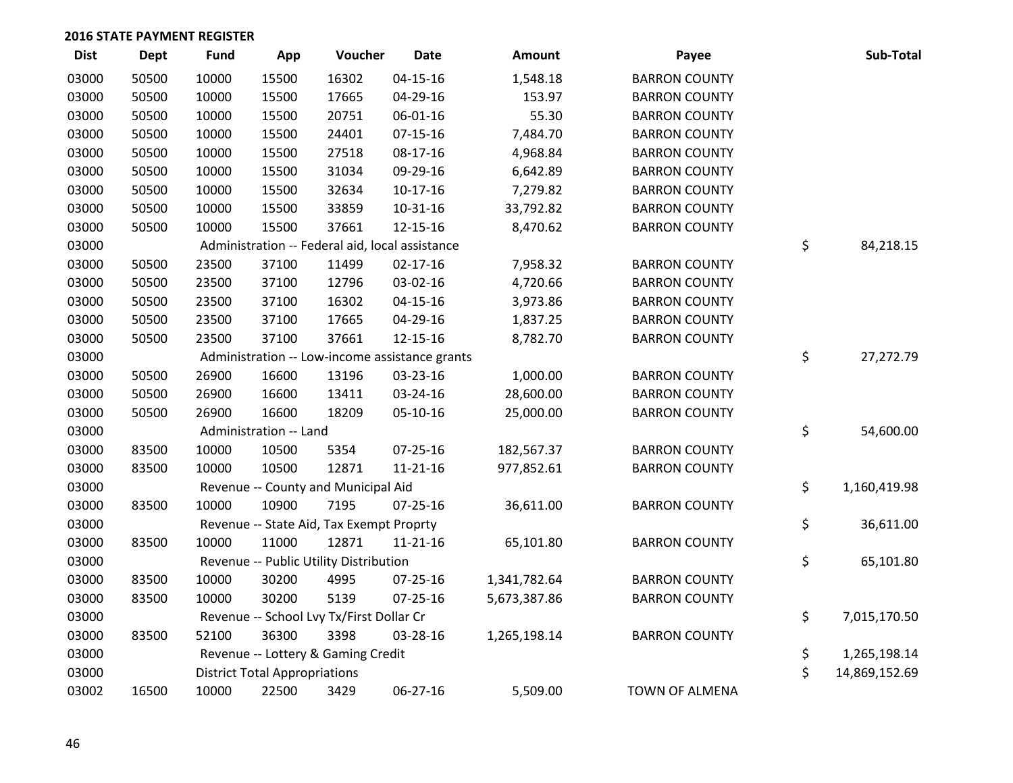| <b>Dist</b> | <b>Dept</b> | <b>Fund</b> | App                                  | Voucher                                         | <b>Date</b>    | <b>Amount</b> | Payee                 | Sub-Total           |
|-------------|-------------|-------------|--------------------------------------|-------------------------------------------------|----------------|---------------|-----------------------|---------------------|
| 03000       | 50500       | 10000       | 15500                                | 16302                                           | $04 - 15 - 16$ | 1,548.18      | <b>BARRON COUNTY</b>  |                     |
| 03000       | 50500       | 10000       | 15500                                | 17665                                           | 04-29-16       | 153.97        | <b>BARRON COUNTY</b>  |                     |
| 03000       | 50500       | 10000       | 15500                                | 20751                                           | 06-01-16       | 55.30         | <b>BARRON COUNTY</b>  |                     |
| 03000       | 50500       | 10000       | 15500                                | 24401                                           | $07 - 15 - 16$ | 7,484.70      | <b>BARRON COUNTY</b>  |                     |
| 03000       | 50500       | 10000       | 15500                                | 27518                                           | 08-17-16       | 4,968.84      | <b>BARRON COUNTY</b>  |                     |
| 03000       | 50500       | 10000       | 15500                                | 31034                                           | 09-29-16       | 6,642.89      | <b>BARRON COUNTY</b>  |                     |
| 03000       | 50500       | 10000       | 15500                                | 32634                                           | $10-17-16$     | 7,279.82      | <b>BARRON COUNTY</b>  |                     |
| 03000       | 50500       | 10000       | 15500                                | 33859                                           | 10-31-16       | 33,792.82     | <b>BARRON COUNTY</b>  |                     |
| 03000       | 50500       | 10000       | 15500                                | 37661                                           | 12-15-16       | 8,470.62      | <b>BARRON COUNTY</b>  |                     |
| 03000       |             |             |                                      | Administration -- Federal aid, local assistance |                |               |                       | \$<br>84,218.15     |
| 03000       | 50500       | 23500       | 37100                                | 11499                                           | $02 - 17 - 16$ | 7,958.32      | <b>BARRON COUNTY</b>  |                     |
| 03000       | 50500       | 23500       | 37100                                | 12796                                           | 03-02-16       | 4,720.66      | <b>BARRON COUNTY</b>  |                     |
| 03000       | 50500       | 23500       | 37100                                | 16302                                           | $04 - 15 - 16$ | 3,973.86      | <b>BARRON COUNTY</b>  |                     |
| 03000       | 50500       | 23500       | 37100                                | 17665                                           | 04-29-16       | 1,837.25      | <b>BARRON COUNTY</b>  |                     |
| 03000       | 50500       | 23500       | 37100                                | 37661                                           | 12-15-16       | 8,782.70      | <b>BARRON COUNTY</b>  |                     |
| 03000       |             |             |                                      | Administration -- Low-income assistance grants  |                |               |                       | \$<br>27,272.79     |
| 03000       | 50500       | 26900       | 16600                                | 13196                                           | 03-23-16       | 1,000.00      | <b>BARRON COUNTY</b>  |                     |
| 03000       | 50500       | 26900       | 16600                                | 13411                                           | 03-24-16       | 28,600.00     | <b>BARRON COUNTY</b>  |                     |
| 03000       | 50500       | 26900       | 16600                                | 18209                                           | 05-10-16       | 25,000.00     | <b>BARRON COUNTY</b>  |                     |
| 03000       |             |             | Administration -- Land               |                                                 |                |               |                       | \$<br>54,600.00     |
| 03000       | 83500       | 10000       | 10500                                | 5354                                            | $07 - 25 - 16$ | 182,567.37    | <b>BARRON COUNTY</b>  |                     |
| 03000       | 83500       | 10000       | 10500                                | 12871                                           | $11 - 21 - 16$ | 977,852.61    | <b>BARRON COUNTY</b>  |                     |
| 03000       |             |             |                                      | Revenue -- County and Municipal Aid             |                |               |                       | \$<br>1,160,419.98  |
| 03000       | 83500       | 10000       | 10900                                | 7195                                            | $07 - 25 - 16$ | 36,611.00     | <b>BARRON COUNTY</b>  |                     |
| 03000       |             |             |                                      | Revenue -- State Aid, Tax Exempt Proprty        |                |               |                       | \$<br>36,611.00     |
| 03000       | 83500       | 10000       | 11000                                | 12871                                           | $11 - 21 - 16$ | 65,101.80     | <b>BARRON COUNTY</b>  |                     |
| 03000       |             |             |                                      | Revenue -- Public Utility Distribution          |                |               |                       | \$<br>65,101.80     |
| 03000       | 83500       | 10000       | 30200                                | 4995                                            | $07 - 25 - 16$ | 1,341,782.64  | <b>BARRON COUNTY</b>  |                     |
| 03000       | 83500       | 10000       | 30200                                | 5139                                            | $07 - 25 - 16$ | 5,673,387.86  | <b>BARRON COUNTY</b>  |                     |
| 03000       |             |             |                                      | Revenue -- School Lvy Tx/First Dollar Cr        |                |               |                       | \$<br>7,015,170.50  |
| 03000       | 83500       | 52100       | 36300                                | 3398                                            | 03-28-16       | 1,265,198.14  | <b>BARRON COUNTY</b>  |                     |
| 03000       |             |             |                                      | Revenue -- Lottery & Gaming Credit              |                |               |                       | \$<br>1,265,198.14  |
| 03000       |             |             | <b>District Total Appropriations</b> |                                                 |                |               |                       | \$<br>14,869,152.69 |
| 03002       | 16500       | 10000       | 22500                                | 3429                                            | 06-27-16       | 5,509.00      | <b>TOWN OF ALMENA</b> |                     |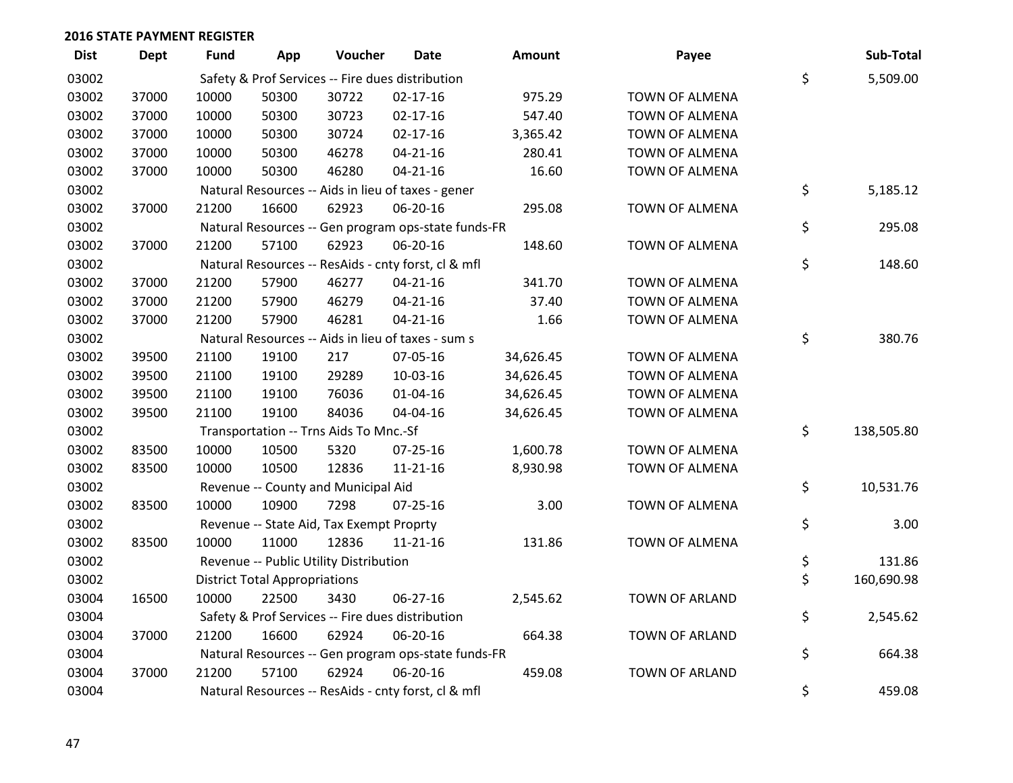| <b>Dist</b> | <b>Dept</b> | Fund  | App                                  | Voucher                                  | Date                                                | Amount    | Payee                 | Sub-Total        |
|-------------|-------------|-------|--------------------------------------|------------------------------------------|-----------------------------------------------------|-----------|-----------------------|------------------|
| 03002       |             |       |                                      |                                          | Safety & Prof Services -- Fire dues distribution    |           |                       | \$<br>5,509.00   |
| 03002       | 37000       | 10000 | 50300                                | 30722                                    | $02 - 17 - 16$                                      | 975.29    | TOWN OF ALMENA        |                  |
| 03002       | 37000       | 10000 | 50300                                | 30723                                    | $02 - 17 - 16$                                      | 547.40    | TOWN OF ALMENA        |                  |
| 03002       | 37000       | 10000 | 50300                                | 30724                                    | $02 - 17 - 16$                                      | 3,365.42  | TOWN OF ALMENA        |                  |
| 03002       | 37000       | 10000 | 50300                                | 46278                                    | $04 - 21 - 16$                                      | 280.41    | <b>TOWN OF ALMENA</b> |                  |
| 03002       | 37000       | 10000 | 50300                                | 46280                                    | $04 - 21 - 16$                                      | 16.60     | TOWN OF ALMENA        |                  |
| 03002       |             |       |                                      |                                          | Natural Resources -- Aids in lieu of taxes - gener  |           |                       | \$<br>5,185.12   |
| 03002       | 37000       | 21200 | 16600                                | 62923                                    | 06-20-16                                            | 295.08    | TOWN OF ALMENA        |                  |
| 03002       |             |       |                                      |                                          | Natural Resources -- Gen program ops-state funds-FR |           |                       | \$<br>295.08     |
| 03002       | 37000       | 21200 | 57100                                | 62923                                    | 06-20-16                                            | 148.60    | TOWN OF ALMENA        |                  |
| 03002       |             |       |                                      |                                          | Natural Resources -- ResAids - cnty forst, cl & mfl |           |                       | \$<br>148.60     |
| 03002       | 37000       | 21200 | 57900                                | 46277                                    | $04 - 21 - 16$                                      | 341.70    | <b>TOWN OF ALMENA</b> |                  |
| 03002       | 37000       | 21200 | 57900                                | 46279                                    | $04 - 21 - 16$                                      | 37.40     | TOWN OF ALMENA        |                  |
| 03002       | 37000       | 21200 | 57900                                | 46281                                    | $04 - 21 - 16$                                      | 1.66      | TOWN OF ALMENA        |                  |
| 03002       |             |       |                                      |                                          | Natural Resources -- Aids in lieu of taxes - sum s  |           |                       | \$<br>380.76     |
| 03002       | 39500       | 21100 | 19100                                | 217                                      | 07-05-16                                            | 34,626.45 | TOWN OF ALMENA        |                  |
| 03002       | 39500       | 21100 | 19100                                | 29289                                    | 10-03-16                                            | 34,626.45 | TOWN OF ALMENA        |                  |
| 03002       | 39500       | 21100 | 19100                                | 76036                                    | 01-04-16                                            | 34,626.45 | TOWN OF ALMENA        |                  |
| 03002       | 39500       | 21100 | 19100                                | 84036                                    | 04-04-16                                            | 34,626.45 | TOWN OF ALMENA        |                  |
| 03002       |             |       |                                      | Transportation -- Trns Aids To Mnc.-Sf   |                                                     |           |                       | \$<br>138,505.80 |
| 03002       | 83500       | 10000 | 10500                                | 5320                                     | 07-25-16                                            | 1,600.78  | TOWN OF ALMENA        |                  |
| 03002       | 83500       | 10000 | 10500                                | 12836                                    | $11 - 21 - 16$                                      | 8,930.98  | TOWN OF ALMENA        |                  |
| 03002       |             |       |                                      | Revenue -- County and Municipal Aid      |                                                     |           |                       | \$<br>10,531.76  |
| 03002       | 83500       | 10000 | 10900                                | 7298                                     | $07 - 25 - 16$                                      | 3.00      | <b>TOWN OF ALMENA</b> |                  |
| 03002       |             |       |                                      | Revenue -- State Aid, Tax Exempt Proprty |                                                     |           |                       | \$<br>3.00       |
| 03002       | 83500       | 10000 | 11000                                | 12836                                    | $11 - 21 - 16$                                      | 131.86    | TOWN OF ALMENA        |                  |
| 03002       |             |       |                                      | Revenue -- Public Utility Distribution   |                                                     |           |                       | \$<br>131.86     |
| 03002       |             |       | <b>District Total Appropriations</b> |                                          |                                                     |           |                       | \$<br>160,690.98 |
| 03004       | 16500       | 10000 | 22500                                | 3430                                     | 06-27-16                                            | 2,545.62  | TOWN OF ARLAND        |                  |
| 03004       |             |       |                                      |                                          | Safety & Prof Services -- Fire dues distribution    |           |                       | \$<br>2,545.62   |
| 03004       | 37000       | 21200 | 16600                                | 62924                                    | 06-20-16                                            | 664.38    | TOWN OF ARLAND        |                  |
| 03004       |             |       |                                      |                                          | Natural Resources -- Gen program ops-state funds-FR |           |                       | \$<br>664.38     |
| 03004       | 37000       | 21200 | 57100                                | 62924                                    | 06-20-16                                            | 459.08    | <b>TOWN OF ARLAND</b> |                  |
| 03004       |             |       |                                      |                                          | Natural Resources -- ResAids - cnty forst, cl & mfl |           |                       | \$<br>459.08     |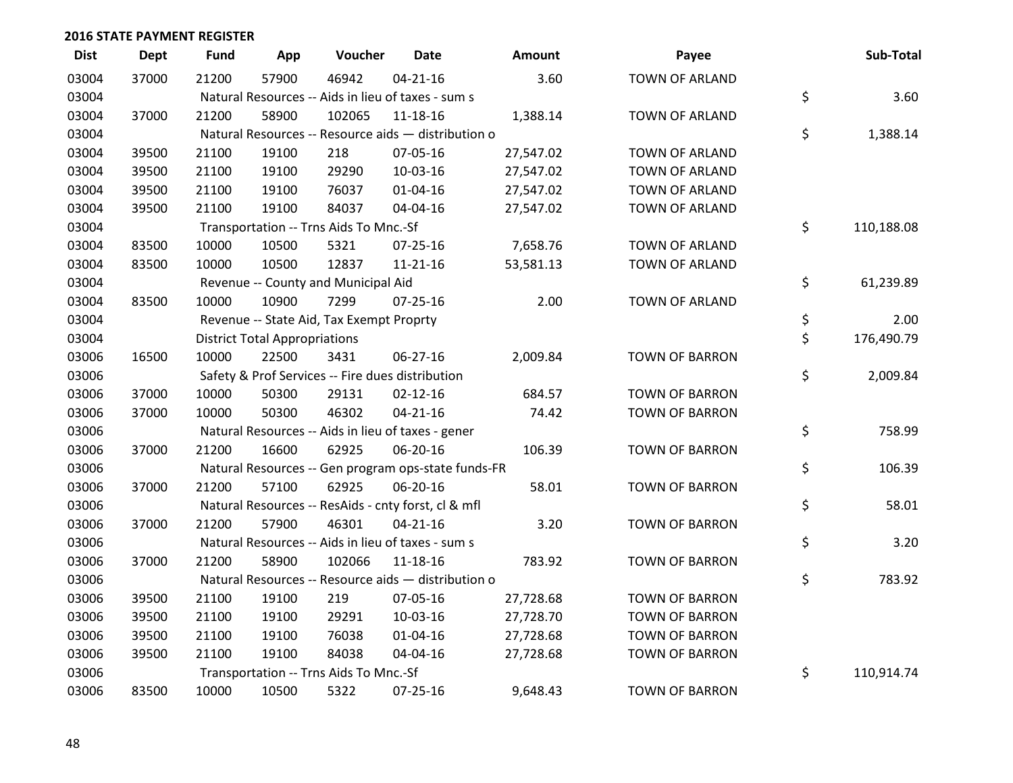| <b>Dist</b> | <b>Dept</b> | <b>Fund</b> | App                                  | Voucher                                             | <b>Date</b>    | Amount    | Payee                 | Sub-Total        |
|-------------|-------------|-------------|--------------------------------------|-----------------------------------------------------|----------------|-----------|-----------------------|------------------|
| 03004       | 37000       | 21200       | 57900                                | 46942                                               | $04 - 21 - 16$ | 3.60      | <b>TOWN OF ARLAND</b> |                  |
| 03004       |             |             |                                      | Natural Resources -- Aids in lieu of taxes - sum s  |                |           |                       | \$<br>3.60       |
| 03004       | 37000       | 21200       | 58900                                | 102065                                              | 11-18-16       | 1,388.14  | <b>TOWN OF ARLAND</b> |                  |
| 03004       |             |             |                                      | Natural Resources -- Resource aids - distribution o |                |           |                       | \$<br>1,388.14   |
| 03004       | 39500       | 21100       | 19100                                | 218                                                 | 07-05-16       | 27,547.02 | TOWN OF ARLAND        |                  |
| 03004       | 39500       | 21100       | 19100                                | 29290                                               | 10-03-16       | 27,547.02 | TOWN OF ARLAND        |                  |
| 03004       | 39500       | 21100       | 19100                                | 76037                                               | $01 - 04 - 16$ | 27,547.02 | TOWN OF ARLAND        |                  |
| 03004       | 39500       | 21100       | 19100                                | 84037                                               | 04-04-16       | 27,547.02 | TOWN OF ARLAND        |                  |
| 03004       |             |             |                                      | Transportation -- Trns Aids To Mnc.-Sf              |                |           |                       | \$<br>110,188.08 |
| 03004       | 83500       | 10000       | 10500                                | 5321                                                | $07 - 25 - 16$ | 7,658.76  | TOWN OF ARLAND        |                  |
| 03004       | 83500       | 10000       | 10500                                | 12837                                               | 11-21-16       | 53,581.13 | TOWN OF ARLAND        |                  |
| 03004       |             |             |                                      | Revenue -- County and Municipal Aid                 |                |           |                       | \$<br>61,239.89  |
| 03004       | 83500       | 10000       | 10900                                | 7299                                                | $07 - 25 - 16$ | 2.00      | TOWN OF ARLAND        |                  |
| 03004       |             |             |                                      | Revenue -- State Aid, Tax Exempt Proprty            |                |           |                       | \$<br>2.00       |
| 03004       |             |             | <b>District Total Appropriations</b> |                                                     |                |           |                       | \$<br>176,490.79 |
| 03006       | 16500       | 10000       | 22500                                | 3431                                                | 06-27-16       | 2,009.84  | <b>TOWN OF BARRON</b> |                  |
| 03006       |             |             |                                      | Safety & Prof Services -- Fire dues distribution    |                |           |                       | \$<br>2,009.84   |
| 03006       | 37000       | 10000       | 50300                                | 29131                                               | $02 - 12 - 16$ | 684.57    | <b>TOWN OF BARRON</b> |                  |
| 03006       | 37000       | 10000       | 50300                                | 46302                                               | $04 - 21 - 16$ | 74.42     | <b>TOWN OF BARRON</b> |                  |
| 03006       |             |             |                                      | Natural Resources -- Aids in lieu of taxes - gener  |                |           |                       | \$<br>758.99     |
| 03006       | 37000       | 21200       | 16600                                | 62925                                               | 06-20-16       | 106.39    | <b>TOWN OF BARRON</b> |                  |
| 03006       |             |             |                                      | Natural Resources -- Gen program ops-state funds-FR |                |           |                       | \$<br>106.39     |
| 03006       | 37000       | 21200       | 57100                                | 62925                                               | 06-20-16       | 58.01     | <b>TOWN OF BARRON</b> |                  |
| 03006       |             |             |                                      | Natural Resources -- ResAids - cnty forst, cl & mfl |                |           |                       | \$<br>58.01      |
| 03006       | 37000       | 21200       | 57900                                | 46301                                               | $04 - 21 - 16$ | 3.20      | <b>TOWN OF BARRON</b> |                  |
| 03006       |             |             |                                      | Natural Resources -- Aids in lieu of taxes - sum s  |                |           |                       | \$<br>3.20       |
| 03006       | 37000       | 21200       | 58900                                | 102066                                              | 11-18-16       | 783.92    | <b>TOWN OF BARRON</b> |                  |
| 03006       |             |             |                                      | Natural Resources -- Resource aids - distribution o |                |           |                       | \$<br>783.92     |
| 03006       | 39500       | 21100       | 19100                                | 219                                                 | 07-05-16       | 27,728.68 | <b>TOWN OF BARRON</b> |                  |
| 03006       | 39500       | 21100       | 19100                                | 29291                                               | 10-03-16       | 27,728.70 | <b>TOWN OF BARRON</b> |                  |
| 03006       | 39500       | 21100       | 19100                                | 76038                                               | 01-04-16       | 27,728.68 | <b>TOWN OF BARRON</b> |                  |
| 03006       | 39500       | 21100       | 19100                                | 84038                                               | 04-04-16       | 27,728.68 | <b>TOWN OF BARRON</b> |                  |
| 03006       |             |             |                                      | Transportation -- Trns Aids To Mnc.-Sf              |                |           |                       | \$<br>110,914.74 |
| 03006       | 83500       | 10000       | 10500                                | 5322                                                | 07-25-16       | 9,648.43  | <b>TOWN OF BARRON</b> |                  |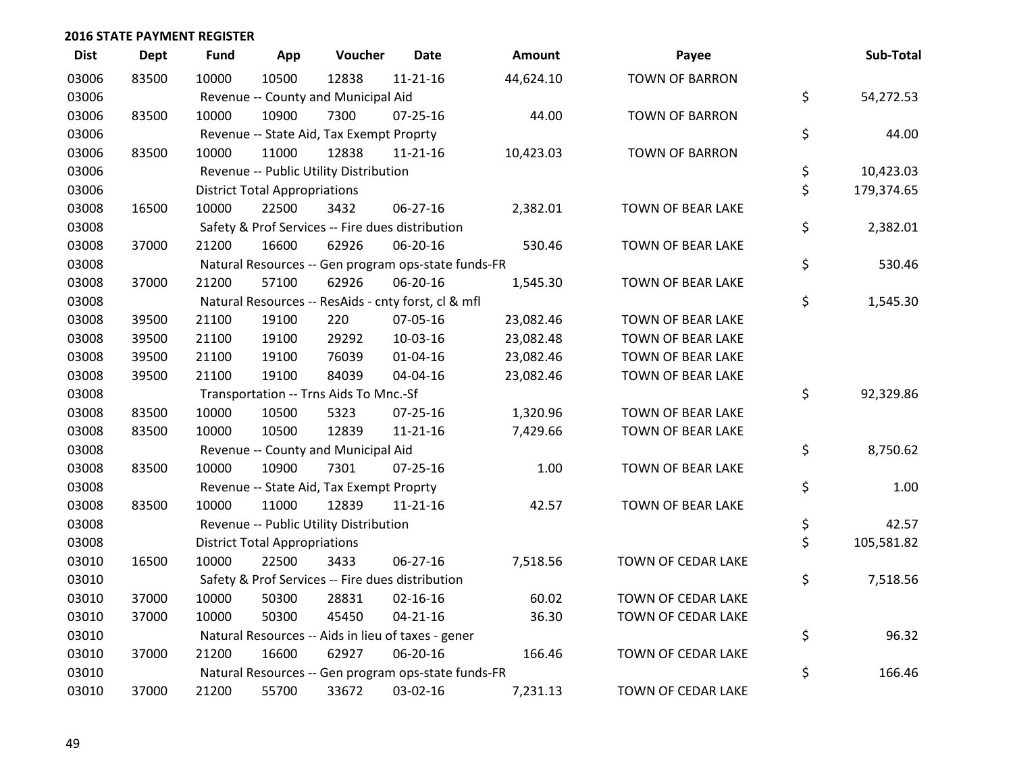| <b>Dist</b> | <b>Dept</b> | <b>Fund</b> | App                                  | Voucher                                             | <b>Date</b>    | <b>Amount</b> | Payee                 | Sub-Total        |
|-------------|-------------|-------------|--------------------------------------|-----------------------------------------------------|----------------|---------------|-----------------------|------------------|
| 03006       | 83500       | 10000       | 10500                                | 12838                                               | $11 - 21 - 16$ | 44,624.10     | <b>TOWN OF BARRON</b> |                  |
| 03006       |             |             |                                      | Revenue -- County and Municipal Aid                 |                |               |                       | \$<br>54,272.53  |
| 03006       | 83500       | 10000       | 10900                                | 7300                                                | 07-25-16       | 44.00         | <b>TOWN OF BARRON</b> |                  |
| 03006       |             |             |                                      | Revenue -- State Aid, Tax Exempt Proprty            |                |               |                       | \$<br>44.00      |
| 03006       | 83500       | 10000       | 11000                                | 12838                                               | $11 - 21 - 16$ | 10,423.03     | <b>TOWN OF BARRON</b> |                  |
| 03006       |             |             |                                      | Revenue -- Public Utility Distribution              |                |               |                       | \$<br>10,423.03  |
| 03006       |             |             | <b>District Total Appropriations</b> |                                                     |                |               |                       | \$<br>179,374.65 |
| 03008       | 16500       | 10000       | 22500                                | 3432                                                | 06-27-16       | 2,382.01      | TOWN OF BEAR LAKE     |                  |
| 03008       |             |             |                                      | Safety & Prof Services -- Fire dues distribution    |                |               |                       | \$<br>2,382.01   |
| 03008       | 37000       | 21200       | 16600                                | 62926                                               | 06-20-16       | 530.46        | TOWN OF BEAR LAKE     |                  |
| 03008       |             |             |                                      | Natural Resources -- Gen program ops-state funds-FR |                |               |                       | \$<br>530.46     |
| 03008       | 37000       | 21200       | 57100                                | 62926                                               | 06-20-16       | 1,545.30      | TOWN OF BEAR LAKE     |                  |
| 03008       |             |             |                                      | Natural Resources -- ResAids - cnty forst, cl & mfl |                |               |                       | \$<br>1,545.30   |
| 03008       | 39500       | 21100       | 19100                                | 220                                                 | 07-05-16       | 23,082.46     | TOWN OF BEAR LAKE     |                  |
| 03008       | 39500       | 21100       | 19100                                | 29292                                               | 10-03-16       | 23,082.48     | TOWN OF BEAR LAKE     |                  |
| 03008       | 39500       | 21100       | 19100                                | 76039                                               | $01 - 04 - 16$ | 23,082.46     | TOWN OF BEAR LAKE     |                  |
| 03008       | 39500       | 21100       | 19100                                | 84039                                               | 04-04-16       | 23,082.46     | TOWN OF BEAR LAKE     |                  |
| 03008       |             |             |                                      | Transportation -- Trns Aids To Mnc.-Sf              |                |               |                       | \$<br>92,329.86  |
| 03008       | 83500       | 10000       | 10500                                | 5323                                                | 07-25-16       | 1,320.96      | TOWN OF BEAR LAKE     |                  |
| 03008       | 83500       | 10000       | 10500                                | 12839                                               | $11 - 21 - 16$ | 7,429.66      | TOWN OF BEAR LAKE     |                  |
| 03008       |             |             |                                      | Revenue -- County and Municipal Aid                 |                |               |                       | \$<br>8,750.62   |
| 03008       | 83500       | 10000       | 10900                                | 7301                                                | $07 - 25 - 16$ | 1.00          | TOWN OF BEAR LAKE     |                  |
| 03008       |             |             |                                      | Revenue -- State Aid, Tax Exempt Proprty            |                |               |                       | \$<br>1.00       |
| 03008       | 83500       | 10000       | 11000                                | 12839                                               | $11 - 21 - 16$ | 42.57         | TOWN OF BEAR LAKE     |                  |
| 03008       |             |             |                                      | Revenue -- Public Utility Distribution              |                |               |                       | \$<br>42.57      |
| 03008       |             |             | <b>District Total Appropriations</b> |                                                     |                |               |                       | \$<br>105,581.82 |
| 03010       | 16500       | 10000       | 22500                                | 3433                                                | 06-27-16       | 7,518.56      | TOWN OF CEDAR LAKE    |                  |
| 03010       |             |             |                                      | Safety & Prof Services -- Fire dues distribution    |                |               |                       | \$<br>7,518.56   |
| 03010       | 37000       | 10000       | 50300                                | 28831                                               | $02 - 16 - 16$ | 60.02         | TOWN OF CEDAR LAKE    |                  |
| 03010       | 37000       | 10000       | 50300                                | 45450                                               | $04 - 21 - 16$ | 36.30         | TOWN OF CEDAR LAKE    |                  |
| 03010       |             |             |                                      | Natural Resources -- Aids in lieu of taxes - gener  |                |               |                       | \$<br>96.32      |
| 03010       | 37000       | 21200       | 16600                                | 62927                                               | 06-20-16       | 166.46        | TOWN OF CEDAR LAKE    |                  |
| 03010       |             |             |                                      | Natural Resources -- Gen program ops-state funds-FR |                |               |                       | \$<br>166.46     |
| 03010       | 37000       | 21200       | 55700                                | 33672                                               | 03-02-16       | 7,231.13      | TOWN OF CEDAR LAKE    |                  |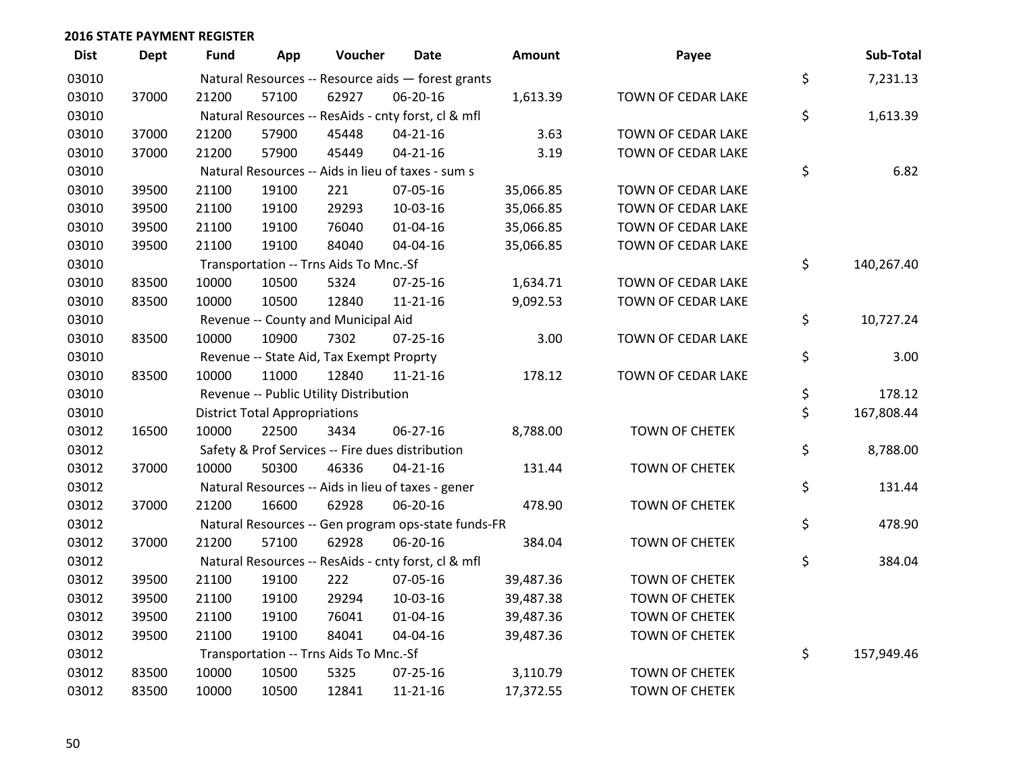| <b>Dist</b> | <b>Dept</b> | <b>Fund</b> | App                                  | Voucher                                  | <b>Date</b>                                         | <b>Amount</b> | Payee                 | Sub-Total        |
|-------------|-------------|-------------|--------------------------------------|------------------------------------------|-----------------------------------------------------|---------------|-----------------------|------------------|
| 03010       |             |             |                                      |                                          | Natural Resources -- Resource aids - forest grants  |               |                       | \$<br>7,231.13   |
| 03010       | 37000       | 21200       | 57100                                | 62927                                    | 06-20-16                                            | 1,613.39      | TOWN OF CEDAR LAKE    |                  |
| 03010       |             |             |                                      |                                          | Natural Resources -- ResAids - cnty forst, cl & mfl |               |                       | \$<br>1,613.39   |
| 03010       | 37000       | 21200       | 57900                                | 45448                                    | $04 - 21 - 16$                                      | 3.63          | TOWN OF CEDAR LAKE    |                  |
| 03010       | 37000       | 21200       | 57900                                | 45449                                    | $04 - 21 - 16$                                      | 3.19          | TOWN OF CEDAR LAKE    |                  |
| 03010       |             |             |                                      |                                          | Natural Resources -- Aids in lieu of taxes - sum s  |               |                       | \$<br>6.82       |
| 03010       | 39500       | 21100       | 19100                                | 221                                      | 07-05-16                                            | 35,066.85     | TOWN OF CEDAR LAKE    |                  |
| 03010       | 39500       | 21100       | 19100                                | 29293                                    | 10-03-16                                            | 35,066.85     | TOWN OF CEDAR LAKE    |                  |
| 03010       | 39500       | 21100       | 19100                                | 76040                                    | 01-04-16                                            | 35,066.85     | TOWN OF CEDAR LAKE    |                  |
| 03010       | 39500       | 21100       | 19100                                | 84040                                    | 04-04-16                                            | 35,066.85     | TOWN OF CEDAR LAKE    |                  |
| 03010       |             |             |                                      | Transportation -- Trns Aids To Mnc.-Sf   |                                                     |               |                       | \$<br>140,267.40 |
| 03010       | 83500       | 10000       | 10500                                | 5324                                     | 07-25-16                                            | 1,634.71      | TOWN OF CEDAR LAKE    |                  |
| 03010       | 83500       | 10000       | 10500                                | 12840                                    | $11 - 21 - 16$                                      | 9,092.53      | TOWN OF CEDAR LAKE    |                  |
| 03010       |             |             |                                      | Revenue -- County and Municipal Aid      |                                                     |               |                       | \$<br>10,727.24  |
| 03010       | 83500       | 10000       | 10900                                | 7302                                     | $07 - 25 - 16$                                      | 3.00          | TOWN OF CEDAR LAKE    |                  |
| 03010       |             |             |                                      | Revenue -- State Aid, Tax Exempt Proprty |                                                     |               |                       | \$<br>3.00       |
| 03010       | 83500       | 10000       | 11000                                | 12840                                    | $11 - 21 - 16$                                      | 178.12        | TOWN OF CEDAR LAKE    |                  |
| 03010       |             |             |                                      | Revenue -- Public Utility Distribution   |                                                     |               |                       | \$<br>178.12     |
| 03010       |             |             | <b>District Total Appropriations</b> |                                          |                                                     |               |                       | \$<br>167,808.44 |
| 03012       | 16500       | 10000       | 22500                                | 3434                                     | 06-27-16                                            | 8,788.00      | <b>TOWN OF CHETEK</b> |                  |
| 03012       |             |             |                                      |                                          | Safety & Prof Services -- Fire dues distribution    |               |                       | \$<br>8,788.00   |
| 03012       | 37000       | 10000       | 50300                                | 46336                                    | $04 - 21 - 16$                                      | 131.44        | <b>TOWN OF CHETEK</b> |                  |
| 03012       |             |             |                                      |                                          | Natural Resources -- Aids in lieu of taxes - gener  |               |                       | \$<br>131.44     |
| 03012       | 37000       | 21200       | 16600                                | 62928                                    | 06-20-16                                            | 478.90        | <b>TOWN OF CHETEK</b> |                  |
| 03012       |             |             |                                      |                                          | Natural Resources -- Gen program ops-state funds-FR |               |                       | \$<br>478.90     |
| 03012       | 37000       | 21200       | 57100                                | 62928                                    | 06-20-16                                            | 384.04        | <b>TOWN OF CHETEK</b> |                  |
| 03012       |             |             |                                      |                                          | Natural Resources -- ResAids - cnty forst, cl & mfl |               |                       | \$<br>384.04     |
| 03012       | 39500       | 21100       | 19100                                | 222                                      | 07-05-16                                            | 39,487.36     | <b>TOWN OF CHETEK</b> |                  |
| 03012       | 39500       | 21100       | 19100                                | 29294                                    | 10-03-16                                            | 39,487.38     | <b>TOWN OF CHETEK</b> |                  |
| 03012       | 39500       | 21100       | 19100                                | 76041                                    | $01 - 04 - 16$                                      | 39,487.36     | <b>TOWN OF CHETEK</b> |                  |
| 03012       | 39500       | 21100       | 19100                                | 84041                                    | 04-04-16                                            | 39,487.36     | <b>TOWN OF CHETEK</b> |                  |
| 03012       |             |             |                                      | Transportation -- Trns Aids To Mnc.-Sf   |                                                     |               |                       | \$<br>157,949.46 |
| 03012       | 83500       | 10000       | 10500                                | 5325                                     | 07-25-16                                            | 3,110.79      | <b>TOWN OF CHETEK</b> |                  |
| 03012       | 83500       | 10000       | 10500                                | 12841                                    | $11 - 21 - 16$                                      | 17,372.55     | <b>TOWN OF CHETEK</b> |                  |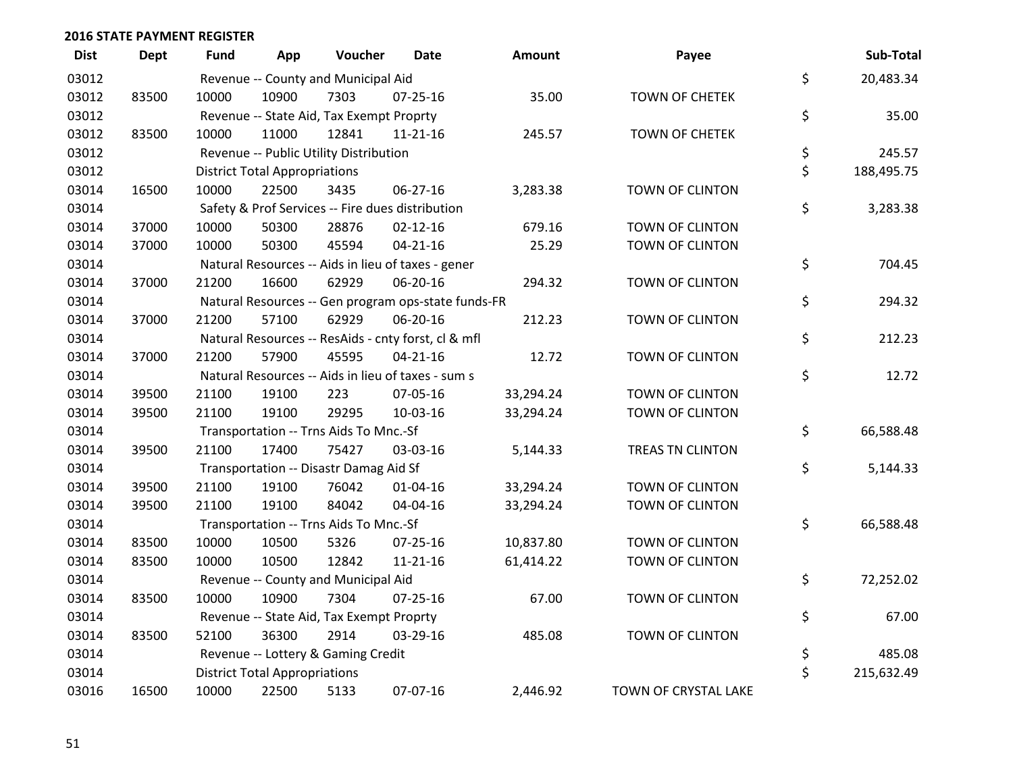| <b>Dist</b> | <b>Dept</b> | <b>Fund</b> | App                                  | Voucher                                  | <b>Date</b>                                         | Amount    | Payee                 | Sub-Total        |
|-------------|-------------|-------------|--------------------------------------|------------------------------------------|-----------------------------------------------------|-----------|-----------------------|------------------|
| 03012       |             |             |                                      | Revenue -- County and Municipal Aid      |                                                     |           |                       | \$<br>20,483.34  |
| 03012       | 83500       | 10000       | 10900                                | 7303                                     | 07-25-16                                            | 35.00     | <b>TOWN OF CHETEK</b> |                  |
| 03012       |             |             |                                      | Revenue -- State Aid, Tax Exempt Proprty |                                                     |           |                       | \$<br>35.00      |
| 03012       | 83500       | 10000       | 11000                                | 12841                                    | $11 - 21 - 16$                                      | 245.57    | <b>TOWN OF CHETEK</b> |                  |
| 03012       |             |             |                                      | Revenue -- Public Utility Distribution   |                                                     |           |                       | \$<br>245.57     |
| 03012       |             |             | <b>District Total Appropriations</b> |                                          |                                                     |           |                       | \$<br>188,495.75 |
| 03014       | 16500       | 10000       | 22500                                | 3435                                     | 06-27-16                                            | 3,283.38  | TOWN OF CLINTON       |                  |
| 03014       |             |             |                                      |                                          | Safety & Prof Services -- Fire dues distribution    |           |                       | \$<br>3,283.38   |
| 03014       | 37000       | 10000       | 50300                                | 28876                                    | $02 - 12 - 16$                                      | 679.16    | TOWN OF CLINTON       |                  |
| 03014       | 37000       | 10000       | 50300                                | 45594                                    | $04 - 21 - 16$                                      | 25.29     | TOWN OF CLINTON       |                  |
| 03014       |             |             |                                      |                                          | Natural Resources -- Aids in lieu of taxes - gener  |           |                       | \$<br>704.45     |
| 03014       | 37000       | 21200       | 16600                                | 62929                                    | 06-20-16                                            | 294.32    | TOWN OF CLINTON       |                  |
| 03014       |             |             |                                      |                                          | Natural Resources -- Gen program ops-state funds-FR |           |                       | \$<br>294.32     |
| 03014       | 37000       | 21200       | 57100                                | 62929                                    | 06-20-16                                            | 212.23    | TOWN OF CLINTON       |                  |
| 03014       |             |             |                                      |                                          | Natural Resources -- ResAids - cnty forst, cl & mfl |           |                       | \$<br>212.23     |
| 03014       | 37000       | 21200       | 57900                                | 45595                                    | $04 - 21 - 16$                                      | 12.72     | TOWN OF CLINTON       |                  |
| 03014       |             |             |                                      |                                          | Natural Resources -- Aids in lieu of taxes - sum s  |           |                       | \$<br>12.72      |
| 03014       | 39500       | 21100       | 19100                                | 223                                      | 07-05-16                                            | 33,294.24 | TOWN OF CLINTON       |                  |
| 03014       | 39500       | 21100       | 19100                                | 29295                                    | 10-03-16                                            | 33,294.24 | TOWN OF CLINTON       |                  |
| 03014       |             |             |                                      | Transportation -- Trns Aids To Mnc.-Sf   |                                                     |           |                       | \$<br>66,588.48  |
| 03014       | 39500       | 21100       | 17400                                | 75427                                    | 03-03-16                                            | 5,144.33  | TREAS TN CLINTON      |                  |
| 03014       |             |             |                                      | Transportation -- Disastr Damag Aid Sf   |                                                     |           |                       | \$<br>5,144.33   |
| 03014       | 39500       | 21100       | 19100                                | 76042                                    | $01 - 04 - 16$                                      | 33,294.24 | TOWN OF CLINTON       |                  |
| 03014       | 39500       | 21100       | 19100                                | 84042                                    | 04-04-16                                            | 33,294.24 | TOWN OF CLINTON       |                  |
| 03014       |             |             |                                      | Transportation -- Trns Aids To Mnc.-Sf   |                                                     |           |                       | \$<br>66,588.48  |
| 03014       | 83500       | 10000       | 10500                                | 5326                                     | $07 - 25 - 16$                                      | 10,837.80 | TOWN OF CLINTON       |                  |
| 03014       | 83500       | 10000       | 10500                                | 12842                                    | 11-21-16                                            | 61,414.22 | TOWN OF CLINTON       |                  |
| 03014       |             |             |                                      | Revenue -- County and Municipal Aid      |                                                     |           |                       | \$<br>72,252.02  |
| 03014       | 83500       | 10000       | 10900                                | 7304                                     | $07 - 25 - 16$                                      | 67.00     | TOWN OF CLINTON       |                  |
| 03014       |             |             |                                      | Revenue -- State Aid, Tax Exempt Proprty |                                                     |           |                       | \$<br>67.00      |
| 03014       | 83500       | 52100       | 36300                                | 2914                                     | 03-29-16                                            | 485.08    | TOWN OF CLINTON       |                  |
| 03014       |             |             |                                      | Revenue -- Lottery & Gaming Credit       |                                                     |           |                       | \$<br>485.08     |
| 03014       |             |             | <b>District Total Appropriations</b> |                                          |                                                     |           |                       | \$<br>215,632.49 |
| 03016       | 16500       | 10000       | 22500                                | 5133                                     | 07-07-16                                            | 2,446.92  | TOWN OF CRYSTAL LAKE  |                  |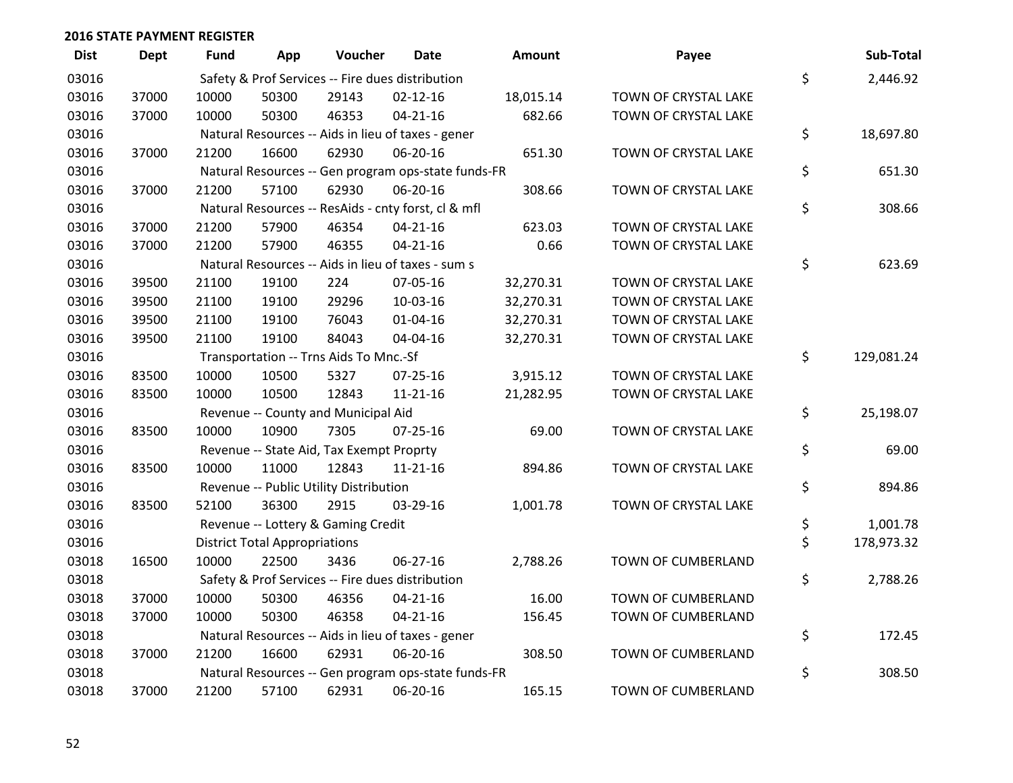| <b>Dist</b> | <b>Dept</b> | Fund  | App                                  | Voucher                                  | Date                                                | <b>Amount</b> | Payee                     | Sub-Total        |
|-------------|-------------|-------|--------------------------------------|------------------------------------------|-----------------------------------------------------|---------------|---------------------------|------------------|
| 03016       |             |       |                                      |                                          | Safety & Prof Services -- Fire dues distribution    |               |                           | \$<br>2,446.92   |
| 03016       | 37000       | 10000 | 50300                                | 29143                                    | $02 - 12 - 16$                                      | 18,015.14     | TOWN OF CRYSTAL LAKE      |                  |
| 03016       | 37000       | 10000 | 50300                                | 46353                                    | $04 - 21 - 16$                                      | 682.66        | TOWN OF CRYSTAL LAKE      |                  |
| 03016       |             |       |                                      |                                          | Natural Resources -- Aids in lieu of taxes - gener  |               |                           | \$<br>18,697.80  |
| 03016       | 37000       | 21200 | 16600                                | 62930                                    | 06-20-16                                            | 651.30        | TOWN OF CRYSTAL LAKE      |                  |
| 03016       |             |       |                                      |                                          | Natural Resources -- Gen program ops-state funds-FR |               |                           | \$<br>651.30     |
| 03016       | 37000       | 21200 | 57100                                | 62930                                    | 06-20-16                                            | 308.66        | TOWN OF CRYSTAL LAKE      |                  |
| 03016       |             |       |                                      |                                          | Natural Resources -- ResAids - cnty forst, cl & mfl |               |                           | \$<br>308.66     |
| 03016       | 37000       | 21200 | 57900                                | 46354                                    | $04 - 21 - 16$                                      | 623.03        | TOWN OF CRYSTAL LAKE      |                  |
| 03016       | 37000       | 21200 | 57900                                | 46355                                    | $04 - 21 - 16$                                      | 0.66          | TOWN OF CRYSTAL LAKE      |                  |
| 03016       |             |       |                                      |                                          | Natural Resources -- Aids in lieu of taxes - sum s  |               |                           | \$<br>623.69     |
| 03016       | 39500       | 21100 | 19100                                | 224                                      | 07-05-16                                            | 32,270.31     | TOWN OF CRYSTAL LAKE      |                  |
| 03016       | 39500       | 21100 | 19100                                | 29296                                    | 10-03-16                                            | 32,270.31     | TOWN OF CRYSTAL LAKE      |                  |
| 03016       | 39500       | 21100 | 19100                                | 76043                                    | $01 - 04 - 16$                                      | 32,270.31     | TOWN OF CRYSTAL LAKE      |                  |
| 03016       | 39500       | 21100 | 19100                                | 84043                                    | 04-04-16                                            | 32,270.31     | TOWN OF CRYSTAL LAKE      |                  |
| 03016       |             |       |                                      | Transportation -- Trns Aids To Mnc.-Sf   |                                                     |               |                           | \$<br>129,081.24 |
| 03016       | 83500       | 10000 | 10500                                | 5327                                     | 07-25-16                                            | 3,915.12      | TOWN OF CRYSTAL LAKE      |                  |
| 03016       | 83500       | 10000 | 10500                                | 12843                                    | $11 - 21 - 16$                                      | 21,282.95     | TOWN OF CRYSTAL LAKE      |                  |
| 03016       |             |       |                                      | Revenue -- County and Municipal Aid      |                                                     |               |                           | \$<br>25,198.07  |
| 03016       | 83500       | 10000 | 10900                                | 7305                                     | $07 - 25 - 16$                                      | 69.00         | TOWN OF CRYSTAL LAKE      |                  |
| 03016       |             |       |                                      | Revenue -- State Aid, Tax Exempt Proprty |                                                     |               |                           | \$<br>69.00      |
| 03016       | 83500       | 10000 | 11000                                | 12843                                    | 11-21-16                                            | 894.86        | TOWN OF CRYSTAL LAKE      |                  |
| 03016       |             |       |                                      | Revenue -- Public Utility Distribution   |                                                     |               |                           | \$<br>894.86     |
| 03016       | 83500       | 52100 | 36300                                | 2915                                     | 03-29-16                                            | 1,001.78      | TOWN OF CRYSTAL LAKE      |                  |
| 03016       |             |       |                                      | Revenue -- Lottery & Gaming Credit       |                                                     |               |                           | \$<br>1,001.78   |
| 03016       |             |       | <b>District Total Appropriations</b> |                                          |                                                     |               |                           | \$<br>178,973.32 |
| 03018       | 16500       | 10000 | 22500                                | 3436                                     | 06-27-16                                            | 2,788.26      | TOWN OF CUMBERLAND        |                  |
| 03018       |             |       |                                      |                                          | Safety & Prof Services -- Fire dues distribution    |               |                           | \$<br>2,788.26   |
| 03018       | 37000       | 10000 | 50300                                | 46356                                    | $04 - 21 - 16$                                      | 16.00         | TOWN OF CUMBERLAND        |                  |
| 03018       | 37000       | 10000 | 50300                                | 46358                                    | $04 - 21 - 16$                                      | 156.45        | TOWN OF CUMBERLAND        |                  |
| 03018       |             |       |                                      |                                          | Natural Resources -- Aids in lieu of taxes - gener  |               |                           | \$<br>172.45     |
| 03018       | 37000       | 21200 | 16600                                | 62931                                    | 06-20-16                                            | 308.50        | TOWN OF CUMBERLAND        |                  |
| 03018       |             |       |                                      |                                          | Natural Resources -- Gen program ops-state funds-FR |               |                           | \$<br>308.50     |
| 03018       | 37000       | 21200 | 57100                                | 62931                                    | 06-20-16                                            | 165.15        | <b>TOWN OF CUMBERLAND</b> |                  |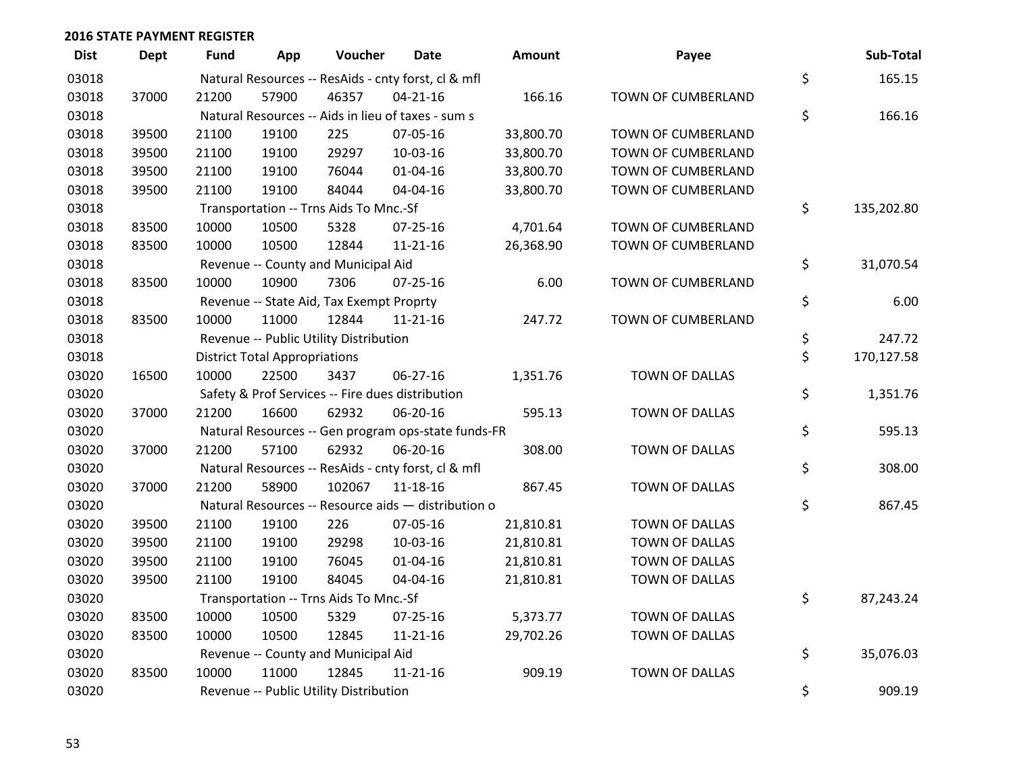| <b>Dist</b> | <b>Dept</b> | Fund  | App                                  | Voucher                                  | <b>Date</b>                                         | <b>Amount</b> | Payee                 | Sub-Total        |
|-------------|-------------|-------|--------------------------------------|------------------------------------------|-----------------------------------------------------|---------------|-----------------------|------------------|
| 03018       |             |       |                                      |                                          | Natural Resources -- ResAids - cnty forst, cl & mfl |               |                       | \$<br>165.15     |
| 03018       | 37000       | 21200 | 57900                                | 46357                                    | $04 - 21 - 16$                                      | 166.16        | TOWN OF CUMBERLAND    |                  |
| 03018       |             |       |                                      |                                          | Natural Resources -- Aids in lieu of taxes - sum s  |               |                       | \$<br>166.16     |
| 03018       | 39500       | 21100 | 19100                                | 225                                      | 07-05-16                                            | 33,800.70     | TOWN OF CUMBERLAND    |                  |
| 03018       | 39500       | 21100 | 19100                                | 29297                                    | 10-03-16                                            | 33,800.70     | TOWN OF CUMBERLAND    |                  |
| 03018       | 39500       | 21100 | 19100                                | 76044                                    | $01 - 04 - 16$                                      | 33,800.70     | TOWN OF CUMBERLAND    |                  |
| 03018       | 39500       | 21100 | 19100                                | 84044                                    | 04-04-16                                            | 33,800.70     | TOWN OF CUMBERLAND    |                  |
| 03018       |             |       |                                      | Transportation -- Trns Aids To Mnc.-Sf   |                                                     |               |                       | \$<br>135,202.80 |
| 03018       | 83500       | 10000 | 10500                                | 5328                                     | 07-25-16                                            | 4,701.64      | TOWN OF CUMBERLAND    |                  |
| 03018       | 83500       | 10000 | 10500                                | 12844                                    | $11 - 21 - 16$                                      | 26,368.90     | TOWN OF CUMBERLAND    |                  |
| 03018       |             |       |                                      | Revenue -- County and Municipal Aid      |                                                     |               |                       | \$<br>31,070.54  |
| 03018       | 83500       | 10000 | 10900                                | 7306                                     | $07 - 25 - 16$                                      | 6.00          | TOWN OF CUMBERLAND    |                  |
| 03018       |             |       |                                      | Revenue -- State Aid, Tax Exempt Proprty |                                                     |               |                       | \$<br>6.00       |
| 03018       | 83500       | 10000 | 11000                                | 12844                                    | $11 - 21 - 16$                                      | 247.72        | TOWN OF CUMBERLAND    |                  |
| 03018       |             |       |                                      | Revenue -- Public Utility Distribution   |                                                     |               |                       | \$<br>247.72     |
| 03018       |             |       | <b>District Total Appropriations</b> |                                          |                                                     |               |                       | \$<br>170,127.58 |
| 03020       | 16500       | 10000 | 22500                                | 3437                                     | 06-27-16                                            | 1,351.76      | TOWN OF DALLAS        |                  |
| 03020       |             |       |                                      |                                          | Safety & Prof Services -- Fire dues distribution    |               |                       | \$<br>1,351.76   |
| 03020       | 37000       | 21200 | 16600                                | 62932                                    | 06-20-16                                            | 595.13        | TOWN OF DALLAS        |                  |
| 03020       |             |       |                                      |                                          | Natural Resources -- Gen program ops-state funds-FR |               |                       | \$<br>595.13     |
| 03020       | 37000       | 21200 | 57100                                | 62932                                    | 06-20-16                                            | 308.00        | <b>TOWN OF DALLAS</b> |                  |
| 03020       |             |       |                                      |                                          | Natural Resources -- ResAids - cnty forst, cl & mfl |               |                       | \$<br>308.00     |
| 03020       | 37000       | 21200 | 58900                                | 102067                                   | 11-18-16                                            | 867.45        | TOWN OF DALLAS        |                  |
| 03020       |             |       |                                      |                                          | Natural Resources -- Resource aids - distribution o |               |                       | \$<br>867.45     |
| 03020       | 39500       | 21100 | 19100                                | 226                                      | 07-05-16                                            | 21,810.81     | <b>TOWN OF DALLAS</b> |                  |
| 03020       | 39500       | 21100 | 19100                                | 29298                                    | 10-03-16                                            | 21,810.81     | <b>TOWN OF DALLAS</b> |                  |
| 03020       | 39500       | 21100 | 19100                                | 76045                                    | 01-04-16                                            | 21,810.81     | TOWN OF DALLAS        |                  |
| 03020       | 39500       | 21100 | 19100                                | 84045                                    | 04-04-16                                            | 21,810.81     | TOWN OF DALLAS        |                  |
| 03020       |             |       |                                      | Transportation -- Trns Aids To Mnc.-Sf   |                                                     |               |                       | \$<br>87,243.24  |
| 03020       | 83500       | 10000 | 10500                                | 5329                                     | 07-25-16                                            | 5,373.77      | TOWN OF DALLAS        |                  |
| 03020       | 83500       | 10000 | 10500                                | 12845                                    | 11-21-16                                            | 29,702.26     | TOWN OF DALLAS        |                  |
| 03020       |             |       |                                      | Revenue -- County and Municipal Aid      |                                                     |               |                       | \$<br>35,076.03  |
| 03020       | 83500       | 10000 | 11000                                | 12845                                    | $11 - 21 - 16$                                      | 909.19        | TOWN OF DALLAS        |                  |
| 03020       |             |       |                                      | Revenue -- Public Utility Distribution   |                                                     |               |                       | \$<br>909.19     |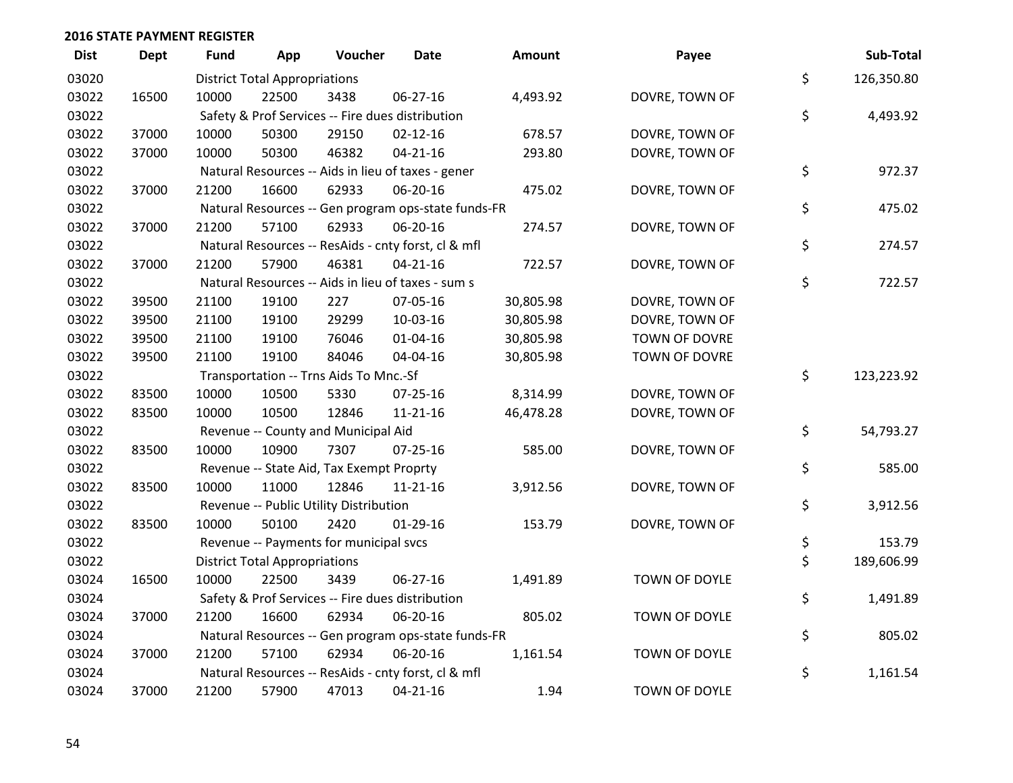| <b>Dist</b> | <b>Dept</b> | Fund  | App                                  | Voucher                                  | <b>Date</b>                                         | Amount    | Payee                | Sub-Total        |
|-------------|-------------|-------|--------------------------------------|------------------------------------------|-----------------------------------------------------|-----------|----------------------|------------------|
| 03020       |             |       | <b>District Total Appropriations</b> |                                          |                                                     |           |                      | \$<br>126,350.80 |
| 03022       | 16500       | 10000 | 22500                                | 3438                                     | 06-27-16                                            | 4,493.92  | DOVRE, TOWN OF       |                  |
| 03022       |             |       |                                      |                                          | Safety & Prof Services -- Fire dues distribution    |           |                      | \$<br>4,493.92   |
| 03022       | 37000       | 10000 | 50300                                | 29150                                    | $02 - 12 - 16$                                      | 678.57    | DOVRE, TOWN OF       |                  |
| 03022       | 37000       | 10000 | 50300                                | 46382                                    | $04 - 21 - 16$                                      | 293.80    | DOVRE, TOWN OF       |                  |
| 03022       |             |       |                                      |                                          | Natural Resources -- Aids in lieu of taxes - gener  |           |                      | \$<br>972.37     |
| 03022       | 37000       | 21200 | 16600                                | 62933                                    | 06-20-16                                            | 475.02    | DOVRE, TOWN OF       |                  |
| 03022       |             |       |                                      |                                          | Natural Resources -- Gen program ops-state funds-FR |           |                      | \$<br>475.02     |
| 03022       | 37000       | 21200 | 57100                                | 62933                                    | 06-20-16                                            | 274.57    | DOVRE, TOWN OF       |                  |
| 03022       |             |       |                                      |                                          | Natural Resources -- ResAids - cnty forst, cl & mfl |           |                      | \$<br>274.57     |
| 03022       | 37000       | 21200 | 57900                                | 46381                                    | $04 - 21 - 16$                                      | 722.57    | DOVRE, TOWN OF       |                  |
| 03022       |             |       |                                      |                                          | Natural Resources -- Aids in lieu of taxes - sum s  |           |                      | \$<br>722.57     |
| 03022       | 39500       | 21100 | 19100                                | 227                                      | 07-05-16                                            | 30,805.98 | DOVRE, TOWN OF       |                  |
| 03022       | 39500       | 21100 | 19100                                | 29299                                    | 10-03-16                                            | 30,805.98 | DOVRE, TOWN OF       |                  |
| 03022       | 39500       | 21100 | 19100                                | 76046                                    | $01 - 04 - 16$                                      | 30,805.98 | TOWN OF DOVRE        |                  |
| 03022       | 39500       | 21100 | 19100                                | 84046                                    | 04-04-16                                            | 30,805.98 | <b>TOWN OF DOVRE</b> |                  |
| 03022       |             |       |                                      | Transportation -- Trns Aids To Mnc.-Sf   |                                                     |           |                      | \$<br>123,223.92 |
| 03022       | 83500       | 10000 | 10500                                | 5330                                     | 07-25-16                                            | 8,314.99  | DOVRE, TOWN OF       |                  |
| 03022       | 83500       | 10000 | 10500                                | 12846                                    | 11-21-16                                            | 46,478.28 | DOVRE, TOWN OF       |                  |
| 03022       |             |       |                                      | Revenue -- County and Municipal Aid      |                                                     |           |                      | \$<br>54,793.27  |
| 03022       | 83500       | 10000 | 10900                                | 7307                                     | $07 - 25 - 16$                                      | 585.00    | DOVRE, TOWN OF       |                  |
| 03022       |             |       |                                      | Revenue -- State Aid, Tax Exempt Proprty |                                                     |           |                      | \$<br>585.00     |
| 03022       | 83500       | 10000 | 11000                                | 12846                                    | 11-21-16                                            | 3,912.56  | DOVRE, TOWN OF       |                  |
| 03022       |             |       |                                      | Revenue -- Public Utility Distribution   |                                                     |           |                      | \$<br>3,912.56   |
| 03022       | 83500       | 10000 | 50100                                | 2420                                     | $01-29-16$                                          | 153.79    | DOVRE, TOWN OF       |                  |
| 03022       |             |       |                                      | Revenue -- Payments for municipal svcs   |                                                     |           |                      | \$<br>153.79     |
| 03022       |             |       | <b>District Total Appropriations</b> |                                          |                                                     |           |                      | \$<br>189,606.99 |
| 03024       | 16500       | 10000 | 22500                                | 3439                                     | 06-27-16                                            | 1,491.89  | <b>TOWN OF DOYLE</b> |                  |
| 03024       |             |       |                                      |                                          | Safety & Prof Services -- Fire dues distribution    |           |                      | \$<br>1,491.89   |
| 03024       | 37000       | 21200 | 16600                                | 62934                                    | 06-20-16                                            | 805.02    | TOWN OF DOYLE        |                  |
| 03024       |             |       |                                      |                                          | Natural Resources -- Gen program ops-state funds-FR |           |                      | \$<br>805.02     |
| 03024       | 37000       | 21200 | 57100                                | 62934                                    | 06-20-16                                            | 1,161.54  | TOWN OF DOYLE        |                  |
| 03024       |             |       |                                      |                                          | Natural Resources -- ResAids - cnty forst, cl & mfl |           |                      | \$<br>1,161.54   |
| 03024       | 37000       | 21200 | 57900                                | 47013                                    | $04 - 21 - 16$                                      | 1.94      | <b>TOWN OF DOYLE</b> |                  |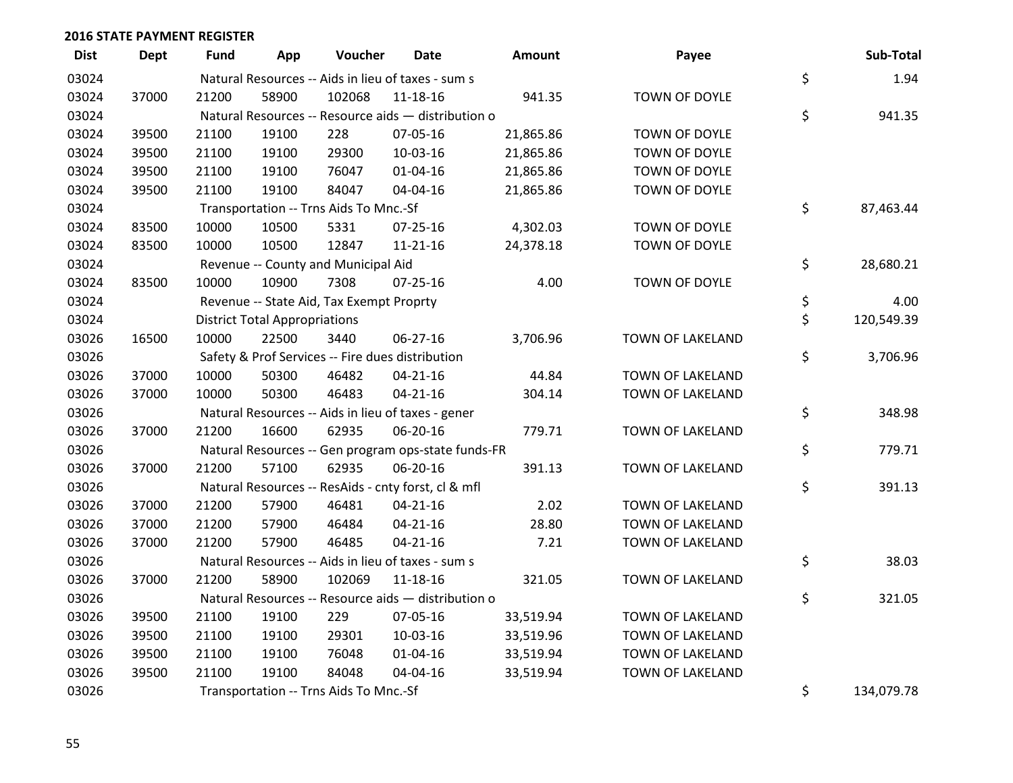| <b>Dist</b> | <b>Dept</b> | Fund  | App                                  | Voucher                                  | Date                                                | Amount    | Payee            | Sub-Total        |
|-------------|-------------|-------|--------------------------------------|------------------------------------------|-----------------------------------------------------|-----------|------------------|------------------|
| 03024       |             |       |                                      |                                          | Natural Resources -- Aids in lieu of taxes - sum s  |           |                  | \$<br>1.94       |
| 03024       | 37000       | 21200 | 58900                                | 102068                                   | 11-18-16                                            | 941.35    | TOWN OF DOYLE    |                  |
| 03024       |             |       |                                      |                                          | Natural Resources -- Resource aids - distribution o |           |                  | \$<br>941.35     |
| 03024       | 39500       | 21100 | 19100                                | 228                                      | 07-05-16                                            | 21,865.86 | TOWN OF DOYLE    |                  |
| 03024       | 39500       | 21100 | 19100                                | 29300                                    | 10-03-16                                            | 21,865.86 | TOWN OF DOYLE    |                  |
| 03024       | 39500       | 21100 | 19100                                | 76047                                    | $01 - 04 - 16$                                      | 21,865.86 | TOWN OF DOYLE    |                  |
| 03024       | 39500       | 21100 | 19100                                | 84047                                    | 04-04-16                                            | 21,865.86 | TOWN OF DOYLE    |                  |
| 03024       |             |       |                                      | Transportation -- Trns Aids To Mnc.-Sf   |                                                     |           |                  | \$<br>87,463.44  |
| 03024       | 83500       | 10000 | 10500                                | 5331                                     | 07-25-16                                            | 4,302.03  | TOWN OF DOYLE    |                  |
| 03024       | 83500       | 10000 | 10500                                | 12847                                    | $11 - 21 - 16$                                      | 24,378.18 | TOWN OF DOYLE    |                  |
| 03024       |             |       |                                      | Revenue -- County and Municipal Aid      |                                                     |           |                  | \$<br>28,680.21  |
| 03024       | 83500       | 10000 | 10900                                | 7308                                     | $07 - 25 - 16$                                      | 4.00      | TOWN OF DOYLE    |                  |
| 03024       |             |       |                                      | Revenue -- State Aid, Tax Exempt Proprty |                                                     |           |                  | \$<br>4.00       |
| 03024       |             |       | <b>District Total Appropriations</b> |                                          |                                                     |           |                  | \$<br>120,549.39 |
| 03026       | 16500       | 10000 | 22500                                | 3440                                     | 06-27-16                                            | 3,706.96  | TOWN OF LAKELAND |                  |
| 03026       |             |       |                                      |                                          | Safety & Prof Services -- Fire dues distribution    |           |                  | \$<br>3,706.96   |
| 03026       | 37000       | 10000 | 50300                                | 46482                                    | $04 - 21 - 16$                                      | 44.84     | TOWN OF LAKELAND |                  |
| 03026       | 37000       | 10000 | 50300                                | 46483                                    | $04 - 21 - 16$                                      | 304.14    | TOWN OF LAKELAND |                  |
| 03026       |             |       |                                      |                                          | Natural Resources -- Aids in lieu of taxes - gener  |           |                  | \$<br>348.98     |
| 03026       | 37000       | 21200 | 16600                                | 62935                                    | 06-20-16                                            | 779.71    | TOWN OF LAKELAND |                  |
| 03026       |             |       |                                      |                                          | Natural Resources -- Gen program ops-state funds-FR |           |                  | \$<br>779.71     |
| 03026       | 37000       | 21200 | 57100                                | 62935                                    | 06-20-16                                            | 391.13    | TOWN OF LAKELAND |                  |
| 03026       |             |       |                                      |                                          | Natural Resources -- ResAids - cnty forst, cl & mfl |           |                  | \$<br>391.13     |
| 03026       | 37000       | 21200 | 57900                                | 46481                                    | $04 - 21 - 16$                                      | 2.02      | TOWN OF LAKELAND |                  |
| 03026       | 37000       | 21200 | 57900                                | 46484                                    | $04 - 21 - 16$                                      | 28.80     | TOWN OF LAKELAND |                  |
| 03026       | 37000       | 21200 | 57900                                | 46485                                    | $04 - 21 - 16$                                      | 7.21      | TOWN OF LAKELAND |                  |
| 03026       |             |       |                                      |                                          | Natural Resources -- Aids in lieu of taxes - sum s  |           |                  | \$<br>38.03      |
| 03026       | 37000       | 21200 | 58900                                | 102069                                   | $11 - 18 - 16$                                      | 321.05    | TOWN OF LAKELAND |                  |
| 03026       |             |       |                                      |                                          | Natural Resources -- Resource aids - distribution o |           |                  | \$<br>321.05     |
| 03026       | 39500       | 21100 | 19100                                | 229                                      | 07-05-16                                            | 33,519.94 | TOWN OF LAKELAND |                  |
| 03026       | 39500       | 21100 | 19100                                | 29301                                    | 10-03-16                                            | 33,519.96 | TOWN OF LAKELAND |                  |
| 03026       | 39500       | 21100 | 19100                                | 76048                                    | $01 - 04 - 16$                                      | 33,519.94 | TOWN OF LAKELAND |                  |
| 03026       | 39500       | 21100 | 19100                                | 84048                                    | 04-04-16                                            | 33,519.94 | TOWN OF LAKELAND |                  |
| 03026       |             |       |                                      | Transportation -- Trns Aids To Mnc.-Sf   |                                                     |           |                  | \$<br>134,079.78 |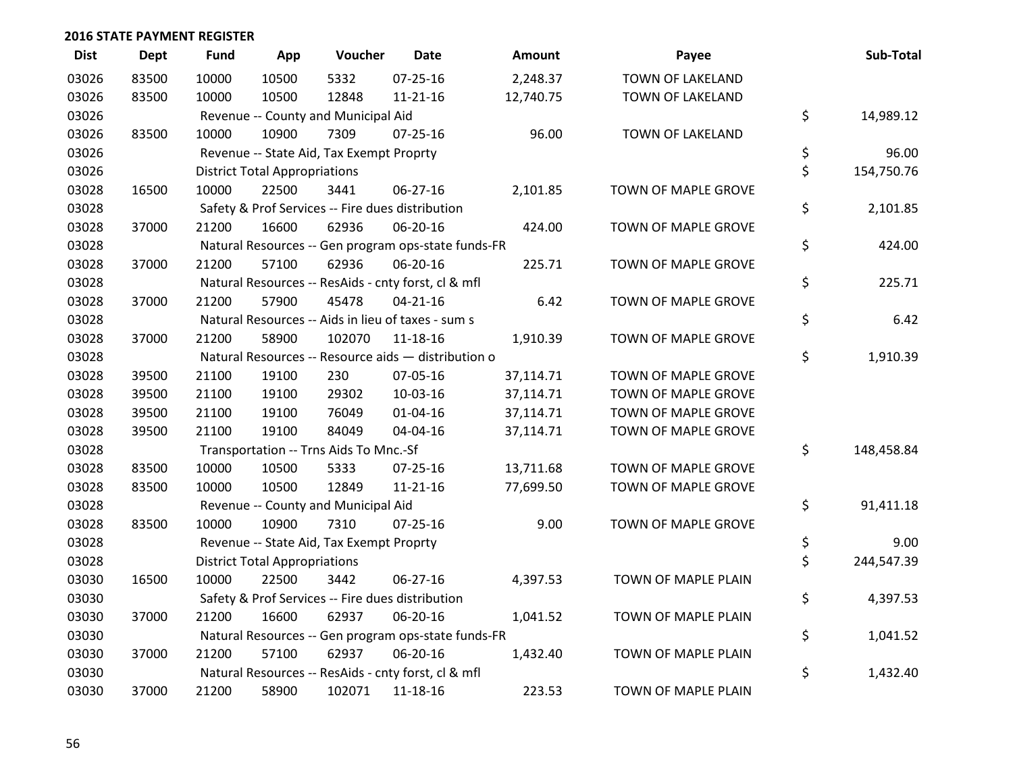| <b>Dist</b> | <b>Dept</b> | <b>Fund</b> | App                                  | Voucher                                  | Date                                                | <b>Amount</b> | Payee               | Sub-Total        |
|-------------|-------------|-------------|--------------------------------------|------------------------------------------|-----------------------------------------------------|---------------|---------------------|------------------|
| 03026       | 83500       | 10000       | 10500                                | 5332                                     | $07 - 25 - 16$                                      | 2,248.37      | TOWN OF LAKELAND    |                  |
| 03026       | 83500       | 10000       | 10500                                | 12848                                    | $11 - 21 - 16$                                      | 12,740.75     | TOWN OF LAKELAND    |                  |
| 03026       |             |             |                                      | Revenue -- County and Municipal Aid      |                                                     |               |                     | \$<br>14,989.12  |
| 03026       | 83500       | 10000       | 10900                                | 7309                                     | 07-25-16                                            | 96.00         | TOWN OF LAKELAND    |                  |
| 03026       |             |             |                                      | Revenue -- State Aid, Tax Exempt Proprty |                                                     |               |                     | \$<br>96.00      |
| 03026       |             |             | <b>District Total Appropriations</b> |                                          |                                                     |               |                     | \$<br>154,750.76 |
| 03028       | 16500       | 10000       | 22500                                | 3441                                     | 06-27-16                                            | 2,101.85      | TOWN OF MAPLE GROVE |                  |
| 03028       |             |             |                                      |                                          | Safety & Prof Services -- Fire dues distribution    |               |                     | \$<br>2,101.85   |
| 03028       | 37000       | 21200       | 16600                                | 62936                                    | 06-20-16                                            | 424.00        | TOWN OF MAPLE GROVE |                  |
| 03028       |             |             |                                      |                                          | Natural Resources -- Gen program ops-state funds-FR |               |                     | \$<br>424.00     |
| 03028       | 37000       | 21200       | 57100                                | 62936                                    | 06-20-16                                            | 225.71        | TOWN OF MAPLE GROVE |                  |
| 03028       |             |             |                                      |                                          | Natural Resources -- ResAids - cnty forst, cl & mfl |               |                     | \$<br>225.71     |
| 03028       | 37000       | 21200       | 57900                                | 45478                                    | $04 - 21 - 16$                                      | 6.42          | TOWN OF MAPLE GROVE |                  |
| 03028       |             |             |                                      |                                          | Natural Resources -- Aids in lieu of taxes - sum s  |               |                     | \$<br>6.42       |
| 03028       | 37000       | 21200       | 58900                                | 102070                                   | $11 - 18 - 16$                                      | 1,910.39      | TOWN OF MAPLE GROVE |                  |
| 03028       |             |             |                                      |                                          | Natural Resources -- Resource aids - distribution o |               |                     | \$<br>1,910.39   |
| 03028       | 39500       | 21100       | 19100                                | 230                                      | 07-05-16                                            | 37,114.71     | TOWN OF MAPLE GROVE |                  |
| 03028       | 39500       | 21100       | 19100                                | 29302                                    | 10-03-16                                            | 37,114.71     | TOWN OF MAPLE GROVE |                  |
| 03028       | 39500       | 21100       | 19100                                | 76049                                    | $01 - 04 - 16$                                      | 37,114.71     | TOWN OF MAPLE GROVE |                  |
| 03028       | 39500       | 21100       | 19100                                | 84049                                    | 04-04-16                                            | 37,114.71     | TOWN OF MAPLE GROVE |                  |
| 03028       |             |             |                                      | Transportation -- Trns Aids To Mnc.-Sf   |                                                     |               |                     | \$<br>148,458.84 |
| 03028       | 83500       | 10000       | 10500                                | 5333                                     | $07 - 25 - 16$                                      | 13,711.68     | TOWN OF MAPLE GROVE |                  |
| 03028       | 83500       | 10000       | 10500                                | 12849                                    | $11 - 21 - 16$                                      | 77,699.50     | TOWN OF MAPLE GROVE |                  |
| 03028       |             |             |                                      | Revenue -- County and Municipal Aid      |                                                     |               |                     | \$<br>91,411.18  |
| 03028       | 83500       | 10000       | 10900                                | 7310                                     | $07 - 25 - 16$                                      | 9.00          | TOWN OF MAPLE GROVE |                  |
| 03028       |             |             |                                      | Revenue -- State Aid, Tax Exempt Proprty |                                                     |               |                     | \$<br>9.00       |
| 03028       |             |             | <b>District Total Appropriations</b> |                                          |                                                     |               |                     | \$<br>244,547.39 |
| 03030       | 16500       | 10000       | 22500                                | 3442                                     | 06-27-16                                            | 4,397.53      | TOWN OF MAPLE PLAIN |                  |
| 03030       |             |             |                                      |                                          | Safety & Prof Services -- Fire dues distribution    |               |                     | \$<br>4,397.53   |
| 03030       | 37000       | 21200       | 16600                                | 62937                                    | 06-20-16                                            | 1,041.52      | TOWN OF MAPLE PLAIN |                  |
| 03030       |             |             |                                      |                                          | Natural Resources -- Gen program ops-state funds-FR |               |                     | \$<br>1,041.52   |
| 03030       | 37000       | 21200       | 57100                                | 62937                                    | 06-20-16                                            | 1,432.40      | TOWN OF MAPLE PLAIN |                  |
| 03030       |             |             |                                      |                                          | Natural Resources -- ResAids - cnty forst, cl & mfl |               |                     | \$<br>1,432.40   |
| 03030       | 37000       | 21200       | 58900                                | 102071                                   | 11-18-16                                            | 223.53        | TOWN OF MAPLE PLAIN |                  |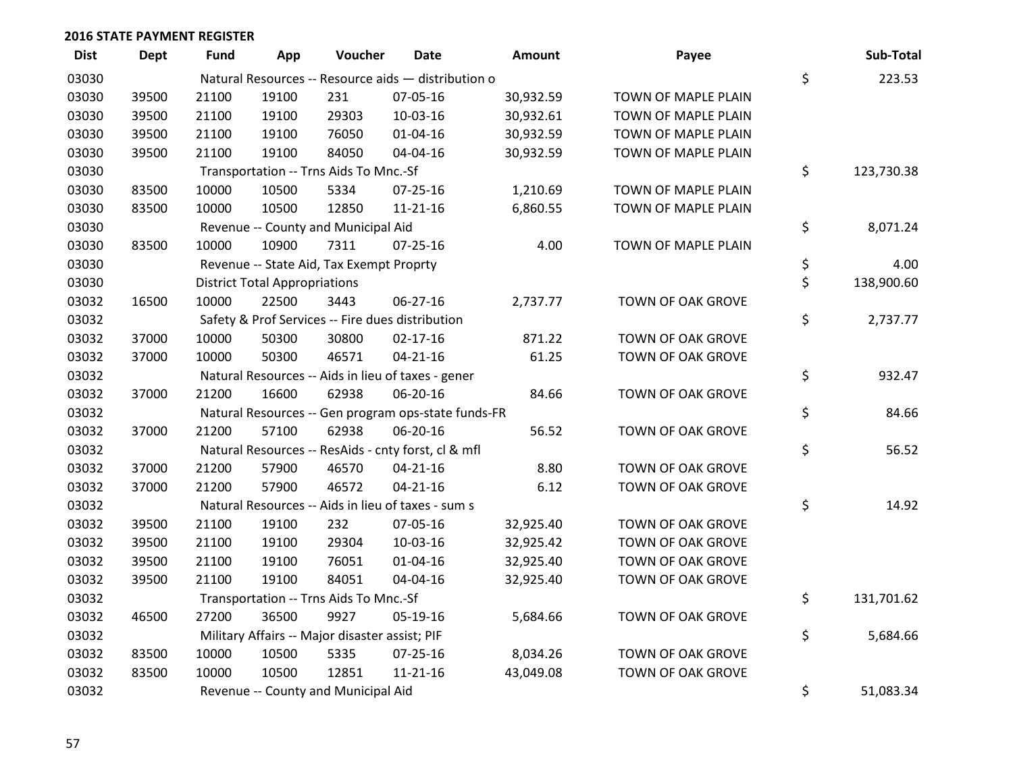| <b>Dist</b> | <b>Dept</b> | Fund  | App                                  | Voucher                                        | Date                                                | Amount    | Payee               | Sub-Total        |
|-------------|-------------|-------|--------------------------------------|------------------------------------------------|-----------------------------------------------------|-----------|---------------------|------------------|
| 03030       |             |       |                                      |                                                | Natural Resources -- Resource aids - distribution o |           |                     | \$<br>223.53     |
| 03030       | 39500       | 21100 | 19100                                | 231                                            | 07-05-16                                            | 30,932.59 | TOWN OF MAPLE PLAIN |                  |
| 03030       | 39500       | 21100 | 19100                                | 29303                                          | 10-03-16                                            | 30,932.61 | TOWN OF MAPLE PLAIN |                  |
| 03030       | 39500       | 21100 | 19100                                | 76050                                          | $01 - 04 - 16$                                      | 30,932.59 | TOWN OF MAPLE PLAIN |                  |
| 03030       | 39500       | 21100 | 19100                                | 84050                                          | 04-04-16                                            | 30,932.59 | TOWN OF MAPLE PLAIN |                  |
| 03030       |             |       |                                      | Transportation -- Trns Aids To Mnc.-Sf         |                                                     |           |                     | \$<br>123,730.38 |
| 03030       | 83500       | 10000 | 10500                                | 5334                                           | 07-25-16                                            | 1,210.69  | TOWN OF MAPLE PLAIN |                  |
| 03030       | 83500       | 10000 | 10500                                | 12850                                          | $11 - 21 - 16$                                      | 6,860.55  | TOWN OF MAPLE PLAIN |                  |
| 03030       |             |       |                                      | Revenue -- County and Municipal Aid            |                                                     |           |                     | \$<br>8,071.24   |
| 03030       | 83500       | 10000 | 10900                                | 7311                                           | $07 - 25 - 16$                                      | 4.00      | TOWN OF MAPLE PLAIN |                  |
| 03030       |             |       |                                      | Revenue -- State Aid, Tax Exempt Proprty       |                                                     |           |                     | \$<br>4.00       |
| 03030       |             |       | <b>District Total Appropriations</b> |                                                |                                                     |           |                     | \$<br>138,900.60 |
| 03032       | 16500       | 10000 | 22500                                | 3443                                           | $06 - 27 - 16$                                      | 2,737.77  | TOWN OF OAK GROVE   |                  |
| 03032       |             |       |                                      |                                                | Safety & Prof Services -- Fire dues distribution    |           |                     | \$<br>2,737.77   |
| 03032       | 37000       | 10000 | 50300                                | 30800                                          | $02 - 17 - 16$                                      | 871.22    | TOWN OF OAK GROVE   |                  |
| 03032       | 37000       | 10000 | 50300                                | 46571                                          | $04 - 21 - 16$                                      | 61.25     | TOWN OF OAK GROVE   |                  |
| 03032       |             |       |                                      |                                                | Natural Resources -- Aids in lieu of taxes - gener  |           |                     | \$<br>932.47     |
| 03032       | 37000       | 21200 | 16600                                | 62938                                          | 06-20-16                                            | 84.66     | TOWN OF OAK GROVE   |                  |
| 03032       |             |       |                                      |                                                | Natural Resources -- Gen program ops-state funds-FR |           |                     | \$<br>84.66      |
| 03032       | 37000       | 21200 | 57100                                | 62938                                          | 06-20-16                                            | 56.52     | TOWN OF OAK GROVE   |                  |
| 03032       |             |       |                                      |                                                | Natural Resources -- ResAids - cnty forst, cl & mfl |           |                     | \$<br>56.52      |
| 03032       | 37000       | 21200 | 57900                                | 46570                                          | $04 - 21 - 16$                                      | 8.80      | TOWN OF OAK GROVE   |                  |
| 03032       | 37000       | 21200 | 57900                                | 46572                                          | $04 - 21 - 16$                                      | 6.12      | TOWN OF OAK GROVE   |                  |
| 03032       |             |       |                                      |                                                | Natural Resources -- Aids in lieu of taxes - sum s  |           |                     | \$<br>14.92      |
| 03032       | 39500       | 21100 | 19100                                | 232                                            | 07-05-16                                            | 32,925.40 | TOWN OF OAK GROVE   |                  |
| 03032       | 39500       | 21100 | 19100                                | 29304                                          | 10-03-16                                            | 32,925.42 | TOWN OF OAK GROVE   |                  |
| 03032       | 39500       | 21100 | 19100                                | 76051                                          | 01-04-16                                            | 32,925.40 | TOWN OF OAK GROVE   |                  |
| 03032       | 39500       | 21100 | 19100                                | 84051                                          | 04-04-16                                            | 32,925.40 | TOWN OF OAK GROVE   |                  |
| 03032       |             |       |                                      | Transportation -- Trns Aids To Mnc.-Sf         |                                                     |           |                     | \$<br>131,701.62 |
| 03032       | 46500       | 27200 | 36500                                | 9927                                           | 05-19-16                                            | 5,684.66  | TOWN OF OAK GROVE   |                  |
| 03032       |             |       |                                      | Military Affairs -- Major disaster assist; PIF |                                                     |           |                     | \$<br>5,684.66   |
| 03032       | 83500       | 10000 | 10500                                | 5335                                           | 07-25-16                                            | 8,034.26  | TOWN OF OAK GROVE   |                  |
| 03032       | 83500       | 10000 | 10500                                | 12851                                          | $11 - 21 - 16$                                      | 43,049.08 | TOWN OF OAK GROVE   |                  |
| 03032       |             |       |                                      | Revenue -- County and Municipal Aid            |                                                     |           |                     | \$<br>51,083.34  |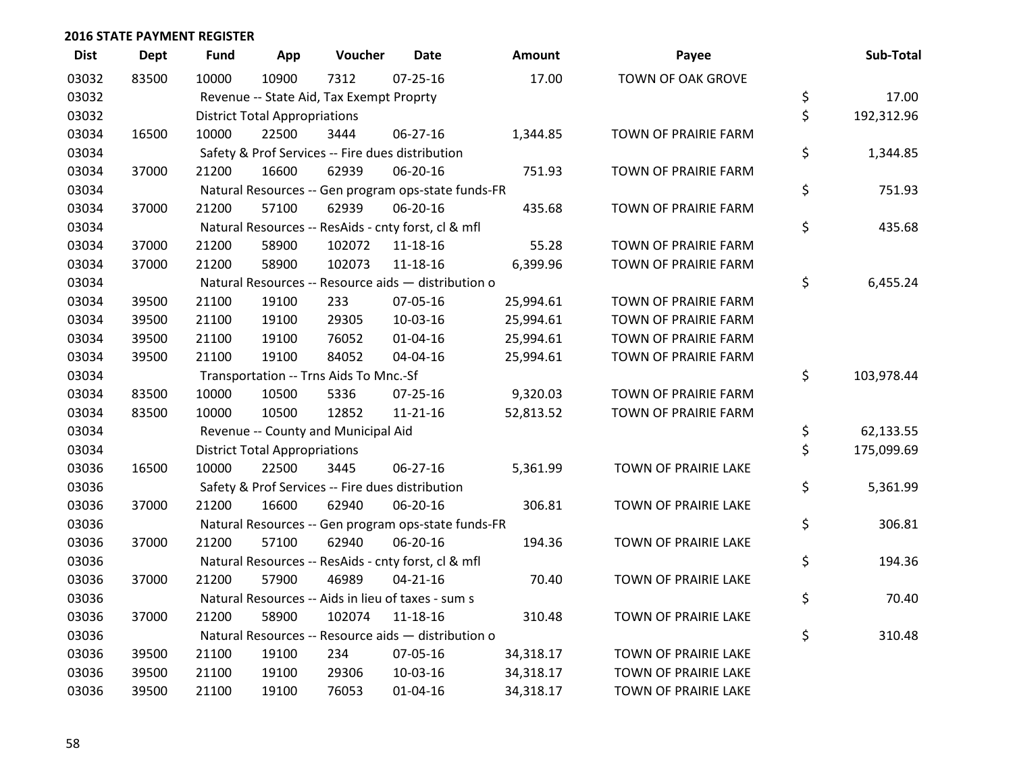| <b>Dist</b> | <b>Dept</b> | <b>Fund</b> | App                                  | Voucher                                  | <b>Date</b>                                         | <b>Amount</b> | Payee                    | Sub-Total        |
|-------------|-------------|-------------|--------------------------------------|------------------------------------------|-----------------------------------------------------|---------------|--------------------------|------------------|
| 03032       | 83500       | 10000       | 10900                                | 7312                                     | $07 - 25 - 16$                                      | 17.00         | <b>TOWN OF OAK GROVE</b> |                  |
| 03032       |             |             |                                      | Revenue -- State Aid, Tax Exempt Proprty |                                                     |               |                          | \$<br>17.00      |
| 03032       |             |             | <b>District Total Appropriations</b> |                                          |                                                     |               |                          | \$<br>192,312.96 |
| 03034       | 16500       | 10000       | 22500                                | 3444                                     | 06-27-16                                            | 1,344.85      | TOWN OF PRAIRIE FARM     |                  |
| 03034       |             |             |                                      |                                          | Safety & Prof Services -- Fire dues distribution    |               |                          | \$<br>1,344.85   |
| 03034       | 37000       | 21200       | 16600                                | 62939                                    | 06-20-16                                            | 751.93        | TOWN OF PRAIRIE FARM     |                  |
| 03034       |             |             |                                      |                                          | Natural Resources -- Gen program ops-state funds-FR |               |                          | \$<br>751.93     |
| 03034       | 37000       | 21200       | 57100                                | 62939                                    | 06-20-16                                            | 435.68        | TOWN OF PRAIRIE FARM     |                  |
| 03034       |             |             |                                      |                                          | Natural Resources -- ResAids - cnty forst, cl & mfl |               |                          | \$<br>435.68     |
| 03034       | 37000       | 21200       | 58900                                | 102072                                   | 11-18-16                                            | 55.28         | TOWN OF PRAIRIE FARM     |                  |
| 03034       | 37000       | 21200       | 58900                                | 102073                                   | $11 - 18 - 16$                                      | 6,399.96      | TOWN OF PRAIRIE FARM     |                  |
| 03034       |             |             |                                      |                                          | Natural Resources -- Resource aids - distribution o |               |                          | \$<br>6,455.24   |
| 03034       | 39500       | 21100       | 19100                                | 233                                      | 07-05-16                                            | 25,994.61     | TOWN OF PRAIRIE FARM     |                  |
| 03034       | 39500       | 21100       | 19100                                | 29305                                    | 10-03-16                                            | 25,994.61     | TOWN OF PRAIRIE FARM     |                  |
| 03034       | 39500       | 21100       | 19100                                | 76052                                    | $01 - 04 - 16$                                      | 25,994.61     | TOWN OF PRAIRIE FARM     |                  |
| 03034       | 39500       | 21100       | 19100                                | 84052                                    | 04-04-16                                            | 25,994.61     | TOWN OF PRAIRIE FARM     |                  |
| 03034       |             |             |                                      | Transportation -- Trns Aids To Mnc.-Sf   |                                                     |               |                          | \$<br>103,978.44 |
| 03034       | 83500       | 10000       | 10500                                | 5336                                     | $07 - 25 - 16$                                      | 9,320.03      | TOWN OF PRAIRIE FARM     |                  |
| 03034       | 83500       | 10000       | 10500                                | 12852                                    | $11 - 21 - 16$                                      | 52,813.52     | TOWN OF PRAIRIE FARM     |                  |
| 03034       |             |             |                                      | Revenue -- County and Municipal Aid      |                                                     |               |                          | \$<br>62,133.55  |
| 03034       |             |             | <b>District Total Appropriations</b> |                                          |                                                     |               |                          | \$<br>175,099.69 |
| 03036       | 16500       | 10000       | 22500                                | 3445                                     | 06-27-16                                            | 5,361.99      | TOWN OF PRAIRIE LAKE     |                  |
| 03036       |             |             |                                      |                                          | Safety & Prof Services -- Fire dues distribution    |               |                          | \$<br>5,361.99   |
| 03036       | 37000       | 21200       | 16600                                | 62940                                    | 06-20-16                                            | 306.81        | TOWN OF PRAIRIE LAKE     |                  |
| 03036       |             |             |                                      |                                          | Natural Resources -- Gen program ops-state funds-FR |               |                          | \$<br>306.81     |
| 03036       | 37000       | 21200       | 57100                                | 62940                                    | 06-20-16                                            | 194.36        | TOWN OF PRAIRIE LAKE     |                  |
| 03036       |             |             |                                      |                                          | Natural Resources -- ResAids - cnty forst, cl & mfl |               |                          | \$<br>194.36     |
| 03036       | 37000       | 21200       | 57900                                | 46989                                    | $04 - 21 - 16$                                      | 70.40         | TOWN OF PRAIRIE LAKE     |                  |
| 03036       |             |             |                                      |                                          | Natural Resources -- Aids in lieu of taxes - sum s  |               |                          | \$<br>70.40      |
| 03036       | 37000       | 21200       | 58900                                | 102074                                   | $11 - 18 - 16$                                      | 310.48        | TOWN OF PRAIRIE LAKE     |                  |
| 03036       |             |             |                                      |                                          | Natural Resources -- Resource aids - distribution o |               |                          | \$<br>310.48     |
| 03036       | 39500       | 21100       | 19100                                | 234                                      | 07-05-16                                            | 34,318.17     | TOWN OF PRAIRIE LAKE     |                  |
| 03036       | 39500       | 21100       | 19100                                | 29306                                    | 10-03-16                                            | 34,318.17     | TOWN OF PRAIRIE LAKE     |                  |
| 03036       | 39500       | 21100       | 19100                                | 76053                                    | $01 - 04 - 16$                                      | 34,318.17     | TOWN OF PRAIRIE LAKE     |                  |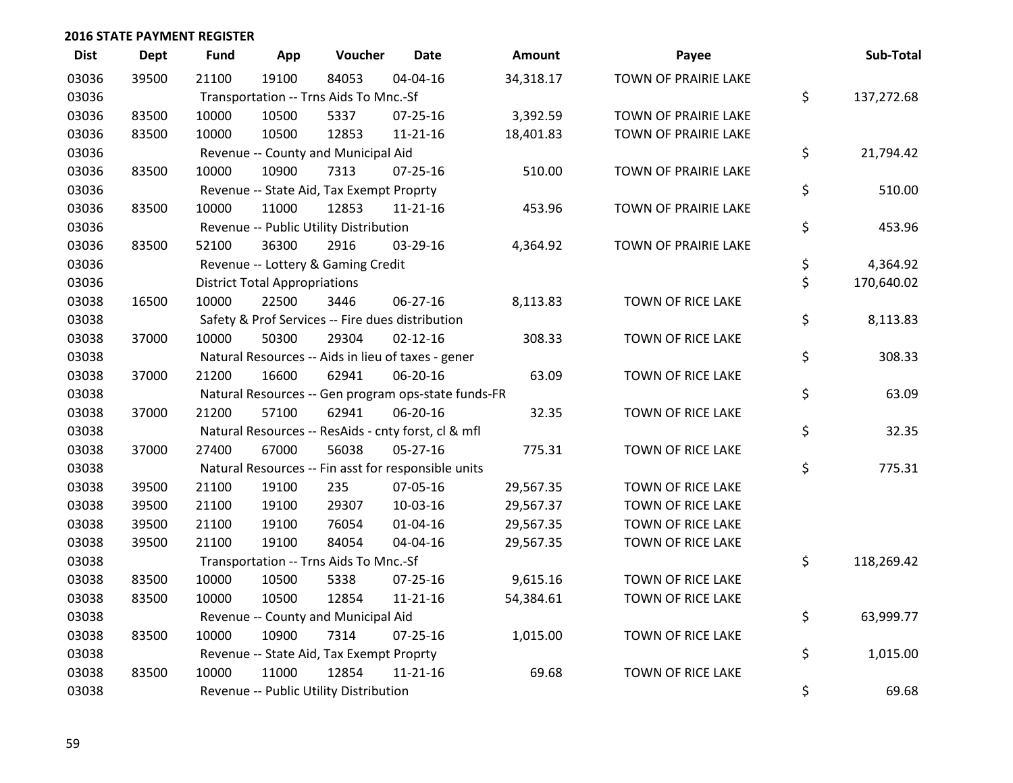| <b>Dist</b> | <b>Dept</b> | <b>Fund</b> | App                                  | Voucher                                             | <b>Date</b>    | Amount    | Payee                    | Sub-Total        |
|-------------|-------------|-------------|--------------------------------------|-----------------------------------------------------|----------------|-----------|--------------------------|------------------|
| 03036       | 39500       | 21100       | 19100                                | 84053                                               | 04-04-16       | 34,318.17 | TOWN OF PRAIRIE LAKE     |                  |
| 03036       |             |             |                                      | Transportation -- Trns Aids To Mnc.-Sf              |                |           |                          | \$<br>137,272.68 |
| 03036       | 83500       | 10000       | 10500                                | 5337                                                | 07-25-16       | 3,392.59  | TOWN OF PRAIRIE LAKE     |                  |
| 03036       | 83500       | 10000       | 10500                                | 12853                                               | $11 - 21 - 16$ | 18,401.83 | TOWN OF PRAIRIE LAKE     |                  |
| 03036       |             |             |                                      | Revenue -- County and Municipal Aid                 |                |           |                          | \$<br>21,794.42  |
| 03036       | 83500       | 10000       | 10900                                | 7313                                                | $07 - 25 - 16$ | 510.00    | TOWN OF PRAIRIE LAKE     |                  |
| 03036       |             |             |                                      | Revenue -- State Aid, Tax Exempt Proprty            |                |           |                          | \$<br>510.00     |
| 03036       | 83500       | 10000       | 11000                                | 12853                                               | 11-21-16       | 453.96    | TOWN OF PRAIRIE LAKE     |                  |
| 03036       |             |             |                                      | Revenue -- Public Utility Distribution              |                |           |                          | \$<br>453.96     |
| 03036       | 83500       | 52100       | 36300                                | 2916                                                | 03-29-16       | 4,364.92  | TOWN OF PRAIRIE LAKE     |                  |
| 03036       |             |             |                                      | Revenue -- Lottery & Gaming Credit                  |                |           |                          | \$<br>4,364.92   |
| 03036       |             |             | <b>District Total Appropriations</b> |                                                     |                |           |                          | \$<br>170,640.02 |
| 03038       | 16500       | 10000       | 22500                                | 3446                                                | 06-27-16       | 8,113.83  | <b>TOWN OF RICE LAKE</b> |                  |
| 03038       |             |             |                                      | Safety & Prof Services -- Fire dues distribution    |                |           |                          | \$<br>8,113.83   |
| 03038       | 37000       | 10000       | 50300                                | 29304                                               | $02 - 12 - 16$ | 308.33    | TOWN OF RICE LAKE        |                  |
| 03038       |             |             |                                      | Natural Resources -- Aids in lieu of taxes - gener  |                |           |                          | \$<br>308.33     |
| 03038       | 37000       | 21200       | 16600                                | 62941                                               | 06-20-16       | 63.09     | <b>TOWN OF RICE LAKE</b> |                  |
| 03038       |             |             |                                      | Natural Resources -- Gen program ops-state funds-FR |                |           |                          | \$<br>63.09      |
| 03038       | 37000       | 21200       | 57100                                | 62941                                               | 06-20-16       | 32.35     | TOWN OF RICE LAKE        |                  |
| 03038       |             |             |                                      | Natural Resources -- ResAids - cnty forst, cl & mfl |                |           |                          | \$<br>32.35      |
| 03038       | 37000       | 27400       | 67000                                | 56038                                               | 05-27-16       | 775.31    | TOWN OF RICE LAKE        |                  |
| 03038       |             |             |                                      | Natural Resources -- Fin asst for responsible units |                |           |                          | \$<br>775.31     |
| 03038       | 39500       | 21100       | 19100                                | 235                                                 | 07-05-16       | 29,567.35 | TOWN OF RICE LAKE        |                  |
| 03038       | 39500       | 21100       | 19100                                | 29307                                               | 10-03-16       | 29,567.37 | TOWN OF RICE LAKE        |                  |
| 03038       | 39500       | 21100       | 19100                                | 76054                                               | $01 - 04 - 16$ | 29,567.35 | TOWN OF RICE LAKE        |                  |
| 03038       | 39500       | 21100       | 19100                                | 84054                                               | 04-04-16       | 29,567.35 | TOWN OF RICE LAKE        |                  |
| 03038       |             |             |                                      | Transportation -- Trns Aids To Mnc.-Sf              |                |           |                          | \$<br>118,269.42 |
| 03038       | 83500       | 10000       | 10500                                | 5338                                                | $07 - 25 - 16$ | 9,615.16  | TOWN OF RICE LAKE        |                  |
| 03038       | 83500       | 10000       | 10500                                | 12854                                               | $11 - 21 - 16$ | 54,384.61 | TOWN OF RICE LAKE        |                  |
| 03038       |             |             |                                      | Revenue -- County and Municipal Aid                 |                |           |                          | \$<br>63,999.77  |
| 03038       | 83500       | 10000       | 10900                                | 7314                                                | 07-25-16       | 1,015.00  | TOWN OF RICE LAKE        |                  |
| 03038       |             |             |                                      | Revenue -- State Aid, Tax Exempt Proprty            |                |           |                          | \$<br>1,015.00   |
| 03038       | 83500       | 10000       | 11000                                | 12854                                               | $11 - 21 - 16$ | 69.68     | <b>TOWN OF RICE LAKE</b> |                  |
| 03038       |             |             |                                      | Revenue -- Public Utility Distribution              |                |           |                          | \$<br>69.68      |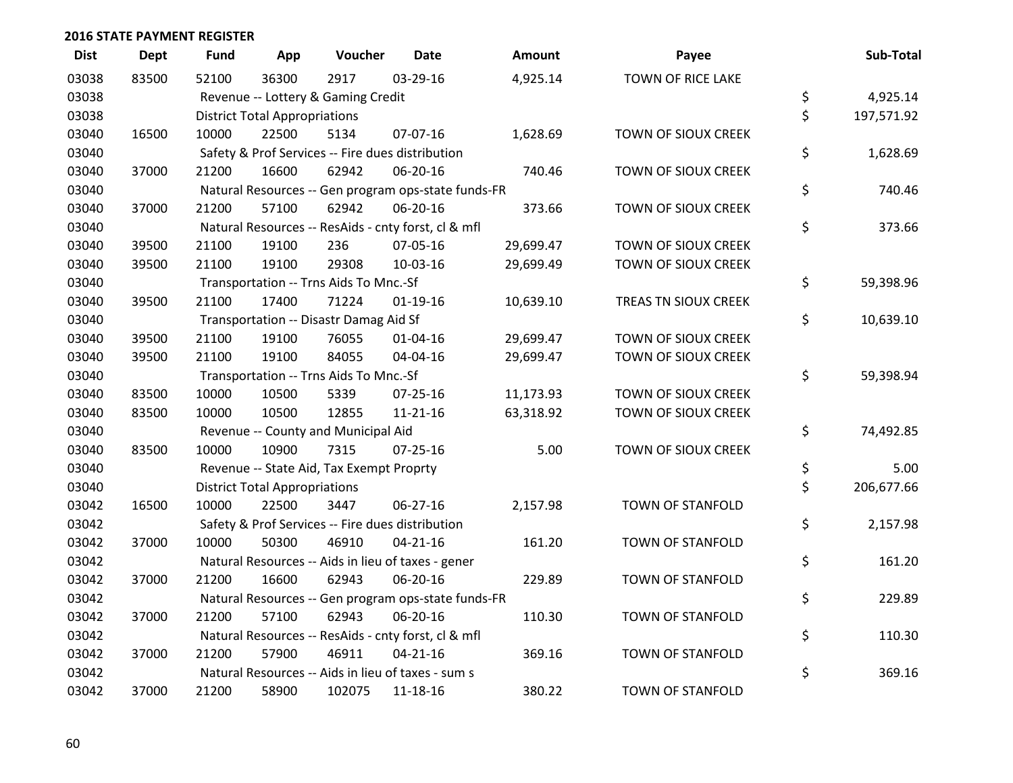| <b>Dist</b> | <b>Dept</b> | <b>Fund</b> | App                                  | Voucher                                             | <b>Date</b>    | <b>Amount</b> | Payee                      | Sub-Total        |
|-------------|-------------|-------------|--------------------------------------|-----------------------------------------------------|----------------|---------------|----------------------------|------------------|
| 03038       | 83500       | 52100       | 36300                                | 2917                                                | 03-29-16       | 4,925.14      | TOWN OF RICE LAKE          |                  |
| 03038       |             |             |                                      | Revenue -- Lottery & Gaming Credit                  |                |               |                            | \$<br>4,925.14   |
| 03038       |             |             | <b>District Total Appropriations</b> |                                                     |                |               |                            | \$<br>197,571.92 |
| 03040       | 16500       | 10000       | 22500                                | 5134                                                | 07-07-16       | 1,628.69      | TOWN OF SIOUX CREEK        |                  |
| 03040       |             |             |                                      | Safety & Prof Services -- Fire dues distribution    |                |               |                            | \$<br>1,628.69   |
| 03040       | 37000       | 21200       | 16600                                | 62942                                               | 06-20-16       | 740.46        | TOWN OF SIOUX CREEK        |                  |
| 03040       |             |             |                                      | Natural Resources -- Gen program ops-state funds-FR |                |               |                            | \$<br>740.46     |
| 03040       | 37000       | 21200       | 57100                                | 62942                                               | 06-20-16       | 373.66        | <b>TOWN OF SIOUX CREEK</b> |                  |
| 03040       |             |             |                                      | Natural Resources -- ResAids - cnty forst, cl & mfl |                |               |                            | \$<br>373.66     |
| 03040       | 39500       | 21100       | 19100                                | 236                                                 | 07-05-16       | 29,699.47     | TOWN OF SIOUX CREEK        |                  |
| 03040       | 39500       | 21100       | 19100                                | 29308                                               | $10-03-16$     | 29,699.49     | TOWN OF SIOUX CREEK        |                  |
| 03040       |             |             |                                      | Transportation -- Trns Aids To Mnc.-Sf              |                |               |                            | \$<br>59,398.96  |
| 03040       | 39500       | 21100       | 17400                                | 71224                                               | $01 - 19 - 16$ | 10,639.10     | TREAS TN SIOUX CREEK       |                  |
| 03040       |             |             |                                      | Transportation -- Disastr Damag Aid Sf              |                |               |                            | \$<br>10,639.10  |
| 03040       | 39500       | 21100       | 19100                                | 76055                                               | $01 - 04 - 16$ | 29,699.47     | TOWN OF SIOUX CREEK        |                  |
| 03040       | 39500       | 21100       | 19100                                | 84055                                               | 04-04-16       | 29,699.47     | TOWN OF SIOUX CREEK        |                  |
| 03040       |             |             |                                      | Transportation -- Trns Aids To Mnc.-Sf              |                |               |                            | \$<br>59,398.94  |
| 03040       | 83500       | 10000       | 10500                                | 5339                                                | 07-25-16       | 11,173.93     | TOWN OF SIOUX CREEK        |                  |
| 03040       | 83500       | 10000       | 10500                                | 12855                                               | $11 - 21 - 16$ | 63,318.92     | TOWN OF SIOUX CREEK        |                  |
| 03040       |             |             |                                      | Revenue -- County and Municipal Aid                 |                |               |                            | \$<br>74,492.85  |
| 03040       | 83500       | 10000       | 10900                                | 7315                                                | $07 - 25 - 16$ | 5.00          | TOWN OF SIOUX CREEK        |                  |
| 03040       |             |             |                                      | Revenue -- State Aid, Tax Exempt Proprty            |                |               |                            | \$<br>5.00       |
| 03040       |             |             | <b>District Total Appropriations</b> |                                                     |                |               |                            | \$<br>206,677.66 |
| 03042       | 16500       | 10000       | 22500                                | 3447                                                | 06-27-16       | 2,157.98      | <b>TOWN OF STANFOLD</b>    |                  |
| 03042       |             |             |                                      | Safety & Prof Services -- Fire dues distribution    |                |               |                            | \$<br>2,157.98   |
| 03042       | 37000       | 10000       | 50300                                | 46910                                               | $04 - 21 - 16$ | 161.20        | TOWN OF STANFOLD           |                  |
| 03042       |             |             |                                      | Natural Resources -- Aids in lieu of taxes - gener  |                |               |                            | \$<br>161.20     |
| 03042       | 37000       | 21200       | 16600                                | 62943                                               | 06-20-16       | 229.89        | <b>TOWN OF STANFOLD</b>    |                  |
| 03042       |             |             |                                      | Natural Resources -- Gen program ops-state funds-FR |                |               |                            | \$<br>229.89     |
| 03042       | 37000       | 21200       | 57100                                | 62943                                               | 06-20-16       | 110.30        | TOWN OF STANFOLD           |                  |
| 03042       |             |             |                                      | Natural Resources -- ResAids - cnty forst, cl & mfl |                |               |                            | \$<br>110.30     |
| 03042       | 37000       | 21200       | 57900                                | 46911                                               | $04 - 21 - 16$ | 369.16        | <b>TOWN OF STANFOLD</b>    |                  |
| 03042       |             |             |                                      | Natural Resources -- Aids in lieu of taxes - sum s  |                |               |                            | \$<br>369.16     |
| 03042       | 37000       | 21200       | 58900                                | 102075                                              | 11-18-16       | 380.22        | <b>TOWN OF STANFOLD</b>    |                  |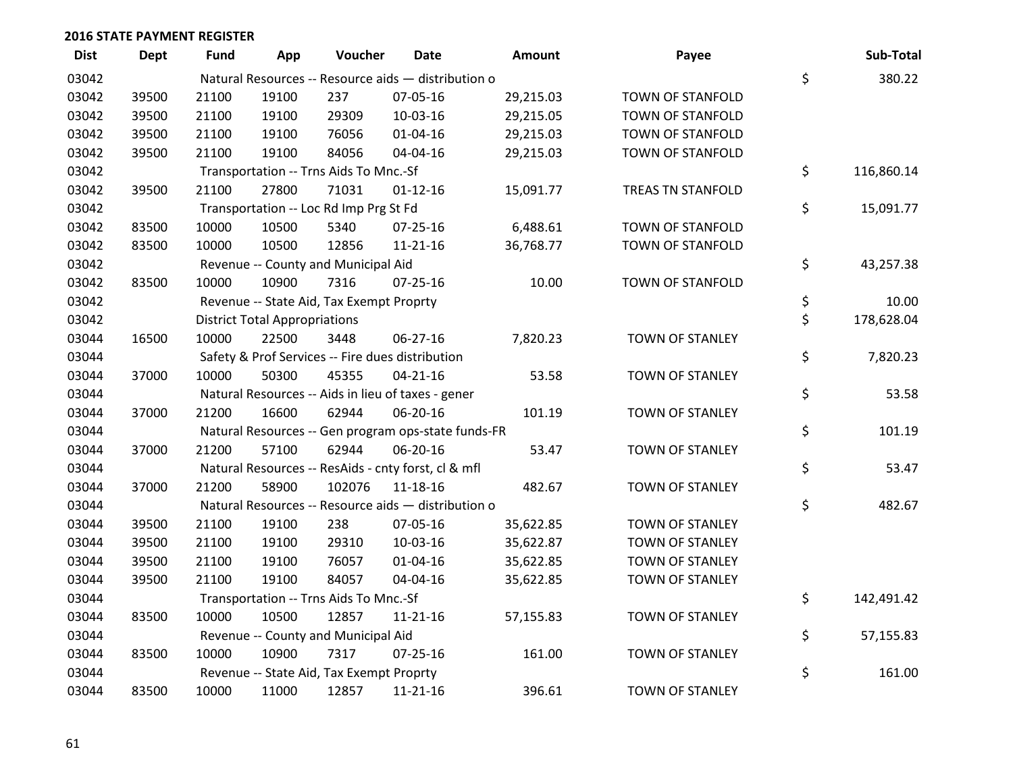| <b>Dist</b> | <b>Dept</b> | Fund  | App                                  | Voucher                                  | Date                                                | <b>Amount</b> | Payee                    | Sub-Total        |
|-------------|-------------|-------|--------------------------------------|------------------------------------------|-----------------------------------------------------|---------------|--------------------------|------------------|
| 03042       |             |       |                                      |                                          | Natural Resources -- Resource aids - distribution o |               |                          | \$<br>380.22     |
| 03042       | 39500       | 21100 | 19100                                | 237                                      | 07-05-16                                            | 29,215.03     | TOWN OF STANFOLD         |                  |
| 03042       | 39500       | 21100 | 19100                                | 29309                                    | 10-03-16                                            | 29,215.05     | <b>TOWN OF STANFOLD</b>  |                  |
| 03042       | 39500       | 21100 | 19100                                | 76056                                    | $01 - 04 - 16$                                      | 29,215.03     | TOWN OF STANFOLD         |                  |
| 03042       | 39500       | 21100 | 19100                                | 84056                                    | 04-04-16                                            | 29,215.03     | TOWN OF STANFOLD         |                  |
| 03042       |             |       |                                      | Transportation -- Trns Aids To Mnc.-Sf   |                                                     |               |                          | \$<br>116,860.14 |
| 03042       | 39500       | 21100 | 27800                                | 71031                                    | $01 - 12 - 16$                                      | 15,091.77     | <b>TREAS TN STANFOLD</b> |                  |
| 03042       |             |       |                                      | Transportation -- Loc Rd Imp Prg St Fd   |                                                     |               |                          | \$<br>15,091.77  |
| 03042       | 83500       | 10000 | 10500                                | 5340                                     | $07 - 25 - 16$                                      | 6,488.61      | TOWN OF STANFOLD         |                  |
| 03042       | 83500       | 10000 | 10500                                | 12856                                    | 11-21-16                                            | 36,768.77     | TOWN OF STANFOLD         |                  |
| 03042       |             |       |                                      | Revenue -- County and Municipal Aid      |                                                     |               |                          | \$<br>43,257.38  |
| 03042       | 83500       | 10000 | 10900                                | 7316                                     | $07 - 25 - 16$                                      | 10.00         | <b>TOWN OF STANFOLD</b>  |                  |
| 03042       |             |       |                                      | Revenue -- State Aid, Tax Exempt Proprty |                                                     |               |                          | \$<br>10.00      |
| 03042       |             |       | <b>District Total Appropriations</b> |                                          |                                                     |               |                          | \$<br>178,628.04 |
| 03044       | 16500       | 10000 | 22500                                | 3448                                     | 06-27-16                                            | 7,820.23      | <b>TOWN OF STANLEY</b>   |                  |
| 03044       |             |       |                                      |                                          | Safety & Prof Services -- Fire dues distribution    |               |                          | \$<br>7,820.23   |
| 03044       | 37000       | 10000 | 50300                                | 45355                                    | $04 - 21 - 16$                                      | 53.58         | <b>TOWN OF STANLEY</b>   |                  |
| 03044       |             |       |                                      |                                          | Natural Resources -- Aids in lieu of taxes - gener  |               |                          | \$<br>53.58      |
| 03044       | 37000       | 21200 | 16600                                | 62944                                    | 06-20-16                                            | 101.19        | <b>TOWN OF STANLEY</b>   |                  |
| 03044       |             |       |                                      |                                          | Natural Resources -- Gen program ops-state funds-FR |               |                          | \$<br>101.19     |
| 03044       | 37000       | 21200 | 57100                                | 62944                                    | 06-20-16                                            | 53.47         | TOWN OF STANLEY          |                  |
| 03044       |             |       |                                      |                                          | Natural Resources -- ResAids - cnty forst, cl & mfl |               |                          | \$<br>53.47      |
| 03044       | 37000       | 21200 | 58900                                | 102076                                   | 11-18-16                                            | 482.67        | <b>TOWN OF STANLEY</b>   |                  |
| 03044       |             |       |                                      |                                          | Natural Resources -- Resource aids - distribution o |               |                          | \$<br>482.67     |
| 03044       | 39500       | 21100 | 19100                                | 238                                      | 07-05-16                                            | 35,622.85     | <b>TOWN OF STANLEY</b>   |                  |
| 03044       | 39500       | 21100 | 19100                                | 29310                                    | 10-03-16                                            | 35,622.87     | <b>TOWN OF STANLEY</b>   |                  |
| 03044       | 39500       | 21100 | 19100                                | 76057                                    | 01-04-16                                            | 35,622.85     | <b>TOWN OF STANLEY</b>   |                  |
| 03044       | 39500       | 21100 | 19100                                | 84057                                    | 04-04-16                                            | 35,622.85     | <b>TOWN OF STANLEY</b>   |                  |
| 03044       |             |       |                                      | Transportation -- Trns Aids To Mnc.-Sf   |                                                     |               |                          | \$<br>142,491.42 |
| 03044       | 83500       | 10000 | 10500                                | 12857                                    | $11 - 21 - 16$                                      | 57,155.83     | TOWN OF STANLEY          |                  |
| 03044       |             |       |                                      | Revenue -- County and Municipal Aid      |                                                     |               |                          | \$<br>57,155.83  |
| 03044       | 83500       | 10000 | 10900                                | 7317                                     | $07 - 25 - 16$                                      | 161.00        | <b>TOWN OF STANLEY</b>   |                  |
| 03044       |             |       |                                      | Revenue -- State Aid, Tax Exempt Proprty |                                                     |               |                          | \$<br>161.00     |
| 03044       | 83500       | 10000 | 11000                                | 12857                                    | 11-21-16                                            | 396.61        | <b>TOWN OF STANLEY</b>   |                  |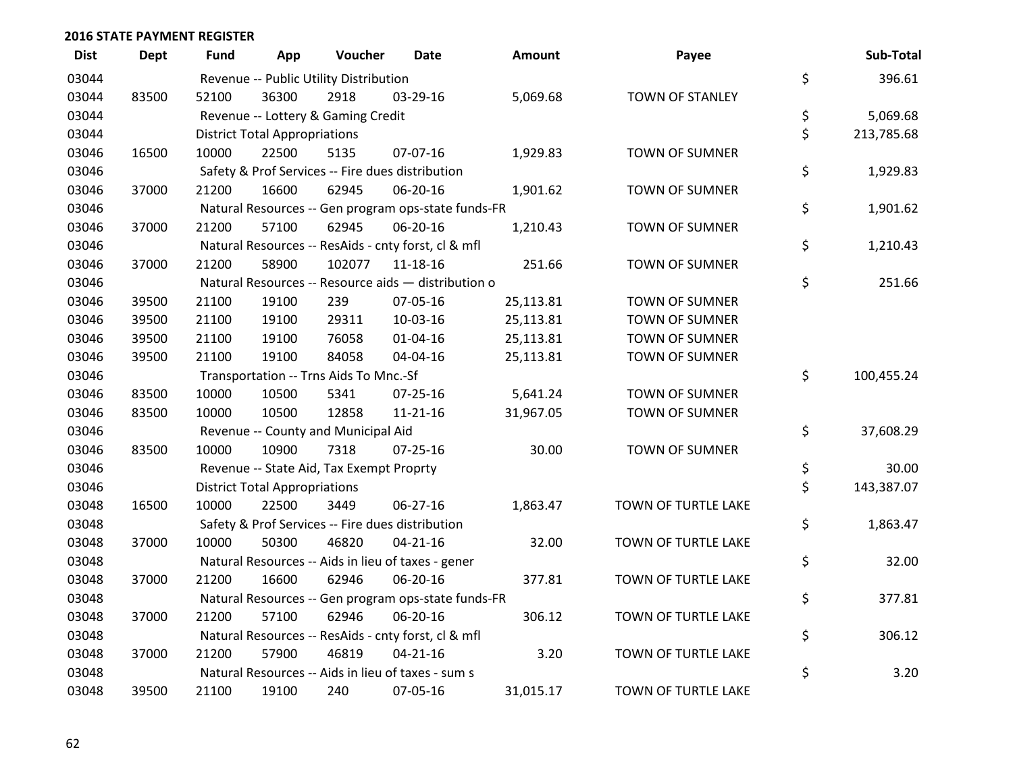| <b>Dist</b> | <b>Dept</b> | Fund  | App                                  | Voucher                                             | <b>Date</b>    | <b>Amount</b> | Payee                  | Sub-Total        |
|-------------|-------------|-------|--------------------------------------|-----------------------------------------------------|----------------|---------------|------------------------|------------------|
| 03044       |             |       |                                      | Revenue -- Public Utility Distribution              |                |               |                        | \$<br>396.61     |
| 03044       | 83500       | 52100 | 36300                                | 2918                                                | 03-29-16       | 5,069.68      | <b>TOWN OF STANLEY</b> |                  |
| 03044       |             |       |                                      | Revenue -- Lottery & Gaming Credit                  |                |               |                        | \$<br>5,069.68   |
| 03044       |             |       | <b>District Total Appropriations</b> |                                                     |                |               |                        | \$<br>213,785.68 |
| 03046       | 16500       | 10000 | 22500                                | 5135                                                | 07-07-16       | 1,929.83      | <b>TOWN OF SUMNER</b>  |                  |
| 03046       |             |       |                                      | Safety & Prof Services -- Fire dues distribution    |                |               |                        | \$<br>1,929.83   |
| 03046       | 37000       | 21200 | 16600                                | 62945                                               | 06-20-16       | 1,901.62      | TOWN OF SUMNER         |                  |
| 03046       |             |       |                                      | Natural Resources -- Gen program ops-state funds-FR |                |               |                        | \$<br>1,901.62   |
| 03046       | 37000       | 21200 | 57100                                | 62945                                               | 06-20-16       | 1,210.43      | TOWN OF SUMNER         |                  |
| 03046       |             |       |                                      | Natural Resources -- ResAids - cnty forst, cl & mfl |                |               |                        | \$<br>1,210.43   |
| 03046       | 37000       | 21200 | 58900                                | 102077                                              | 11-18-16       | 251.66        | <b>TOWN OF SUMNER</b>  |                  |
| 03046       |             |       |                                      | Natural Resources -- Resource aids - distribution o |                |               |                        | \$<br>251.66     |
| 03046       | 39500       | 21100 | 19100                                | 239                                                 | 07-05-16       | 25,113.81     | <b>TOWN OF SUMNER</b>  |                  |
| 03046       | 39500       | 21100 | 19100                                | 29311                                               | 10-03-16       | 25,113.81     | TOWN OF SUMNER         |                  |
| 03046       | 39500       | 21100 | 19100                                | 76058                                               | $01 - 04 - 16$ | 25,113.81     | TOWN OF SUMNER         |                  |
| 03046       | 39500       | 21100 | 19100                                | 84058                                               | 04-04-16       | 25,113.81     | <b>TOWN OF SUMNER</b>  |                  |
| 03046       |             |       |                                      | Transportation -- Trns Aids To Mnc.-Sf              |                |               |                        | \$<br>100,455.24 |
| 03046       | 83500       | 10000 | 10500                                | 5341                                                | 07-25-16       | 5,641.24      | TOWN OF SUMNER         |                  |
| 03046       | 83500       | 10000 | 10500                                | 12858                                               | $11 - 21 - 16$ | 31,967.05     | <b>TOWN OF SUMNER</b>  |                  |
| 03046       |             |       |                                      | Revenue -- County and Municipal Aid                 |                |               |                        | \$<br>37,608.29  |
| 03046       | 83500       | 10000 | 10900                                | 7318                                                | $07 - 25 - 16$ | 30.00         | <b>TOWN OF SUMNER</b>  |                  |
| 03046       |             |       |                                      | Revenue -- State Aid, Tax Exempt Proprty            |                |               |                        | \$<br>30.00      |
| 03046       |             |       | <b>District Total Appropriations</b> |                                                     |                |               |                        | \$<br>143,387.07 |
| 03048       | 16500       | 10000 | 22500                                | 3449                                                | 06-27-16       | 1,863.47      | TOWN OF TURTLE LAKE    |                  |
| 03048       |             |       |                                      | Safety & Prof Services -- Fire dues distribution    |                |               |                        | \$<br>1,863.47   |
| 03048       | 37000       | 10000 | 50300                                | 46820                                               | $04 - 21 - 16$ | 32.00         | TOWN OF TURTLE LAKE    |                  |
| 03048       |             |       |                                      | Natural Resources -- Aids in lieu of taxes - gener  |                |               |                        | \$<br>32.00      |
| 03048       | 37000       | 21200 | 16600                                | 62946                                               | 06-20-16       | 377.81        | TOWN OF TURTLE LAKE    |                  |
| 03048       |             |       |                                      | Natural Resources -- Gen program ops-state funds-FR |                |               |                        | \$<br>377.81     |
| 03048       | 37000       | 21200 | 57100                                | 62946                                               | 06-20-16       | 306.12        | TOWN OF TURTLE LAKE    |                  |
| 03048       |             |       |                                      | Natural Resources -- ResAids - cnty forst, cl & mfl |                |               |                        | \$<br>306.12     |
| 03048       | 37000       | 21200 | 57900                                | 46819                                               | $04 - 21 - 16$ | 3.20          | TOWN OF TURTLE LAKE    |                  |
| 03048       |             |       |                                      | Natural Resources -- Aids in lieu of taxes - sum s  |                |               |                        | \$<br>3.20       |
| 03048       | 39500       | 21100 | 19100                                | 240                                                 | 07-05-16       | 31,015.17     | TOWN OF TURTLE LAKE    |                  |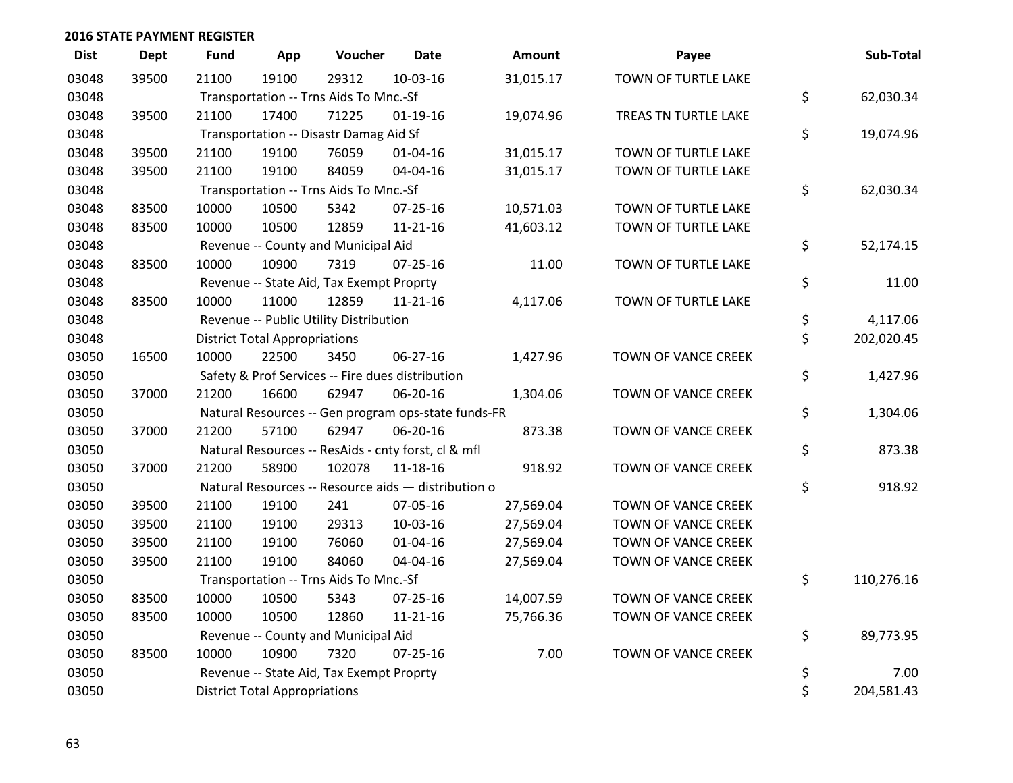| <b>Dist</b> | <b>Dept</b> | <b>Fund</b> | App                                  | Voucher                                  | <b>Date</b>                                         | Amount    | Payee                      | Sub-Total        |
|-------------|-------------|-------------|--------------------------------------|------------------------------------------|-----------------------------------------------------|-----------|----------------------------|------------------|
| 03048       | 39500       | 21100       | 19100                                | 29312                                    | 10-03-16                                            | 31,015.17 | TOWN OF TURTLE LAKE        |                  |
| 03048       |             |             |                                      | Transportation -- Trns Aids To Mnc.-Sf   |                                                     |           |                            | \$<br>62,030.34  |
| 03048       | 39500       | 21100       | 17400                                | 71225                                    | $01-19-16$                                          | 19,074.96 | TREAS TN TURTLE LAKE       |                  |
| 03048       |             |             |                                      | Transportation -- Disastr Damag Aid Sf   |                                                     |           |                            | \$<br>19,074.96  |
| 03048       | 39500       | 21100       | 19100                                | 76059                                    | $01 - 04 - 16$                                      | 31,015.17 | TOWN OF TURTLE LAKE        |                  |
| 03048       | 39500       | 21100       | 19100                                | 84059                                    | 04-04-16                                            | 31,015.17 | <b>TOWN OF TURTLE LAKE</b> |                  |
| 03048       |             |             |                                      | Transportation -- Trns Aids To Mnc.-Sf   |                                                     |           |                            | \$<br>62,030.34  |
| 03048       | 83500       | 10000       | 10500                                | 5342                                     | $07 - 25 - 16$                                      | 10,571.03 | TOWN OF TURTLE LAKE        |                  |
| 03048       | 83500       | 10000       | 10500                                | 12859                                    | $11 - 21 - 16$                                      | 41,603.12 | TOWN OF TURTLE LAKE        |                  |
| 03048       |             |             |                                      | Revenue -- County and Municipal Aid      |                                                     |           |                            | \$<br>52,174.15  |
| 03048       | 83500       | 10000       | 10900                                | 7319                                     | $07 - 25 - 16$                                      | 11.00     | TOWN OF TURTLE LAKE        |                  |
| 03048       |             |             |                                      | Revenue -- State Aid, Tax Exempt Proprty |                                                     |           |                            | \$<br>11.00      |
| 03048       | 83500       | 10000       | 11000                                | 12859                                    | $11 - 21 - 16$                                      | 4,117.06  | TOWN OF TURTLE LAKE        |                  |
| 03048       |             |             |                                      | Revenue -- Public Utility Distribution   |                                                     |           |                            | \$<br>4,117.06   |
| 03048       |             |             | <b>District Total Appropriations</b> |                                          |                                                     |           |                            | \$<br>202,020.45 |
| 03050       | 16500       | 10000       | 22500                                | 3450                                     | 06-27-16                                            | 1,427.96  | TOWN OF VANCE CREEK        |                  |
| 03050       |             |             |                                      |                                          | Safety & Prof Services -- Fire dues distribution    |           |                            | \$<br>1,427.96   |
| 03050       | 37000       | 21200       | 16600                                | 62947                                    | 06-20-16                                            | 1,304.06  | TOWN OF VANCE CREEK        |                  |
| 03050       |             |             |                                      |                                          | Natural Resources -- Gen program ops-state funds-FR |           |                            | \$<br>1,304.06   |
| 03050       | 37000       | 21200       | 57100                                | 62947                                    | 06-20-16                                            | 873.38    | TOWN OF VANCE CREEK        |                  |
| 03050       |             |             |                                      |                                          | Natural Resources -- ResAids - cnty forst, cl & mfl |           |                            | \$<br>873.38     |
| 03050       | 37000       | 21200       | 58900                                | 102078                                   | $11 - 18 - 16$                                      | 918.92    | TOWN OF VANCE CREEK        |                  |
| 03050       |             |             |                                      |                                          | Natural Resources -- Resource aids - distribution o |           |                            | \$<br>918.92     |
| 03050       | 39500       | 21100       | 19100                                | 241                                      | 07-05-16                                            | 27,569.04 | TOWN OF VANCE CREEK        |                  |
| 03050       | 39500       | 21100       | 19100                                | 29313                                    | 10-03-16                                            | 27,569.04 | TOWN OF VANCE CREEK        |                  |
| 03050       | 39500       | 21100       | 19100                                | 76060                                    | $01 - 04 - 16$                                      | 27,569.04 | TOWN OF VANCE CREEK        |                  |
| 03050       | 39500       | 21100       | 19100                                | 84060                                    | 04-04-16                                            | 27,569.04 | TOWN OF VANCE CREEK        |                  |
| 03050       |             |             |                                      | Transportation -- Trns Aids To Mnc.-Sf   |                                                     |           |                            | \$<br>110,276.16 |
| 03050       | 83500       | 10000       | 10500                                | 5343                                     | 07-25-16                                            | 14,007.59 | TOWN OF VANCE CREEK        |                  |
| 03050       | 83500       | 10000       | 10500                                | 12860                                    | $11 - 21 - 16$                                      | 75,766.36 | TOWN OF VANCE CREEK        |                  |
| 03050       |             |             |                                      | Revenue -- County and Municipal Aid      |                                                     |           |                            | \$<br>89,773.95  |
| 03050       | 83500       | 10000       | 10900                                | 7320                                     | $07 - 25 - 16$                                      | 7.00      | TOWN OF VANCE CREEK        |                  |
| 03050       |             |             |                                      | Revenue -- State Aid, Tax Exempt Proprty |                                                     |           |                            | \$<br>7.00       |
| 03050       |             |             | <b>District Total Appropriations</b> |                                          |                                                     |           |                            | \$<br>204,581.43 |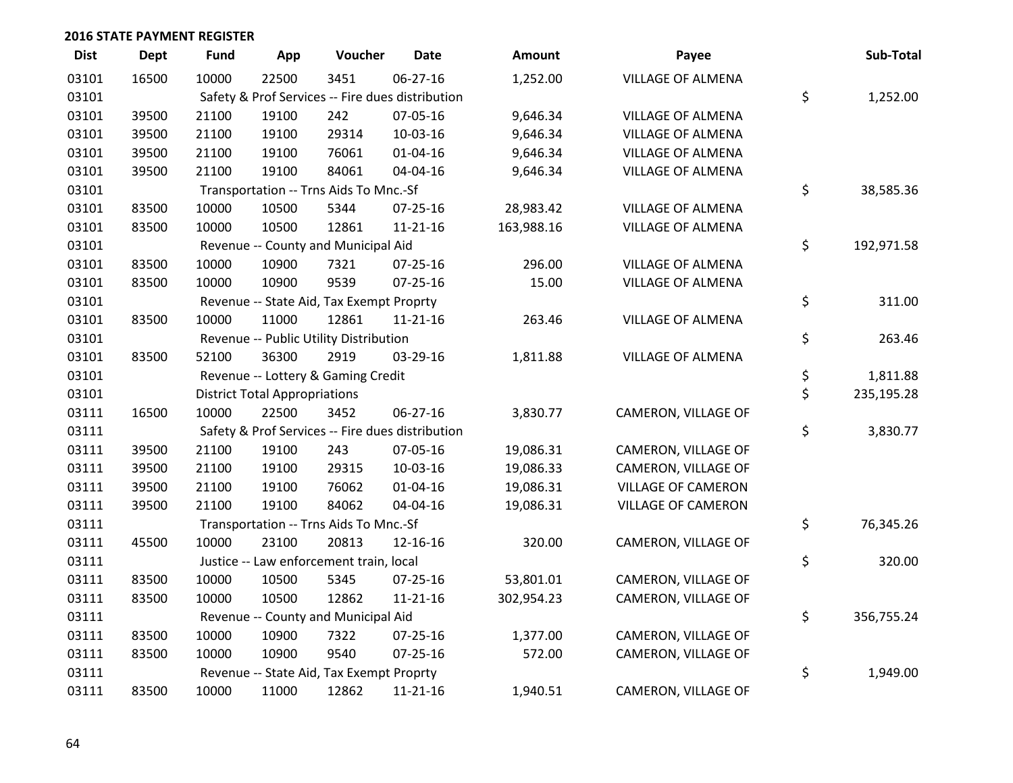| <b>Dist</b> | <b>Dept</b> | <b>Fund</b> | App                                  | Voucher                                  | <b>Date</b>                                      | <b>Amount</b> | Payee                     | Sub-Total        |
|-------------|-------------|-------------|--------------------------------------|------------------------------------------|--------------------------------------------------|---------------|---------------------------|------------------|
| 03101       | 16500       | 10000       | 22500                                | 3451                                     | 06-27-16                                         | 1,252.00      | VILLAGE OF ALMENA         |                  |
| 03101       |             |             |                                      |                                          | Safety & Prof Services -- Fire dues distribution |               |                           | \$<br>1,252.00   |
| 03101       | 39500       | 21100       | 19100                                | 242                                      | 07-05-16                                         | 9,646.34      | <b>VILLAGE OF ALMENA</b>  |                  |
| 03101       | 39500       | 21100       | 19100                                | 29314                                    | 10-03-16                                         | 9,646.34      | VILLAGE OF ALMENA         |                  |
| 03101       | 39500       | 21100       | 19100                                | 76061                                    | $01 - 04 - 16$                                   | 9,646.34      | <b>VILLAGE OF ALMENA</b>  |                  |
| 03101       | 39500       | 21100       | 19100                                | 84061                                    | 04-04-16                                         | 9,646.34      | VILLAGE OF ALMENA         |                  |
| 03101       |             |             |                                      | Transportation -- Trns Aids To Mnc.-Sf   |                                                  |               |                           | \$<br>38,585.36  |
| 03101       | 83500       | 10000       | 10500                                | 5344                                     | 07-25-16                                         | 28,983.42     | VILLAGE OF ALMENA         |                  |
| 03101       | 83500       | 10000       | 10500                                | 12861                                    | $11 - 21 - 16$                                   | 163,988.16    | VILLAGE OF ALMENA         |                  |
| 03101       |             |             |                                      | Revenue -- County and Municipal Aid      |                                                  |               |                           | \$<br>192,971.58 |
| 03101       | 83500       | 10000       | 10900                                | 7321                                     | 07-25-16                                         | 296.00        | <b>VILLAGE OF ALMENA</b>  |                  |
| 03101       | 83500       | 10000       | 10900                                | 9539                                     | 07-25-16                                         | 15.00         | VILLAGE OF ALMENA         |                  |
| 03101       |             |             |                                      | Revenue -- State Aid, Tax Exempt Proprty |                                                  |               |                           | \$<br>311.00     |
| 03101       | 83500       | 10000       | 11000                                | 12861                                    | 11-21-16                                         | 263.46        | VILLAGE OF ALMENA         |                  |
| 03101       |             |             |                                      | Revenue -- Public Utility Distribution   |                                                  |               |                           | \$<br>263.46     |
| 03101       | 83500       | 52100       | 36300                                | 2919                                     | 03-29-16                                         | 1,811.88      | VILLAGE OF ALMENA         |                  |
| 03101       |             |             |                                      | Revenue -- Lottery & Gaming Credit       |                                                  |               |                           | \$<br>1,811.88   |
| 03101       |             |             | <b>District Total Appropriations</b> |                                          |                                                  |               |                           | \$<br>235,195.28 |
| 03111       | 16500       | 10000       | 22500                                | 3452                                     | 06-27-16                                         | 3,830.77      | CAMERON, VILLAGE OF       |                  |
| 03111       |             |             |                                      |                                          | Safety & Prof Services -- Fire dues distribution |               |                           | \$<br>3,830.77   |
| 03111       | 39500       | 21100       | 19100                                | 243                                      | 07-05-16                                         | 19,086.31     | CAMERON, VILLAGE OF       |                  |
| 03111       | 39500       | 21100       | 19100                                | 29315                                    | 10-03-16                                         | 19,086.33     | CAMERON, VILLAGE OF       |                  |
| 03111       | 39500       | 21100       | 19100                                | 76062                                    | $01 - 04 - 16$                                   | 19,086.31     | VILLAGE OF CAMERON        |                  |
| 03111       | 39500       | 21100       | 19100                                | 84062                                    | 04-04-16                                         | 19,086.31     | <b>VILLAGE OF CAMERON</b> |                  |
| 03111       |             |             |                                      | Transportation -- Trns Aids To Mnc.-Sf   |                                                  |               |                           | \$<br>76,345.26  |
| 03111       | 45500       | 10000       | 23100                                | 20813                                    | 12-16-16                                         | 320.00        | CAMERON, VILLAGE OF       |                  |
| 03111       |             |             |                                      | Justice -- Law enforcement train, local  |                                                  |               |                           | \$<br>320.00     |
| 03111       | 83500       | 10000       | 10500                                | 5345                                     | 07-25-16                                         | 53,801.01     | CAMERON, VILLAGE OF       |                  |
| 03111       | 83500       | 10000       | 10500                                | 12862                                    | $11 - 21 - 16$                                   | 302,954.23    | CAMERON, VILLAGE OF       |                  |
| 03111       |             |             |                                      | Revenue -- County and Municipal Aid      |                                                  |               |                           | \$<br>356,755.24 |
| 03111       | 83500       | 10000       | 10900                                | 7322                                     | 07-25-16                                         | 1,377.00      | CAMERON, VILLAGE OF       |                  |
| 03111       | 83500       | 10000       | 10900                                | 9540                                     | 07-25-16                                         | 572.00        | CAMERON, VILLAGE OF       |                  |
| 03111       |             |             |                                      | Revenue -- State Aid, Tax Exempt Proprty |                                                  |               |                           | \$<br>1,949.00   |
| 03111       | 83500       | 10000       | 11000                                | 12862                                    | $11 - 21 - 16$                                   | 1,940.51      | CAMERON, VILLAGE OF       |                  |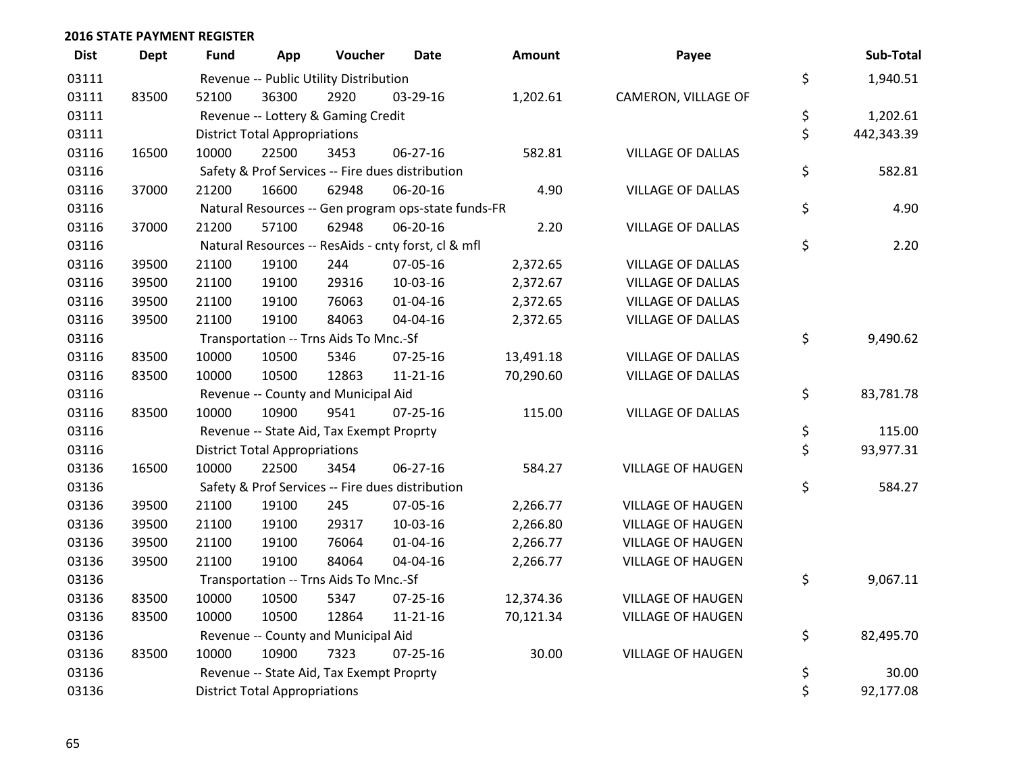| <b>Dist</b> | <b>Dept</b> | <b>Fund</b>                            | App                                  | Voucher                                  | <b>Date</b>                                         | Amount    | Payee                    |          | Sub-Total          |  |  |  |
|-------------|-------------|----------------------------------------|--------------------------------------|------------------------------------------|-----------------------------------------------------|-----------|--------------------------|----------|--------------------|--|--|--|
| 03111       |             | Revenue -- Public Utility Distribution | \$                                   | 1,940.51                                 |                                                     |           |                          |          |                    |  |  |  |
| 03111       | 83500       | 52100                                  | 36300                                | 2920                                     | 03-29-16                                            | 1,202.61  | CAMERON, VILLAGE OF      |          |                    |  |  |  |
| 03111       |             |                                        |                                      | Revenue -- Lottery & Gaming Credit       |                                                     |           |                          | \$       | 1,202.61           |  |  |  |
| 03111       |             |                                        | <b>District Total Appropriations</b> |                                          |                                                     |           |                          | \$       | 442,343.39         |  |  |  |
| 03116       | 16500       | 10000                                  | 22500                                | 3453                                     | 06-27-16                                            | 582.81    | <b>VILLAGE OF DALLAS</b> |          |                    |  |  |  |
| 03116       |             |                                        |                                      |                                          | Safety & Prof Services -- Fire dues distribution    |           |                          | \$       | 582.81             |  |  |  |
| 03116       | 37000       | 21200                                  | 16600                                | 62948                                    | 06-20-16                                            | 4.90      | <b>VILLAGE OF DALLAS</b> |          |                    |  |  |  |
| 03116       |             |                                        |                                      |                                          | Natural Resources -- Gen program ops-state funds-FR |           |                          | \$       | 4.90               |  |  |  |
| 03116       | 37000       | 21200                                  | 57100                                | 62948                                    | 06-20-16                                            | 2.20      | <b>VILLAGE OF DALLAS</b> |          |                    |  |  |  |
| 03116       |             |                                        |                                      |                                          | Natural Resources -- ResAids - cnty forst, cl & mfl |           |                          | \$       | 2.20               |  |  |  |
| 03116       | 39500       | 21100                                  | 19100                                | 244                                      | 07-05-16                                            | 2,372.65  | <b>VILLAGE OF DALLAS</b> |          |                    |  |  |  |
| 03116       | 39500       | 21100                                  | 19100                                | 29316                                    | 10-03-16                                            | 2,372.67  | <b>VILLAGE OF DALLAS</b> |          |                    |  |  |  |
| 03116       | 39500       | 21100                                  | 19100                                | 76063                                    | $01 - 04 - 16$                                      | 2,372.65  | <b>VILLAGE OF DALLAS</b> |          |                    |  |  |  |
| 03116       | 39500       | 21100                                  | 19100                                | 84063                                    | 04-04-16                                            | 2,372.65  | <b>VILLAGE OF DALLAS</b> |          |                    |  |  |  |
| 03116       |             |                                        |                                      | Transportation -- Trns Aids To Mnc.-Sf   |                                                     |           |                          | \$       | 9,490.62           |  |  |  |
| 03116       | 83500       | 10000                                  | 10500                                | 5346                                     | $07 - 25 - 16$                                      | 13,491.18 | <b>VILLAGE OF DALLAS</b> |          |                    |  |  |  |
| 03116       | 83500       | 10000                                  | 10500                                | 12863                                    | $11 - 21 - 16$                                      | 70,290.60 | <b>VILLAGE OF DALLAS</b> |          |                    |  |  |  |
| 03116       |             |                                        |                                      | Revenue -- County and Municipal Aid      |                                                     |           |                          | \$       | 83,781.78          |  |  |  |
| 03116       | 83500       | 10000                                  | 10900                                | 9541                                     | $07 - 25 - 16$                                      | 115.00    | <b>VILLAGE OF DALLAS</b> |          |                    |  |  |  |
| 03116       |             |                                        |                                      | Revenue -- State Aid, Tax Exempt Proprty |                                                     |           |                          | \$       | 115.00             |  |  |  |
| 03116       |             |                                        | <b>District Total Appropriations</b> |                                          |                                                     |           |                          | \$       | 93,977.31          |  |  |  |
| 03136       | 16500       | 10000                                  | 22500                                | 3454                                     | 06-27-16                                            | 584.27    | <b>VILLAGE OF HAUGEN</b> |          |                    |  |  |  |
| 03136       |             |                                        |                                      |                                          | Safety & Prof Services -- Fire dues distribution    |           |                          | \$       | 584.27             |  |  |  |
| 03136       | 39500       | 21100                                  | 19100                                | 245                                      | 07-05-16                                            | 2,266.77  | <b>VILLAGE OF HAUGEN</b> |          |                    |  |  |  |
| 03136       | 39500       | 21100                                  | 19100                                | 29317                                    | 10-03-16                                            | 2,266.80  | <b>VILLAGE OF HAUGEN</b> |          |                    |  |  |  |
| 03136       | 39500       | 21100                                  | 19100                                | 76064                                    | $01 - 04 - 16$                                      | 2,266.77  | <b>VILLAGE OF HAUGEN</b> |          |                    |  |  |  |
| 03136       | 39500       | 21100                                  | 19100                                | 84064                                    | 04-04-16                                            | 2,266.77  | <b>VILLAGE OF HAUGEN</b> |          |                    |  |  |  |
| 03136       |             |                                        |                                      | Transportation -- Trns Aids To Mnc.-Sf   |                                                     |           |                          | \$       | 9,067.11           |  |  |  |
| 03136       | 83500       | 10000                                  | 10500                                | 5347                                     | 07-25-16                                            | 12,374.36 | <b>VILLAGE OF HAUGEN</b> |          |                    |  |  |  |
| 03136       | 83500       | 10000                                  | 10500                                | 12864                                    | $11 - 21 - 16$                                      | 70,121.34 | <b>VILLAGE OF HAUGEN</b> |          |                    |  |  |  |
| 03136       |             |                                        |                                      | Revenue -- County and Municipal Aid      |                                                     |           |                          | \$       | 82,495.70          |  |  |  |
| 03136       | 83500       | 10000                                  | 10900                                | 7323                                     | $07 - 25 - 16$                                      | 30.00     | <b>VILLAGE OF HAUGEN</b> |          |                    |  |  |  |
| 03136       |             |                                        |                                      | Revenue -- State Aid, Tax Exempt Proprty |                                                     |           |                          | \$<br>\$ | 30.00<br>92,177.08 |  |  |  |
| 03136       |             |                                        | <b>District Total Appropriations</b> |                                          |                                                     |           |                          |          |                    |  |  |  |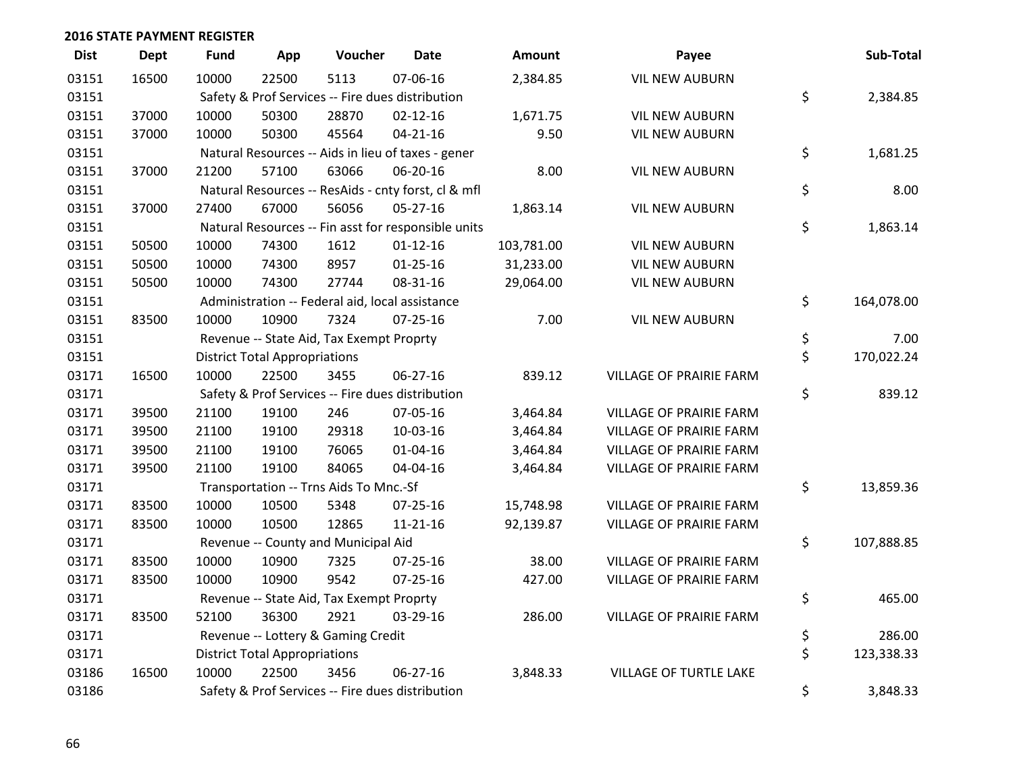| <b>Dist</b> | <b>Dept</b> | Fund  | App                                              | Voucher                                          | <b>Date</b>                                         | <b>Amount</b> | Payee                   |    | Sub-Total  |  |
|-------------|-------------|-------|--------------------------------------------------|--------------------------------------------------|-----------------------------------------------------|---------------|-------------------------|----|------------|--|
| 03151       | 16500       | 10000 | 22500                                            | 5113                                             | 07-06-16                                            | 2,384.85      | <b>VIL NEW AUBURN</b>   |    |            |  |
| 03151       |             |       | Safety & Prof Services -- Fire dues distribution |                                                  |                                                     |               |                         |    |            |  |
| 03151       | 37000       | 10000 | 50300                                            | 28870                                            | $02 - 12 - 16$                                      | 1,671.75      | <b>VIL NEW AUBURN</b>   |    |            |  |
| 03151       | 37000       | 10000 | 50300                                            | 45564                                            | $04 - 21 - 16$                                      | 9.50          | <b>VIL NEW AUBURN</b>   |    |            |  |
| 03151       |             |       |                                                  |                                                  | Natural Resources -- Aids in lieu of taxes - gener  |               |                         | \$ | 1,681.25   |  |
| 03151       | 37000       | 21200 | 57100                                            | 63066                                            | 06-20-16                                            | 8.00          | <b>VIL NEW AUBURN</b>   |    |            |  |
| 03151       |             |       |                                                  |                                                  | Natural Resources -- ResAids - cnty forst, cl & mfl |               |                         | \$ | 8.00       |  |
| 03151       | 37000       | 27400 | 67000                                            | 56056                                            | 05-27-16                                            | 1,863.14      | <b>VIL NEW AUBURN</b>   |    |            |  |
| 03151       |             |       |                                                  |                                                  | Natural Resources -- Fin asst for responsible units |               |                         | \$ | 1,863.14   |  |
| 03151       | 50500       | 10000 | 74300                                            | 1612                                             | $01 - 12 - 16$                                      | 103,781.00    | <b>VIL NEW AUBURN</b>   |    |            |  |
| 03151       | 50500       | 10000 | 74300                                            | 8957                                             | $01 - 25 - 16$                                      | 31,233.00     | <b>VIL NEW AUBURN</b>   |    |            |  |
| 03151       | 50500       | 10000 | 74300                                            | 27744                                            | 08-31-16                                            | 29,064.00     | <b>VIL NEW AUBURN</b>   |    |            |  |
| 03151       |             |       |                                                  | Administration -- Federal aid, local assistance  |                                                     |               |                         | \$ | 164,078.00 |  |
| 03151       | 83500       | 10000 | 10900                                            | 7324                                             | 07-25-16                                            | 7.00          | <b>VIL NEW AUBURN</b>   |    |            |  |
| 03151       |             |       |                                                  | Revenue -- State Aid, Tax Exempt Proprty         |                                                     |               |                         | \$ | 7.00       |  |
| 03151       |             |       | <b>District Total Appropriations</b>             |                                                  |                                                     |               |                         | \$ | 170,022.24 |  |
| 03171       | 16500       | 10000 | 22500                                            | 3455                                             | 06-27-16                                            | 839.12        | VILLAGE OF PRAIRIE FARM |    |            |  |
| 03171       |             |       |                                                  | Safety & Prof Services -- Fire dues distribution |                                                     |               |                         | \$ | 839.12     |  |
| 03171       | 39500       | 21100 | 19100                                            | 246                                              | 07-05-16                                            | 3,464.84      | VILLAGE OF PRAIRIE FARM |    |            |  |
| 03171       | 39500       | 21100 | 19100                                            | 29318                                            | 10-03-16                                            | 3,464.84      | VILLAGE OF PRAIRIE FARM |    |            |  |
| 03171       | 39500       | 21100 | 19100                                            | 76065                                            | 01-04-16                                            | 3,464.84      | VILLAGE OF PRAIRIE FARM |    |            |  |
| 03171       | 39500       | 21100 | 19100                                            | 84065                                            | 04-04-16                                            | 3,464.84      | VILLAGE OF PRAIRIE FARM |    |            |  |
| 03171       |             |       |                                                  | Transportation -- Trns Aids To Mnc.-Sf           |                                                     |               |                         | \$ | 13,859.36  |  |
| 03171       | 83500       | 10000 | 10500                                            | 5348                                             | 07-25-16                                            | 15,748.98     | VILLAGE OF PRAIRIE FARM |    |            |  |
| 03171       | 83500       | 10000 | 10500                                            | 12865                                            | $11 - 21 - 16$                                      | 92,139.87     | VILLAGE OF PRAIRIE FARM |    |            |  |
| 03171       |             |       |                                                  | Revenue -- County and Municipal Aid              |                                                     |               |                         | \$ | 107,888.85 |  |
| 03171       | 83500       | 10000 | 10900                                            | 7325                                             | 07-25-16                                            | 38.00         | VILLAGE OF PRAIRIE FARM |    |            |  |
| 03171       | 83500       | 10000 | 10900                                            | 9542                                             | 07-25-16                                            | 427.00        | VILLAGE OF PRAIRIE FARM |    |            |  |
| 03171       |             |       |                                                  | Revenue -- State Aid, Tax Exempt Proprty         |                                                     |               |                         | \$ | 465.00     |  |
| 03171       | 83500       | 52100 | 36300                                            | 2921                                             | 03-29-16                                            | 286.00        | VILLAGE OF PRAIRIE FARM |    |            |  |
| 03171       |             |       |                                                  | Revenue -- Lottery & Gaming Credit               |                                                     |               |                         | \$ | 286.00     |  |
| 03171       |             |       | <b>District Total Appropriations</b>             |                                                  |                                                     |               |                         | \$ | 123,338.33 |  |
| 03186       | 16500       | 10000 | 22500                                            | 3456                                             | $06 - 27 - 16$                                      | 3,848.33      | VILLAGE OF TURTLE LAKE  |    |            |  |
| 03186       |             |       |                                                  | Safety & Prof Services -- Fire dues distribution |                                                     |               |                         | \$ | 3,848.33   |  |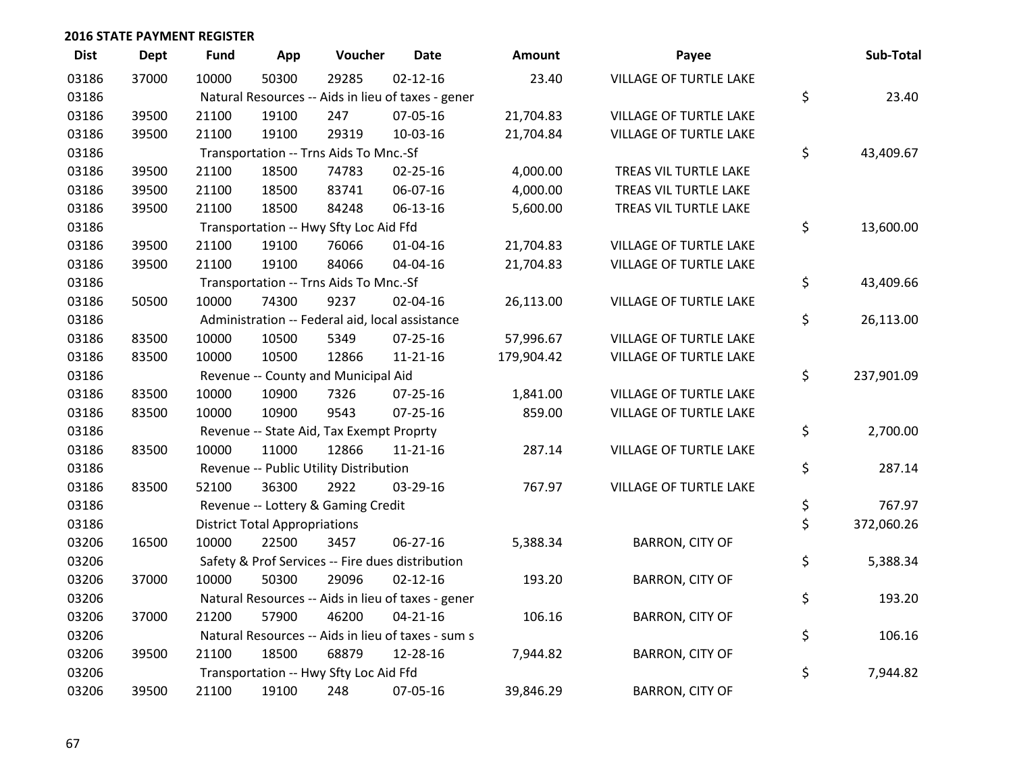| <b>Dist</b> | <b>Dept</b> | <b>Fund</b>                                        | App                                      | Voucher                                          | <b>Date</b>                                        | Amount     | Payee                         |    | Sub-Total  |
|-------------|-------------|----------------------------------------------------|------------------------------------------|--------------------------------------------------|----------------------------------------------------|------------|-------------------------------|----|------------|
| 03186       | 37000       | 10000                                              | 50300                                    | 29285                                            | $02 - 12 - 16$                                     | 23.40      | VILLAGE OF TURTLE LAKE        |    |            |
| 03186       |             | Natural Resources -- Aids in lieu of taxes - gener | \$                                       | 23.40                                            |                                                    |            |                               |    |            |
| 03186       | 39500       | 21100                                              | 19100                                    | 247                                              | 07-05-16                                           | 21,704.83  | VILLAGE OF TURTLE LAKE        |    |            |
| 03186       | 39500       | 21100                                              | 19100                                    | 29319                                            | 10-03-16                                           | 21,704.84  | VILLAGE OF TURTLE LAKE        |    |            |
| 03186       |             |                                                    |                                          | Transportation -- Trns Aids To Mnc.-Sf           |                                                    |            |                               | \$ | 43,409.67  |
| 03186       | 39500       | 21100                                              | 18500                                    | 74783                                            | $02 - 25 - 16$                                     | 4,000.00   | TREAS VIL TURTLE LAKE         |    |            |
| 03186       | 39500       | 21100                                              | 18500                                    | 83741                                            | 06-07-16                                           | 4,000.00   | TREAS VIL TURTLE LAKE         |    |            |
| 03186       | 39500       | 21100                                              | 18500                                    | 84248                                            | 06-13-16                                           | 5,600.00   | TREAS VIL TURTLE LAKE         |    |            |
| 03186       |             |                                                    |                                          | Transportation -- Hwy Sfty Loc Aid Ffd           |                                                    |            |                               | \$ | 13,600.00  |
| 03186       | 39500       | 21100                                              | 19100                                    | 76066                                            | $01 - 04 - 16$                                     | 21,704.83  | <b>VILLAGE OF TURTLE LAKE</b> |    |            |
| 03186       | 39500       | 21100                                              | 19100                                    | 84066                                            | 04-04-16                                           | 21,704.83  | VILLAGE OF TURTLE LAKE        |    |            |
| 03186       |             |                                                    |                                          | Transportation -- Trns Aids To Mnc.-Sf           |                                                    |            |                               | \$ | 43,409.66  |
| 03186       | 50500       | 10000                                              | 74300                                    | 9237                                             | 02-04-16                                           | 26,113.00  | VILLAGE OF TURTLE LAKE        |    |            |
| 03186       |             |                                                    |                                          | Administration -- Federal aid, local assistance  |                                                    |            |                               | \$ | 26,113.00  |
| 03186       | 83500       | 10000                                              | 10500                                    | 5349                                             | $07 - 25 - 16$                                     | 57,996.67  | VILLAGE OF TURTLE LAKE        |    |            |
| 03186       | 83500       | 10000                                              | 10500                                    | 12866                                            | 11-21-16                                           | 179,904.42 | VILLAGE OF TURTLE LAKE        |    |            |
| 03186       |             |                                                    |                                          | Revenue -- County and Municipal Aid              |                                                    |            |                               | \$ | 237,901.09 |
| 03186       | 83500       | 10000                                              | 10900                                    | 7326                                             | $07 - 25 - 16$                                     | 1,841.00   | <b>VILLAGE OF TURTLE LAKE</b> |    |            |
| 03186       | 83500       | 10000                                              | 10900                                    | 9543                                             | $07 - 25 - 16$                                     | 859.00     | VILLAGE OF TURTLE LAKE        |    |            |
| 03186       |             |                                                    | Revenue -- State Aid, Tax Exempt Proprty |                                                  |                                                    |            |                               |    |            |
| 03186       | 83500       | 10000                                              | 11000                                    | 12866                                            | 11-21-16                                           | 287.14     | VILLAGE OF TURTLE LAKE        |    |            |
| 03186       |             |                                                    |                                          | Revenue -- Public Utility Distribution           |                                                    |            |                               | \$ | 287.14     |
| 03186       | 83500       | 52100                                              | 36300                                    | 2922                                             | 03-29-16                                           | 767.97     | <b>VILLAGE OF TURTLE LAKE</b> |    |            |
| 03186       |             |                                                    |                                          | Revenue -- Lottery & Gaming Credit               |                                                    |            |                               | \$ | 767.97     |
| 03186       |             |                                                    | <b>District Total Appropriations</b>     |                                                  |                                                    |            |                               | \$ | 372,060.26 |
| 03206       | 16500       | 10000                                              | 22500                                    | 3457                                             | 06-27-16                                           | 5,388.34   | <b>BARRON, CITY OF</b>        |    |            |
| 03206       |             |                                                    |                                          | Safety & Prof Services -- Fire dues distribution |                                                    |            |                               | \$ | 5,388.34   |
| 03206       | 37000       | 10000                                              | 50300                                    | 29096                                            | $02 - 12 - 16$                                     | 193.20     | <b>BARRON, CITY OF</b>        |    |            |
| 03206       |             |                                                    |                                          |                                                  | Natural Resources -- Aids in lieu of taxes - gener |            |                               | \$ | 193.20     |
| 03206       | 37000       | 21200                                              | 57900                                    | 46200                                            | $04 - 21 - 16$                                     | 106.16     | <b>BARRON, CITY OF</b>        |    |            |
| 03206       |             |                                                    |                                          |                                                  | Natural Resources -- Aids in lieu of taxes - sum s |            |                               | \$ | 106.16     |
| 03206       | 39500       | 21100                                              | 18500                                    | 68879                                            | 12-28-16                                           | 7,944.82   | <b>BARRON, CITY OF</b>        |    |            |
| 03206       |             |                                                    |                                          | Transportation -- Hwy Sfty Loc Aid Ffd           |                                                    |            |                               | \$ | 7,944.82   |
| 03206       | 39500       | 21100                                              | 19100                                    | 248                                              | 07-05-16                                           | 39,846.29  | <b>BARRON, CITY OF</b>        |    |            |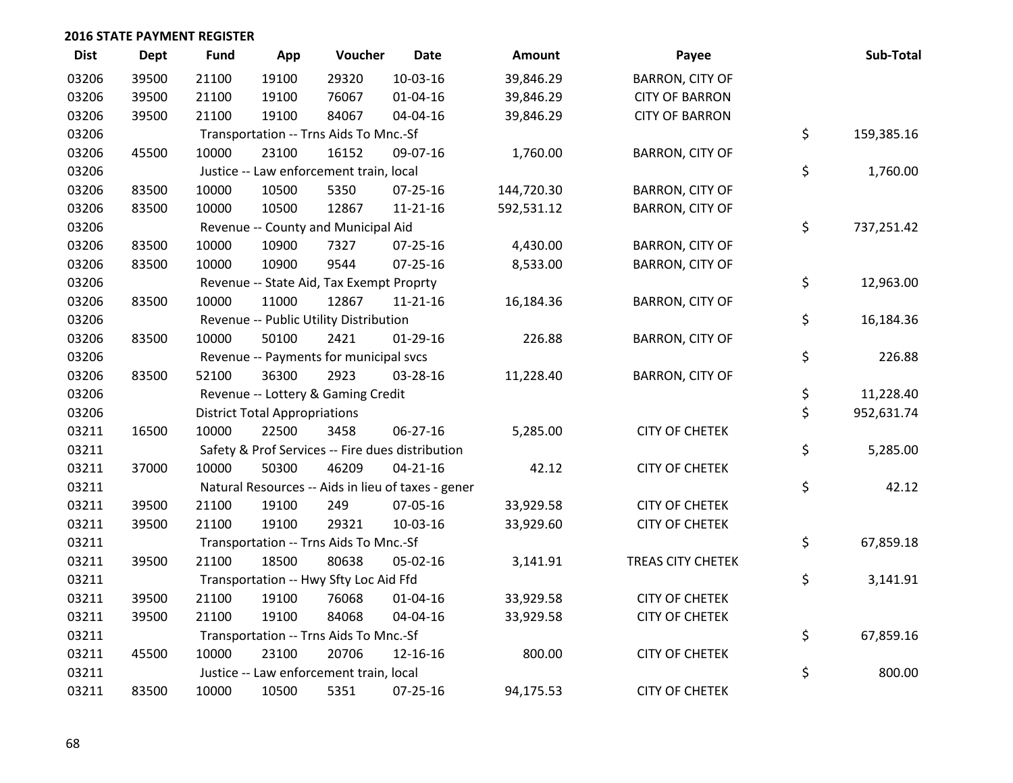| <b>Dist</b> | <b>Dept</b> | <b>Fund</b>                            | App                                  | Voucher                                  | <b>Date</b>                                        | Amount     | Payee                  | Sub-Total        |
|-------------|-------------|----------------------------------------|--------------------------------------|------------------------------------------|----------------------------------------------------|------------|------------------------|------------------|
| 03206       | 39500       | 21100                                  | 19100                                | 29320                                    | 10-03-16                                           | 39,846.29  | <b>BARRON, CITY OF</b> |                  |
| 03206       | 39500       | 21100                                  | 19100                                | 76067                                    | $01 - 04 - 16$                                     | 39,846.29  | <b>CITY OF BARRON</b>  |                  |
| 03206       | 39500       | 21100                                  | 19100                                | 84067                                    | 04-04-16                                           | 39,846.29  | <b>CITY OF BARRON</b>  |                  |
| 03206       |             |                                        |                                      | Transportation -- Trns Aids To Mnc.-Sf   |                                                    |            |                        | \$<br>159,385.16 |
| 03206       | 45500       | 10000                                  | 23100                                | 16152                                    | 09-07-16                                           | 1,760.00   | <b>BARRON, CITY OF</b> |                  |
| 03206       |             |                                        |                                      | Justice -- Law enforcement train, local  |                                                    |            |                        | \$<br>1,760.00   |
| 03206       | 83500       | 10000                                  | 10500                                | 5350                                     | 07-25-16                                           | 144,720.30 | <b>BARRON, CITY OF</b> |                  |
| 03206       | 83500       | 10000                                  | 10500                                | 12867                                    | $11 - 21 - 16$                                     | 592,531.12 | <b>BARRON, CITY OF</b> |                  |
| 03206       |             |                                        |                                      | Revenue -- County and Municipal Aid      |                                                    |            |                        | \$<br>737,251.42 |
| 03206       | 83500       | 10000                                  | 10900                                | 7327                                     | 07-25-16                                           | 4,430.00   | <b>BARRON, CITY OF</b> |                  |
| 03206       | 83500       | 10000                                  | 10900                                | 9544                                     | 07-25-16                                           | 8,533.00   | <b>BARRON, CITY OF</b> |                  |
| 03206       |             |                                        |                                      | Revenue -- State Aid, Tax Exempt Proprty |                                                    |            |                        | \$<br>12,963.00  |
| 03206       | 83500       | 10000                                  | 11000                                | 12867                                    | $11 - 21 - 16$                                     | 16,184.36  | <b>BARRON, CITY OF</b> |                  |
| 03206       |             |                                        |                                      | Revenue -- Public Utility Distribution   |                                                    |            |                        | \$<br>16,184.36  |
| 03206       | 83500       | 10000                                  | 50100                                | 2421                                     | $01-29-16$                                         | 226.88     | <b>BARRON, CITY OF</b> |                  |
| 03206       |             |                                        |                                      | Revenue -- Payments for municipal svcs   |                                                    |            |                        | \$<br>226.88     |
| 03206       | 83500       | 52100                                  | 36300                                | 2923                                     | 03-28-16                                           | 11,228.40  | BARRON, CITY OF        |                  |
| 03206       |             |                                        |                                      | Revenue -- Lottery & Gaming Credit       |                                                    |            |                        | \$<br>11,228.40  |
| 03206       |             |                                        | <b>District Total Appropriations</b> |                                          |                                                    |            |                        | \$<br>952,631.74 |
| 03211       | 16500       | 10000                                  | 22500                                | 3458                                     | 06-27-16                                           | 5,285.00   | <b>CITY OF CHETEK</b>  |                  |
| 03211       |             |                                        |                                      |                                          | Safety & Prof Services -- Fire dues distribution   |            |                        | \$<br>5,285.00   |
| 03211       | 37000       | 10000                                  | 50300                                | 46209                                    | $04 - 21 - 16$                                     | 42.12      | <b>CITY OF CHETEK</b>  |                  |
| 03211       |             |                                        |                                      |                                          | Natural Resources -- Aids in lieu of taxes - gener |            |                        | \$<br>42.12      |
| 03211       | 39500       | 21100                                  | 19100                                | 249                                      | 07-05-16                                           | 33,929.58  | <b>CITY OF CHETEK</b>  |                  |
| 03211       | 39500       | 21100                                  | 19100                                | 29321                                    | 10-03-16                                           | 33,929.60  | <b>CITY OF CHETEK</b>  |                  |
| 03211       |             |                                        |                                      | Transportation -- Trns Aids To Mnc.-Sf   |                                                    |            |                        | \$<br>67,859.18  |
| 03211       | 39500       | 21100                                  | 18500                                | 80638                                    | 05-02-16                                           | 3,141.91   | TREAS CITY CHETEK      |                  |
| 03211       |             |                                        |                                      | Transportation -- Hwy Sfty Loc Aid Ffd   |                                                    |            |                        | \$<br>3,141.91   |
| 03211       | 39500       | 21100                                  | 19100                                | 76068                                    | $01 - 04 - 16$                                     | 33,929.58  | <b>CITY OF CHETEK</b>  |                  |
| 03211       | 39500       | 21100                                  | 19100                                | 84068                                    | 04-04-16                                           | 33,929.58  | <b>CITY OF CHETEK</b>  |                  |
| 03211       |             | Transportation -- Trns Aids To Mnc.-Sf | \$<br>67,859.16                      |                                          |                                                    |            |                        |                  |
| 03211       | 45500       | 10000                                  | 23100                                | 20706                                    | 12-16-16                                           | 800.00     | <b>CITY OF CHETEK</b>  |                  |
| 03211       |             |                                        |                                      | Justice -- Law enforcement train, local  |                                                    |            |                        | \$<br>800.00     |
| 03211       | 83500       | 10000                                  | 10500                                | 5351                                     | 07-25-16                                           | 94,175.53  | <b>CITY OF CHETEK</b>  |                  |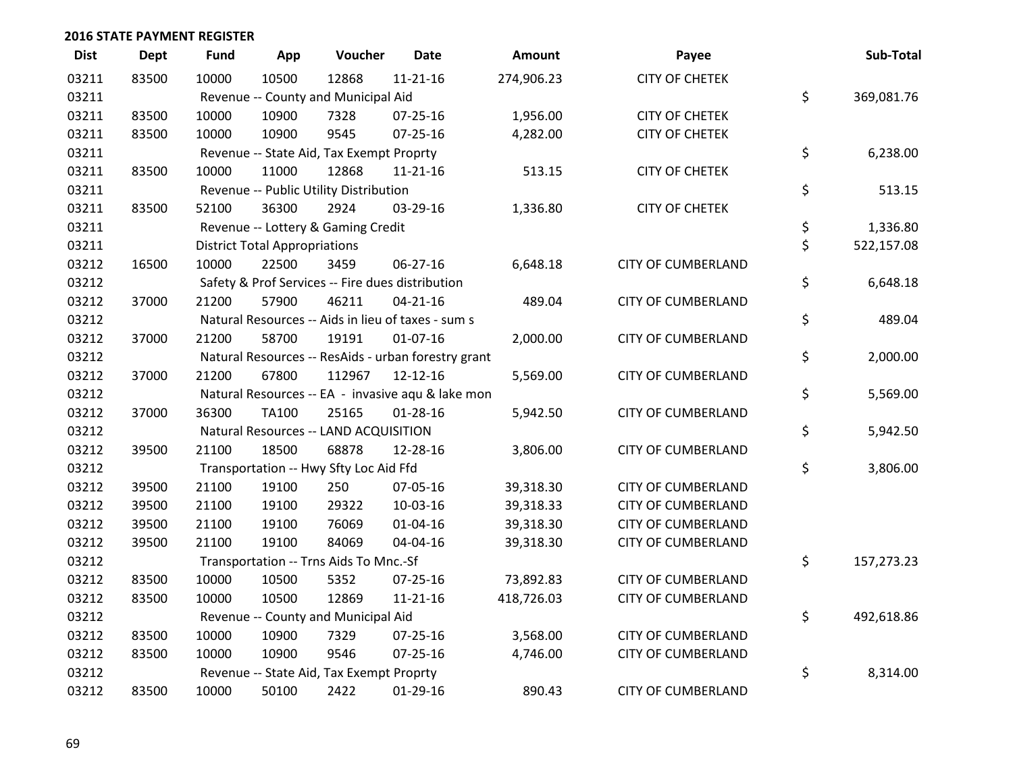| <b>Dist</b> | <b>Dept</b> | <b>Fund</b>                         | App                                  | Voucher                                             | <b>Date</b>    | Amount     | Payee                     | Sub-Total        |
|-------------|-------------|-------------------------------------|--------------------------------------|-----------------------------------------------------|----------------|------------|---------------------------|------------------|
| 03211       | 83500       | 10000                               | 10500                                | 12868                                               | $11 - 21 - 16$ | 274,906.23 | <b>CITY OF CHETEK</b>     |                  |
| 03211       |             | Revenue -- County and Municipal Aid | \$<br>369,081.76                     |                                                     |                |            |                           |                  |
| 03211       | 83500       | 10000                               | 10900                                | 7328                                                | $07 - 25 - 16$ | 1,956.00   | <b>CITY OF CHETEK</b>     |                  |
| 03211       | 83500       | 10000                               | 10900                                | 9545                                                | $07 - 25 - 16$ | 4,282.00   | <b>CITY OF CHETEK</b>     |                  |
| 03211       |             |                                     |                                      | Revenue -- State Aid, Tax Exempt Proprty            |                |            |                           | \$<br>6,238.00   |
| 03211       | 83500       | 10000                               | 11000                                | 12868                                               | $11 - 21 - 16$ | 513.15     | <b>CITY OF CHETEK</b>     |                  |
| 03211       |             |                                     |                                      | Revenue -- Public Utility Distribution              |                |            |                           | \$<br>513.15     |
| 03211       | 83500       | 52100                               | 36300                                | 2924                                                | 03-29-16       | 1,336.80   | <b>CITY OF CHETEK</b>     |                  |
| 03211       |             |                                     |                                      | Revenue -- Lottery & Gaming Credit                  |                |            |                           | \$<br>1,336.80   |
| 03211       |             |                                     | <b>District Total Appropriations</b> |                                                     |                |            |                           | \$<br>522,157.08 |
| 03212       | 16500       | 10000                               | 22500                                | 3459                                                | 06-27-16       | 6,648.18   | <b>CITY OF CUMBERLAND</b> |                  |
| 03212       |             |                                     |                                      | Safety & Prof Services -- Fire dues distribution    |                |            |                           | \$<br>6,648.18   |
| 03212       | 37000       | 21200                               | 57900                                | 46211                                               | $04 - 21 - 16$ | 489.04     | <b>CITY OF CUMBERLAND</b> |                  |
| 03212       |             |                                     |                                      | Natural Resources -- Aids in lieu of taxes - sum s  |                |            |                           | \$<br>489.04     |
| 03212       | 37000       | 21200                               | 58700                                | 19191                                               | $01-07-16$     | 2,000.00   | <b>CITY OF CUMBERLAND</b> |                  |
| 03212       |             |                                     |                                      | Natural Resources -- ResAids - urban forestry grant |                |            |                           | \$<br>2,000.00   |
| 03212       | 37000       | 21200                               | 67800                                | 112967                                              | $12 - 12 - 16$ | 5,569.00   | <b>CITY OF CUMBERLAND</b> |                  |
| 03212       |             |                                     |                                      | Natural Resources -- EA - invasive aqu & lake mon   |                |            |                           | \$<br>5,569.00   |
| 03212       | 37000       | 36300                               | <b>TA100</b>                         | 25165                                               | $01 - 28 - 16$ | 5,942.50   | <b>CITY OF CUMBERLAND</b> |                  |
| 03212       |             |                                     |                                      | Natural Resources -- LAND ACQUISITION               |                |            |                           | \$<br>5,942.50   |
| 03212       | 39500       | 21100                               | 18500                                | 68878                                               | 12-28-16       | 3,806.00   | <b>CITY OF CUMBERLAND</b> |                  |
| 03212       |             |                                     |                                      | Transportation -- Hwy Sfty Loc Aid Ffd              |                |            |                           | \$<br>3,806.00   |
| 03212       | 39500       | 21100                               | 19100                                | 250                                                 | 07-05-16       | 39,318.30  | <b>CITY OF CUMBERLAND</b> |                  |
| 03212       | 39500       | 21100                               | 19100                                | 29322                                               | 10-03-16       | 39,318.33  | <b>CITY OF CUMBERLAND</b> |                  |
| 03212       | 39500       | 21100                               | 19100                                | 76069                                               | $01 - 04 - 16$ | 39,318.30  | <b>CITY OF CUMBERLAND</b> |                  |
| 03212       | 39500       | 21100                               | 19100                                | 84069                                               | 04-04-16       | 39,318.30  | <b>CITY OF CUMBERLAND</b> |                  |
| 03212       |             |                                     |                                      | Transportation -- Trns Aids To Mnc.-Sf              |                |            |                           | \$<br>157,273.23 |
| 03212       | 83500       | 10000                               | 10500                                | 5352                                                | 07-25-16       | 73,892.83  | <b>CITY OF CUMBERLAND</b> |                  |
| 03212       | 83500       | 10000                               | 10500                                | 12869                                               | $11 - 21 - 16$ | 418,726.03 | <b>CITY OF CUMBERLAND</b> |                  |
| 03212       |             |                                     |                                      | Revenue -- County and Municipal Aid                 |                |            |                           | \$<br>492,618.86 |
| 03212       | 83500       | 10000                               | 10900                                | 7329                                                | 07-25-16       | 3,568.00   | <b>CITY OF CUMBERLAND</b> |                  |
| 03212       | 83500       | 10000                               | 10900                                | 9546                                                | $07 - 25 - 16$ | 4,746.00   | <b>CITY OF CUMBERLAND</b> |                  |
| 03212       |             |                                     |                                      | Revenue -- State Aid, Tax Exempt Proprty            |                |            |                           | \$<br>8,314.00   |
| 03212       | 83500       | 10000                               | 50100                                | 2422                                                | 01-29-16       | 890.43     | <b>CITY OF CUMBERLAND</b> |                  |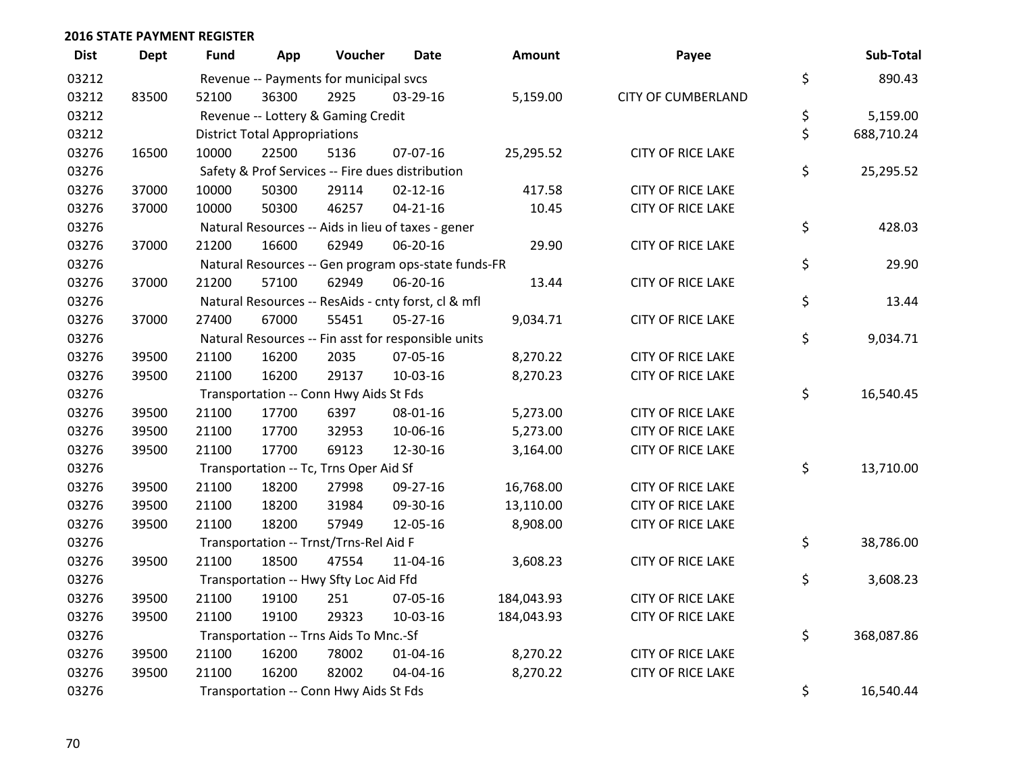| <b>Dist</b> | <b>Dept</b> | Fund  | App                                  | Voucher                                | Date                                                | Amount     | Payee                     | Sub-Total        |
|-------------|-------------|-------|--------------------------------------|----------------------------------------|-----------------------------------------------------|------------|---------------------------|------------------|
| 03212       |             |       |                                      | Revenue -- Payments for municipal svcs |                                                     |            |                           | \$<br>890.43     |
| 03212       | 83500       | 52100 | 36300                                | 2925                                   | 03-29-16                                            | 5,159.00   | <b>CITY OF CUMBERLAND</b> |                  |
| 03212       |             |       |                                      | Revenue -- Lottery & Gaming Credit     |                                                     |            |                           | \$<br>5,159.00   |
| 03212       |             |       | <b>District Total Appropriations</b> |                                        |                                                     |            |                           | \$<br>688,710.24 |
| 03276       | 16500       | 10000 | 22500                                | 5136                                   | 07-07-16                                            | 25,295.52  | <b>CITY OF RICE LAKE</b>  |                  |
| 03276       |             |       |                                      |                                        | Safety & Prof Services -- Fire dues distribution    |            |                           | \$<br>25,295.52  |
| 03276       | 37000       | 10000 | 50300                                | 29114                                  | $02 - 12 - 16$                                      | 417.58     | <b>CITY OF RICE LAKE</b>  |                  |
| 03276       | 37000       | 10000 | 50300                                | 46257                                  | $04 - 21 - 16$                                      | 10.45      | <b>CITY OF RICE LAKE</b>  |                  |
| 03276       |             |       |                                      |                                        | Natural Resources -- Aids in lieu of taxes - gener  |            |                           | \$<br>428.03     |
| 03276       | 37000       | 21200 | 16600                                | 62949                                  | 06-20-16                                            | 29.90      | <b>CITY OF RICE LAKE</b>  |                  |
| 03276       |             |       |                                      |                                        | Natural Resources -- Gen program ops-state funds-FR |            |                           | \$<br>29.90      |
| 03276       | 37000       | 21200 | 57100                                | 62949                                  | 06-20-16                                            | 13.44      | <b>CITY OF RICE LAKE</b>  |                  |
| 03276       |             |       |                                      |                                        | Natural Resources -- ResAids - cnty forst, cl & mfl |            |                           | \$<br>13.44      |
| 03276       | 37000       | 27400 | 67000                                | 55451                                  | $05 - 27 - 16$                                      | 9,034.71   | <b>CITY OF RICE LAKE</b>  |                  |
| 03276       |             |       |                                      |                                        | Natural Resources -- Fin asst for responsible units |            |                           | \$<br>9,034.71   |
| 03276       | 39500       | 21100 | 16200                                | 2035                                   | 07-05-16                                            | 8,270.22   | <b>CITY OF RICE LAKE</b>  |                  |
| 03276       | 39500       | 21100 | 16200                                | 29137                                  | 10-03-16                                            | 8,270.23   | <b>CITY OF RICE LAKE</b>  |                  |
| 03276       |             |       |                                      | Transportation -- Conn Hwy Aids St Fds |                                                     |            |                           | \$<br>16,540.45  |
| 03276       | 39500       | 21100 | 17700                                | 6397                                   | 08-01-16                                            | 5,273.00   | <b>CITY OF RICE LAKE</b>  |                  |
| 03276       | 39500       | 21100 | 17700                                | 32953                                  | 10-06-16                                            | 5,273.00   | <b>CITY OF RICE LAKE</b>  |                  |
| 03276       | 39500       | 21100 | 17700                                | 69123                                  | 12-30-16                                            | 3,164.00   | <b>CITY OF RICE LAKE</b>  |                  |
| 03276       |             |       |                                      | Transportation -- Tc, Trns Oper Aid Sf |                                                     |            |                           | \$<br>13,710.00  |
| 03276       | 39500       | 21100 | 18200                                | 27998                                  | 09-27-16                                            | 16,768.00  | <b>CITY OF RICE LAKE</b>  |                  |
| 03276       | 39500       | 21100 | 18200                                | 31984                                  | 09-30-16                                            | 13,110.00  | <b>CITY OF RICE LAKE</b>  |                  |
| 03276       | 39500       | 21100 | 18200                                | 57949                                  | 12-05-16                                            | 8,908.00   | <b>CITY OF RICE LAKE</b>  |                  |
| 03276       |             |       |                                      | Transportation -- Trnst/Trns-Rel Aid F |                                                     |            |                           | \$<br>38,786.00  |
| 03276       | 39500       | 21100 | 18500                                | 47554                                  | 11-04-16                                            | 3,608.23   | <b>CITY OF RICE LAKE</b>  |                  |
| 03276       |             |       |                                      | Transportation -- Hwy Sfty Loc Aid Ffd |                                                     |            |                           | \$<br>3,608.23   |
| 03276       | 39500       | 21100 | 19100                                | 251                                    | 07-05-16                                            | 184,043.93 | <b>CITY OF RICE LAKE</b>  |                  |
| 03276       | 39500       | 21100 | 19100                                | 29323                                  | 10-03-16                                            | 184,043.93 | <b>CITY OF RICE LAKE</b>  |                  |
| 03276       |             |       |                                      | Transportation -- Trns Aids To Mnc.-Sf |                                                     |            |                           | \$<br>368,087.86 |
| 03276       | 39500       | 21100 | 16200                                | 78002                                  | $01 - 04 - 16$                                      | 8,270.22   | <b>CITY OF RICE LAKE</b>  |                  |
| 03276       | 39500       | 21100 | 16200                                | 82002                                  | 04-04-16                                            | 8,270.22   | <b>CITY OF RICE LAKE</b>  |                  |
| 03276       |             |       |                                      | Transportation -- Conn Hwy Aids St Fds |                                                     |            |                           | \$<br>16,540.44  |